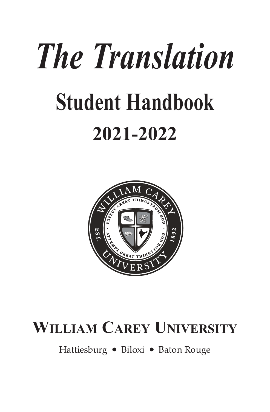# *The Translation* **Student Handbook 2021-2022**



# **WILLIAM CAREY UNIVERSITY**

Hattiesburg ● Biloxi ● Baton Rouge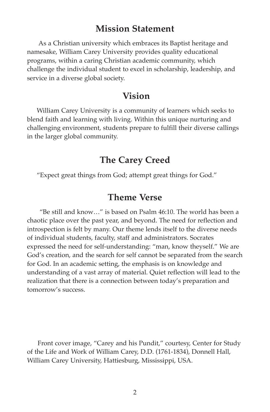# **Mission Statement**

As a Christian university which embraces its Baptist heritage and namesake, William Carey University provides quality educational programs, within a caring Christian academic community, which challenge the individual student to excel in scholarship, leadership, and service in a diverse global society.

# **Vision**

 William Carey University is a community of learners which seeks to blend faith and learning with living. Within this unique nurturing and challenging environment, students prepare to fulfill their diverse callings in the larger global community.

# **The Carey Creed**

"Expect great things from God; attempt great things for God."

# **Theme Verse**

"Be still and know…" is based on Psalm 46:10. The world has been a chaotic place over the past year, and beyond. The need for reflection and introspection is felt by many. Our theme lends itself to the diverse needs of individual students, faculty, staff and administrators. Socrates expressed the need for self-understanding: "man, know theyself." We are God's creation, and the search for self cannot be separated from the search for God. In an academic setting, the emphasis is on knowledge and understanding of a vast array of material. Quiet reflection will lead to the realization that there is a connection between today's preparation and tomorrow's success.

Front cover image, "Carey and his Pundit," courtesy, Center for Study of the Life and Work of William Carey, D.D. (1761-1834), Donnell Hall, William Carey University, Hattiesburg, Mississippi, USA.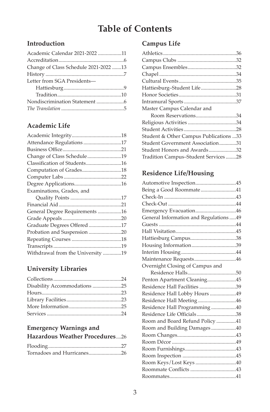# **Table of Contents**

# **Introduction**

| Academic Calendar 2021-2022 11        |  |
|---------------------------------------|--|
|                                       |  |
| Change of Class Schedule 2021-2022 13 |  |
|                                       |  |
| Letter from SGA Presidents-           |  |
|                                       |  |
|                                       |  |
|                                       |  |
|                                       |  |
|                                       |  |

# **Academic Life**

| Attendance Regulations 17         |  |
|-----------------------------------|--|
|                                   |  |
| Change of Class Schedule19        |  |
| Classification of Students16      |  |
| Computation of Grades18           |  |
|                                   |  |
|                                   |  |
| Examinations, Grades, and         |  |
|                                   |  |
|                                   |  |
| General Degree Requirements 16    |  |
|                                   |  |
| Graduate Degrees Offered 17       |  |
| Probation and Suspension 20       |  |
|                                   |  |
|                                   |  |
| Withdrawal from the University 19 |  |

# **University Libraries**

| Disability Accommodations 25 |  |
|------------------------------|--|
|                              |  |
|                              |  |
|                              |  |
|                              |  |

# **Emergency Warnings and**

| <b>Hazardous Weather Procedures26</b> |  |
|---------------------------------------|--|
|                                       |  |

#### Flooding........................................................27 Tornadoes and Hurricanes.........................26

# **Campus Life**

| Master Campus Calendar and             |  |
|----------------------------------------|--|
| Room Reservations34                    |  |
|                                        |  |
|                                        |  |
| Student & Other Campus Publications 33 |  |
| Student Government Association31       |  |
| Student Honors and Awards32            |  |
| Tradition Campus-Student Services28    |  |
|                                        |  |

# **Residence Life/Housing**

| Being a Good Roommate41                 |  |
|-----------------------------------------|--|
|                                         |  |
|                                         |  |
| Emergency Evacuation46                  |  |
| General Information and Regulations  49 |  |
|                                         |  |
|                                         |  |
|                                         |  |
|                                         |  |
|                                         |  |
|                                         |  |
| Overnight Closing of Campus and         |  |
|                                         |  |
| Penton Apartment Cleaning45             |  |
| Residence Hall Facilities 39            |  |
| Residence Hall Lobby Hours 49           |  |
| Residence Hall Meeting 46               |  |
| Residence Hall Programming 40           |  |
| Residence Life Officials38              |  |
| Room and Board Refund Policy 41         |  |
| Room and Building Damages40             |  |
|                                         |  |
|                                         |  |
|                                         |  |
|                                         |  |
| Room Keys/Lost Keys 40                  |  |
|                                         |  |
|                                         |  |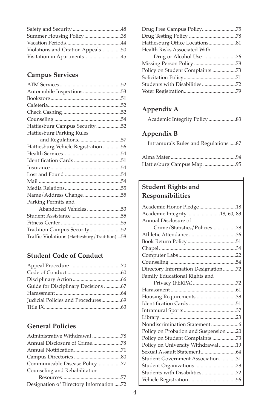| Violations and Citation Appeals50 |  |
|-----------------------------------|--|
| Visitation in Apartments45        |  |

# **Campus Services**

| Automobile Inspections 53                    |  |
|----------------------------------------------|--|
|                                              |  |
|                                              |  |
|                                              |  |
|                                              |  |
| Hattiesburg Campus Security52                |  |
| Hattiesburg Parking Rules                    |  |
|                                              |  |
| Hattiesburg Vehicle Registration 56          |  |
|                                              |  |
|                                              |  |
|                                              |  |
|                                              |  |
|                                              |  |
|                                              |  |
|                                              |  |
| Parking Permits and                          |  |
| Abandoned Vehicles53                         |  |
|                                              |  |
|                                              |  |
| Tradition Campus Security52                  |  |
| Traffic Violations (Hattiesburg/Tradition)58 |  |
|                                              |  |

# **Student Code of Conduct**

| Guide for Disciplinary Decisions 67 |  |
|-------------------------------------|--|
|                                     |  |
|                                     |  |
|                                     |  |
|                                     |  |

# **General Policies**

| Administrative Withdrawal 78            |
|-----------------------------------------|
|                                         |
|                                         |
|                                         |
| Communicable Disease Policy77           |
| Counseling and Rehabilitation           |
|                                         |
| Designation of Directory Information 72 |

| Drug Free Campus Policy75       |  |
|---------------------------------|--|
|                                 |  |
| Hattiesburg Office Locations81  |  |
| Health Risks Associated With    |  |
|                                 |  |
|                                 |  |
| Policy on Student Complaints 73 |  |
|                                 |  |
| Students with Disabilities72    |  |
|                                 |  |
|                                 |  |

# **Appendix A**

# **Appendix B**

Intramurals Rules and Regulations .....87

| Hattiesburg Campus Map 95 |  |
|---------------------------|--|

# **Student Rights and Responsibilities**

| Academic Honor Pledge18               |
|---------------------------------------|
| Academic Integrity 18, 60, 83         |
| Annual Disclosure of                  |
| Crime/Statistics/Policies78           |
|                                       |
|                                       |
|                                       |
|                                       |
|                                       |
| Directory Information Designation72   |
| Family Educational Rights and         |
|                                       |
|                                       |
| Housing Requirements38                |
|                                       |
|                                       |
|                                       |
|                                       |
| Policy on Probation and Suspension 20 |
| Policy on Student Complaints 73       |
| Policy on University Withdrawal19     |
|                                       |
| Student Government Association31      |
| Student Organizations28               |
|                                       |
|                                       |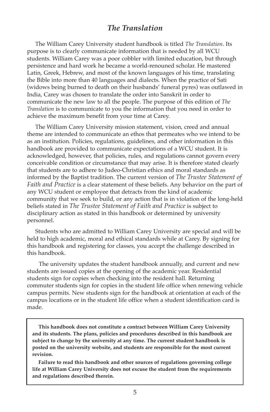# *The Translation*

The William Carey University student handbook is titled *The Translation*. Its purpose is to clearly communicate information that is needed by all WCU students. William Carey was a poor cobbler with limited education, but through persistence and hard work he became a world-renouned scholar. He mastered Latin, Greek, Hebrew, and most of the known languages of his time, translating the Bible into more than 40 languages and dialects. When the practice of Sati (widows being burned to death on their husbands' funeral pyres) was outlawed in India, Carey was chosen to translate the order into Sanskrit in order to communicate the new law to all the people. The purpose of this edition of *The Translation* is to communicate to you the information that you need in order to achieve the maximum benefit from your time at Carey.

The William Carey University mission statement, vision, creed and annual theme are intended to communicate an ethos that permeates who we intend to be as an institution. Policies, regulations, guidelines, and other information in this handbook are provided to communicate expectations of a WCU student. It is acknowledged, however, that policies, rules, and regulations cannot govern every conceivable condition or circumstance that may arise. It is therefore stated clearly that students are to adhere to Judeo-Christian ethics and moral standards as informed by the Baptist tradition. The current version of *The Trustee Statement of Faith and Practice* is a clear statement of these beliefs. Any behavior on the part of any WCU student or employee that detracts from the kind of academic community that we seek to build, or any action that is in violation of the long-held beliefs stated in *The Trustee Statement of Faith and Practice* is subject to disciplinary action as stated in this handbook or determined by university personnel.

Students who are admitted to William Carey University are special and will be held to high academic, moral and ethical standards while at Carey. By signing for this handbook and registering for classes, you accept the challenge described in this handbook.

 The university updates the student handbook annually, and current and new students are issued copies at the opening of the academic year. Residential students sign for copies when checking into the resident hall. Returning commuter students sign for copies in the student life office when renewing vehicle campus permits. New students sign for the handbook at orientation at each of the campus locations or in the student life office when a student identification card is made.

 **This handbook does not constitute a contract between William Carey University and its students. The plans, policies and procedures described in this handbook are subject to change by the university at any time. The current student handbook is posted on the university website, and students are responsible for the most current revision.** 

**Failure to read this handbook and other sources of regulations governing college life at William Carey University does not excuse the student from the requirements and regulations described therein.**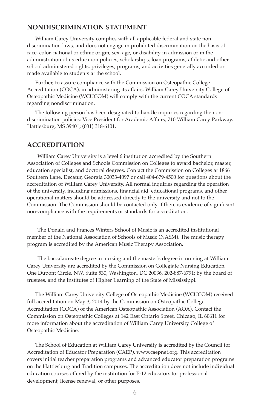#### **NoNdISCRIMINATIoN STATEMENT**

 William Carey University complies with all applicable federal and state nondiscrimination laws, and does not engage in prohibited discrimination on the basis of race, color, national or ethnic origin, sex, age, or disability in admission or in the administration of its education policies, scholarships, loan programs, athletic and other school administered rights, privileges, programs, and activities generally accorded or made available to students at the school.

 Further, to assure compliance with the Commission on Osteopathic College Accreditation (COCA), in administering its affairs, William Carey University College of Osteopathic Medicine (WCUCOM) will comply with the current COCA standards regarding nondiscrimination.

 The following person has been designated to handle inquiries regarding the nondiscrimination policies: Vice President for Academic Affairs, 710 William Carey Parkway, Hattiesburg, MS 39401; (601) 318-6101.

#### **ACCREdITATIoN**

William Carey University is a level 6 institution accredited by the Southern Association of Colleges and Schools Commission on Colleges to award bachelor, master, education specialist, and doctoral degrees. Contact the Commission on Colleges at 1866 Southern Lane, Decatur, Georgia 30033-4097 or call 404-679-4500 for questions about the accreditation of William Carey University. All normal inquiries regarding the operation of the university, including admissions, financial aid, educational programs, and other operational matters should be addressed directly to the university and not to the Commission. The Commission should be contacted only if there is evidence of significant non-compliance with the requirements or standards for accreditation.

The Donald and Frances Winters School of Music is an accredited institutional member of the National Association of Schools of Music (NASM). The music therapy program is accredited by the American Music Therapy Association.

The baccalaureate degree in nursing and the master's degree in nursing at William Carey University are accredited by the Commission on Collegiate Nursing Education, One Dupont Circle, NW, Suite 530, Washington, DC 20036, 202-887-6791; by the board of trustees, and the Institutes of Higher Learning of the State of Mississippi.

 The William Carey University College of Osteopathic Medicine (WCUCOM) received full accreditation on May 3, 2014 by the Commission on Osteopathic College Accreditation (COCA) of the American Osteopathic Association (AOA). Contact the Commission on Osteopathic Colleges at 142 East Ontario Street, Chicago, IL 60611 for more information about the accreditation of William Carey University College of Osteopathic Medicine.

 The School of Education at William Carey University is accredited by the Council for Accreditation of Educator Preparation (CAEP), www.caepnet.org. This accreditation covers initial teacher preparation programs and advanced educator preparation programs on the Hattiesburg and Tradition campuses. The accreditation does not include individual education courses offered by the institution for P-12 educators for professional development, license renewal, or other purposes.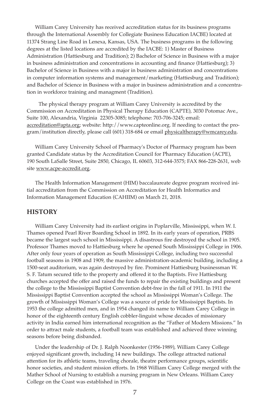William Carey University has received accreditation status for its business programs through the International Assembly for Collegiate Business Education IACBE) located at 11374 Strang Line Road in Lenexa, Kansas, USA. The business programs in the following degrees at the listed locations are accredited by the IACBE: 1) Master of Business Administration (Hattiesburg and Tradition); 2) Bachelor of Science in Business with a major in business administration and concentrations in accounting and finance (Hattiesburg); 3) Bachelor of Science in Business with a major in business administration and concentrations in computer information systems and management/marketing (Hattiesburg and Tradition); and Bachelor of Science in Business with a major in business administration and a concentration in workforce training and managment (Tradition).

 The physical therapy program at William Carey University is accredited by the Commission on Accreditation in Physical Therapy Education (CAPTE), 3030 Potomac Ave., Suite 100, Alexandria, Virginia 22305-3085; telephone: 703-706-3245; email: accreditation@apta.org; website: http://www.capteonline.org. If needing to contact the program/institution directly, please call (601) 318-684 or email physicaltherapy@wmcarey.edu.

 William Carey University School of Pharmacy's Doctor of Pharmacy program has been granted Candidate status by the Accreditation Council for Pharmacy Education (ACPE), 190 South LaSalle Street, Suite 2850, Chicago, IL 60603, 312-644-3575; FAX 866-228-2631, web site www.acpe-accredit.org.

 The Health Information Management (HIM) baccalaureate degree program received initial accreditation from the Commission on Accreditation for Health Informatics and Information Management Education (CAHIIM) on March 21, 2018.

#### **HISToRy**

 William Carey University had its earliest origins in Poplarville, Mississippi, when W. I. Thames opened Pearl River Boarding School in 1892. In its early years of operation, PRBS became the largest such school in Mississippi. A disastrous fire destroyed the school in 1905. Professor Thames moved to Hattiesburg where he opened South Mississippi College in 1906. After only four years of operation as South Mississippi College, including two successful football seasons in 1908 and 1909, the massive administration-academic building, including a 1500-seat auditorium, was again destroyed by fire. Prominent Hattiesburg businessman W. S. F. Tatum secured title to the property and offered it to the Baptists. Five Hattiesburg churches accepted the offer and raised the funds to repair the existing buildings and present the college to the Mississippi Baptist Convention debt-free in the fall of 1911. In 1911 the Mississippi Baptist Convention accepted the school as Mississippi Woman's College. The growth of Mississippi Woman's College was a source of pride for Mississippi Baptists. In 1953 the college admitted men, and in 1954 changed its name to William Carey College in honor of the eighteenth century English cobbler-linguist whose decades of missionary activity in India earned him international recognition as the "Father of Modern Missions." In order to attract male students, a football team was established and achieved three winning seasons before being disbanded.

 Under the leadership of Dr. J. Ralph Noonkester (1956-1989), William Carey College enjoyed significant growth, including 14 new buildings. The college attracted national attention for its athletic teams, traveling chorale, theatre performance groups, scientific honor societies, and student mission efforts. In 1968 William Carey College merged with the Mather School of Nursing to establish a nursing program in New Orleans. William Carey College on the Coast was established in 1976.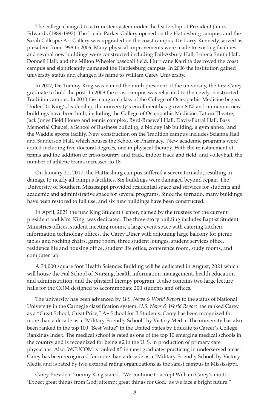The college changed to a trimester system under the leadership of President James Edwards (1989-1997). The Lucile Parker Gallery opened on the Hattiesburg campus, and the Sarah Gillespie Art Gallery was upgraded on the coast campus. Dr. Larry Kennedy served as president from 1998 to 2006. Many physical improvements were made to existing facilities and several new buildings were constructed including Fail-Asbury Hall, Lorena Smith Hall, Donnell Hall, and the Milton Wheeler baseball field. Hurricane Katrina destroyed the coast campus and significantly damaged the Hattiesburg campus. In 2006 the institution gained university status and changed its name to William Carey University.

 In 2007, Dr. Tommy King was named the ninth president of the university, the first Carey graduate to hold the post. In 2009 the coast campus was relocated to the newly constructed Tradition campus. In 2010 the inaugural class of the College of Osteopathic Medicine began. Under Dr. King's leadership, the university's enrollment has grown 80% and numerous new buildings have been built, including the College of Osteopathic Medicine, Tatum Theatre, Jack Jones Field House and tennis complex, Byrd-Braswell Hall, Davis-Futral Hall, Bass Memorial Chapel, a School of Business building, a biology lab building, a gym annex, and the Waddle sports facility. New construction on the Tradition campus includes Scianna Hall and Sanderson Hall, which houses the School of Pharmacy. New academic programs were added including five doctoral degrees, one in physical therapy. With the reinstatement of tennis and the addition of cross-country and track, indoor track and field, and volleyball, the number of athletic teams increased to 18.

 On January 21, 2017, the Hattiesburg campus suffered a severe tornado, resulting in damage to nearly all campus facilities. Six buildings were damaged beyond repair. The University of Southern Mississippi provided residential space and services for students and academic and administrative space for several programs. Since the tornado, many buildings have been restored to full use, and six new buildings have been constructed.

 In April, 2021 the new King Student Center, named by the trustees for the current president and Mrs. King, was dedicated. The three-story building includes Baptist Student Ministries offices, student meeting rooms, a large event space with catering kitchen, information technology offices, the Carey Diner with adjoining large balcony for picnic tables and rocking chairs, game room, three student lounges, student services office, residence life and housing office, student life office, conference room, study rooms, and computer lab.

 A 74,000 square foot Health Sciences Building will be dedicated in August, 2021 which will house the Fail School of Nursing, health information management, health education and administration, and the physical therapy program. It also contains two large lecture halls for the COM designed to accommodate 200 students and offices.

The university has been advanced by *U.S. News & World Report* to the status of National University in the Carnegie classification system. *U.S. News & World Report* has ranked Carey as a "Great School, Great Price," A+ School for B Students. Carey has been recognized for more than a decade as a "Military Friendly School" by Victory Media. The university has also been ranked in the top 100 "Best Value" in the United States by Educate to Career's College Rankings Index. The medical school is rated as one of the top 10 emerging medical schools in the country and is recognized for being #2 in the U. S. in production of primary care physicians. Also, WCUCOM is ranked #5 in most graduates practicing in underserved areas. Carey has been recognized for more than a decade as a "Military Friendly School' by Victory Media and is rated by two external rating organizations as the safest campus in Mississippi.

 Carey President Tommy King stated, "We continue to accept William Carey's motto: 'Expect great things from God; attempt great things for God,' as we face a bright future."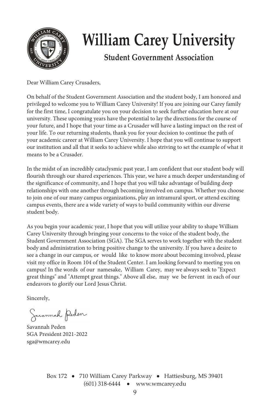

# **William Carey University**

# **Student Government Association**

Dear William Carey Crusaders,

On behalf of the Student Government Association and the student body, I am honored and privileged to welcome you to William Carey University! If you are joining our Carey family for the first time, I congratulate you on your decision to seek further education here at our university. These upcoming years have the potential to lay the directions for the course of your future, and I hope that your time as a Crusader will have a lasting impact on the rest of your life. To our returning students, thank you for your decision to continue the path of your academic career at William Carey University. I hope that you will continue to support our institution and all that it seeks to achieve while also striving to set the example of what it means to be a Crusader.

In the midst of an incredibly cataclysmic past year, I am confident that our student body will flourish through our shared experiences. This year, we have a much deeper understanding of the significance of community, and I hope that you will take advantage of building deep relationships with one another through becoming involved on campus. Whether you choose to join one of our many campus organizations, play an intramural sport, or attend exciting campus events, there are a wide variety of ways to build community within our diverse student body.

As you begin your academic year, I hope that you will utilize your ability to shape William Carey University through bringing your concerns to the voice of the student body, the Student Government Association (SGA). The SGA serves to work together with the student body and administration to bring positive change to the university. If you have a desire to see a change in our campus, or would like to know more about becoming involved, please visit my office in Room 104 of the Student Center. I am looking forward to meeting you on campus! In the words of our namesake, William Carey, may we always seek to "Expect great things" and "Attempt great things." Above all else, may we be fervent in each of our endeavors to glorify our Lord Jesus Christ.

Sincerely,

Sacannah Peden

Savannah Peden SGA President 2021-2022 sga@wmcarey.edu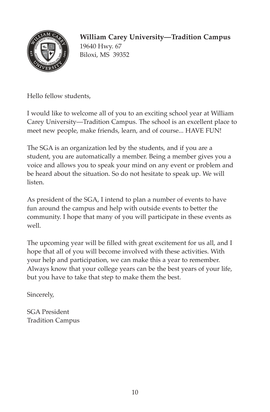

# **William Carey University—Tradition Campus**

19640 Hwy. 67 Biloxi, MS 39352

Hello fellow students,

I would like to welcome all of you to an exciting school year at William Carey University—Tradition Campus. The school is an excellent place to meet new people, make friends, learn, and of course... HAVE FUN!

The SGA is an organization led by the students, and if you are a student, you are automatically a member. Being a member gives you a voice and allows you to speak your mind on any event or problem and be heard about the situation. So do not hesitate to speak up. We will listen.

As president of the SGA, I intend to plan a number of events to have fun around the campus and help with outside events to better the community. I hope that many of you will participate in these events as well.

The upcoming year will be filled with great excitement for us all, and I hope that all of you will become involved with these activities. With your help and participation, we can make this a year to remember. Always know that your college years can be the best years of your life, but you have to take that step to make them the best.

Sincerely,

SGA President Tradition Campus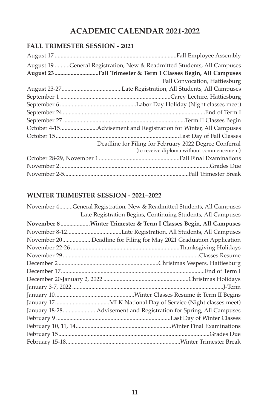# **ACAdEMIC CALENdAR 2021-2022**

# **FALL TRIMESTER SESSIoN - 2021**

| August 19 General Registration, New & Readmitted Students, All Campuses                             |
|-----------------------------------------------------------------------------------------------------|
| August 23 Fall Trimester & Term I Classes Begin, All Campuses                                       |
| Fall Convocation, Hattiesburg                                                                       |
|                                                                                                     |
|                                                                                                     |
|                                                                                                     |
|                                                                                                     |
|                                                                                                     |
|                                                                                                     |
|                                                                                                     |
| Deadline for Filing for February 2022 Degree Conferral<br>(to receive diploma without commencement) |
|                                                                                                     |
|                                                                                                     |
|                                                                                                     |

# **WINTER TRIMESTER SESSIoN - 2021–2022**

| November 4General Registration, New & Readmitted Students, All Campuses |
|-------------------------------------------------------------------------|
| Late Registration Begins, Continuing Students, All Campuses             |
| November 8 Winter Trimester & Term I Classes Begin, All Campuses        |
|                                                                         |
| November 20Deadline for Filing for May 2021 Graduation Application      |
|                                                                         |
|                                                                         |
|                                                                         |
|                                                                         |
|                                                                         |
|                                                                         |
|                                                                         |
|                                                                         |
| January 18-28 Advisement and Registration for Spring, All Campuses      |
|                                                                         |
|                                                                         |
|                                                                         |
|                                                                         |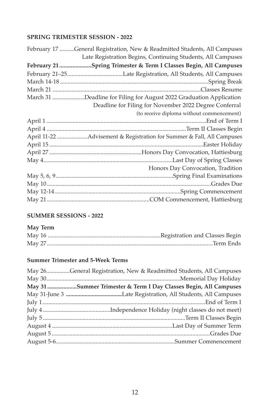# **SPRING TRIMESTER SESSIoN - 2022**

| February 17 General Registration, New & Readmitted Students, All Campuses |
|---------------------------------------------------------------------------|
| Late Registration Begins, Continuing Students, All Campuses               |
| February 21 Spring Trimester & Term I Classes Begin, All Campuses         |
|                                                                           |
|                                                                           |
|                                                                           |
| March 31 Deadline for Filing for August 2022 Graduation Application       |
| Deadline for Filing for November 2022 Degree Conferral                    |
| (to receive diploma without commencement)                                 |
|                                                                           |
|                                                                           |
| April 11-22 Advisement & Registration for Summer & Fall, All Campuses     |
|                                                                           |
|                                                                           |
|                                                                           |
| Honors Day Convocation, Tradition                                         |
|                                                                           |
|                                                                           |
|                                                                           |
|                                                                           |
|                                                                           |

# **SUMMER SESSIoNS - 2022**

# **May Term**

# **Summer Trimester and 5-Week Terms**

| May 26General Registration, New & Readmitted Students, All Campuses |
|---------------------------------------------------------------------|
|                                                                     |
| May 31 Summer Trimester & Term I Day Classes Begin, All Campuses    |
|                                                                     |
|                                                                     |
|                                                                     |
|                                                                     |
|                                                                     |
|                                                                     |
|                                                                     |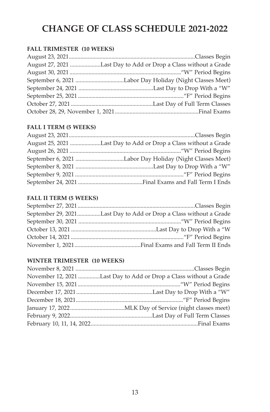# **CHANGE OF CLASS SCHEDULE 2021-2022**

#### **FALL TRIMESTER (10 WEEKS)**

| August 27, 2021 Last Day to Add or Drop a Class without a Grade |
|-----------------------------------------------------------------|
|                                                                 |
|                                                                 |
|                                                                 |
|                                                                 |
|                                                                 |
|                                                                 |

# **FALL I TERM (5 WEEKS)**

| August 25, 2021 Last Day to Add or Drop a Class without a Grade |
|-----------------------------------------------------------------|
|                                                                 |
|                                                                 |
|                                                                 |
|                                                                 |
|                                                                 |
|                                                                 |

# **FALL II TERM (5 WEEKS)**

| September 29, 2021Last Day to Add or Drop a Class without a Grade |  |
|-------------------------------------------------------------------|--|
|                                                                   |  |
|                                                                   |  |
|                                                                   |  |
|                                                                   |  |

# **WINTER TRIMESTER (10 WEEKS)**

| November 12, 2021 Last Day to Add or Drop a Class without a Grade |
|-------------------------------------------------------------------|
|                                                                   |
|                                                                   |
|                                                                   |
|                                                                   |
|                                                                   |
|                                                                   |
|                                                                   |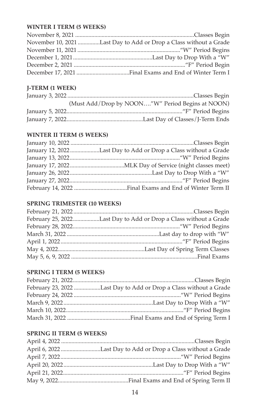#### **WINTER I TERM (5 WEEKS)**

| November 10, 2021 Last Day to Add or Drop a Class without a Grade |
|-------------------------------------------------------------------|
|                                                                   |
|                                                                   |
|                                                                   |
|                                                                   |

# **J-TERM (1 WEEK)**

| (Must Add/Drop by NOON"W" Period Begins at NOON) |
|--------------------------------------------------|
|                                                  |
|                                                  |

#### **WINTER II TERM (5 WEEKS)**

| January 12, 2022Last Day to Add or Drop a Class without a Grade |
|-----------------------------------------------------------------|
|                                                                 |
|                                                                 |
|                                                                 |
|                                                                 |
|                                                                 |

#### **SPRING TRIMESTER (10 WEEKS)**

| February 25, 2022Last Day to Add or Drop a Class without a Grade |
|------------------------------------------------------------------|
|                                                                  |
|                                                                  |
|                                                                  |
|                                                                  |
|                                                                  |

# **SPRING I TERM (5 WEEKS)**

| February 23, 2022 Last Day to Add or Drop a Class without a Grade |
|-------------------------------------------------------------------|
|                                                                   |
|                                                                   |
|                                                                   |
|                                                                   |

# **SPRING II TERM (5 WEEKS)**

| April 6, 2022 Last Day to Add or Drop a Class without a Grade |
|---------------------------------------------------------------|
|                                                               |
|                                                               |
|                                                               |
|                                                               |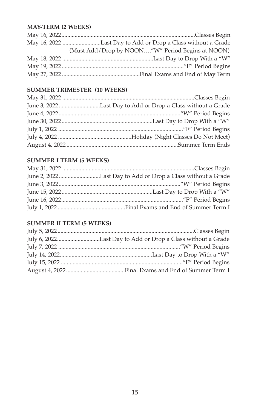#### **MAy-TERM (2 WEEKS)**

| May 16, 2022 Last Day to Add or Drop a Class without a Grade |
|--------------------------------------------------------------|
| (Must Add/Drop by NOON"W" Period Begins at NOON)             |
|                                                              |
|                                                              |
|                                                              |

#### **SUMMER TRIMESTER (10 WEEKS)**

| June 3, 2022 Last Day to Add or Drop a Class without a Grade |
|--------------------------------------------------------------|
|                                                              |
|                                                              |
|                                                              |
|                                                              |
|                                                              |

# **SUMMER I TERM (5 WEEKS)**

# **SUMMER II TERM (5 WEEKS)**

| July 6, 2022Last Day to Add or Drop a Class without a Grade |
|-------------------------------------------------------------|
|                                                             |
|                                                             |
|                                                             |
|                                                             |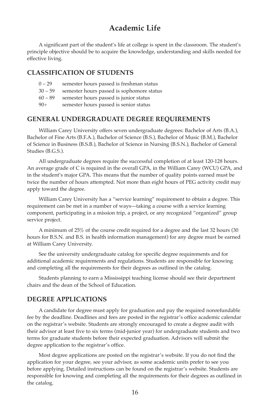# **Academic Life**

 A significant part of the student's life at college is spent in the classroom. The student's principle objective should be to acquire the knowledge, understanding and skills needed for effective living.

#### **CLASSIFICATIoN oF STUdENTS**

- 0 29 semester hours passed is freshman status
- 30 59 semester hours passed is sophomore status
- 60 89 semester hours passed is junior status
- 90+ semester hours passed is senior status

#### **GENERAL UNdERGRAdUATE dEGREE REqUIREMENTS**

 William Carey University offers seven undergraduate degrees: Bachelor of Arts (B.A.), Bachelor of Fine Arts (B.F.A.), Bachelor of Science (B.S.), Bachelor of Music (B.M.), Bachelor of Science in Business (B.S.B.), Bachelor of Science in Nursing (B.S.N.), Bachelor of General Studies (B.G.S.).

 All undergraduate degrees require the successful completion of at least 120-128 hours. An average grade of C is required in the overall GPA, in the William Carey (WCU) GPA, and in the student's major GPA. This means that the number of quality points earned must be twice the number of hours attempted. Not more than eight hours of PEG activity credit may apply toward the degree.

 William Carey University has a "service learning" requirement to obtain a degree. This requirement can be met in a number of ways—taking a course with a service learning component, participating in a mission trip, a project, or any recognized "organized" group service project.

 A minimum of 25% of the course credit required for a degree and the last 32 hours (30 hours for B.S.N. and B.S. in health information management) for any degree must be earned at William Carey University.

 See the university undergraduate catalog for specific degree requirements and for additional academic requirements and regulations. Students are responsible for knowing and completing all the requirements for their degrees as outlined in the catalog.

 Students planning to earn a Mississippi teaching license should see their department chairs and the dean of the School of Education.

#### **dEGREE APPLICATIoNS**

 A candidate for degree must apply for graduation and pay the required nonrefundable fee by the deadline. Deadlines and fees are posted in the registrar's office academic calendar on the registrar's website. Students are strongly encouraged to create a degree audit with their advisor at least five to six terms (mid-junior year) for undergraduate students and two terms for graduate students before their expected graduation. Advisors will submit the degree application to the registrar's office.

 Most degree applications are posted on the registrar's website. If you do not find the application for your degree, see your advisor, as some academic units prefer to see you before applying. Detailed instructions can be found on the registrar's website. Students are responsible for knowing and completing all the requirements for their degrees as outlined in the catalog.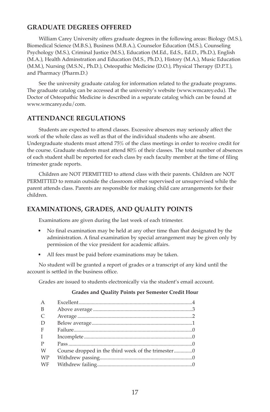#### **GRAdUATE dEGREES oFFEREd**

 William Carey University offers graduate degrees in the following areas: Biology (M.S.), Biomedical Science (M.B.S.), Business (M.B.A.), Counselor Education (M.S.), Counseling Psychology (M.S.), Criminal Justice (M.S.), Education (M.Ed., Ed.S., Ed.D., Ph.D.), English (M.A.), Health Adminstration and Education (M.S., Ph.D.), History (M.A.), Music Education (M.M.), Nursing (M.S.N., Ph.D.), Osteopathic Medicine (D.O.), Physical Therapy (D.P.T.), and Pharmacy (Pharm.D.)

 See the university graduate catalog for information related to the graduate programs. The graduate catalog can be accessed at the university's website (www.wmcarey.edu). The Doctor of Osteopathic Medicine is described in a separate catalog which can be found at www.wmcarey.edu/com.

#### **ATTENdANCE REGULATIoNS**

Students are expected to attend classes. Excessive absences may seriously affect the work of the whole class as well as that of the individual students who are absent. Undergraduate students must attend 75% of the class meetings in order to receive credit for the course. Graduate students must attend 80% of their classes. The total number of absences of each student shall be reported for each class by each faculty member at the time of filing trimester grade reports.

 Children are NOT PERMITTED to attend class with their parents. Children are NOT PERMITTED to remain outside the classroom either supervised or unsupervised while the parent attends class. Parents are responsible for making child care arrangements for their children.

#### **EXAMINATIoNS, GRAdES, ANd qUALITy PoINTS**

Examinations are given during the last week of each trimester.

- No final examination may be held at any other time than that designated by the administration. A final examination by special arrangement may be given only by permission of the vice president for academic affairs.
- All fees must be paid before examinations may be taken.

 No student will be granted a report of grades or a transcript of any kind until the account is settled in the business office.

Grades are issued to students electronically via the student's email account.

#### **Grades and quality Points per Semester Credit Hour**

| A            |                                                    |  |
|--------------|----------------------------------------------------|--|
| B            |                                                    |  |
| C            |                                                    |  |
| D            |                                                    |  |
| F            |                                                    |  |
| $\mathbf{I}$ |                                                    |  |
| P            |                                                    |  |
| W            | Course dropped in the third week of the trimester0 |  |
| <b>WP</b>    |                                                    |  |
| WF           |                                                    |  |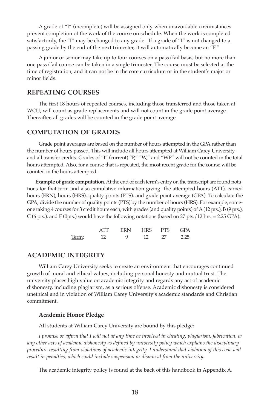A grade of "I" (incomplete) will be assigned only when unavoidable circumstances prevent completion of the work of the course on schedule. When the work is completed satisfactorily, the "I" may be changed to any grade. If a grade of "I" is not changed to a passing grade by the end of the next trimester, it will automatically become an "F."

 A junior or senior may take up to four courses on a pass/fail basis, but no more than one pass/fail course can be taken in a single trimester. The course must be selected at the time of registration, and it can not be in the core curriculum or in the student's major or minor fields.

#### **REPEATING CoURSES**

 The first 18 hours of repeated courses, including those transferred and those taken at WCU, will count as grade replacements and will not count in the grade point average. Thereafter, all grades will be counted in the grade point average.

#### **CoMPUTATIoN oF GRAdES**

Grade point averages are based on the number of hours attempted in the GPA rather than the number of hours passed. This will include all hours attempted at William Carey University and all transfer credits. Grades of "I" (current) "P," "W," and "WP" will not be counted in the total hours attempted. Also, for a course that is repeated, the most recent grade for the course will be counted in the hours attempted.

 **Example of grade computation**. At the end of each term's entry on the transcript are found notations for that term and also cumulative information giving the attempted hours (ATT), earned hours (ERN), hours (HRS), quality points (PTS), and grade point average (GPA). To calculate the GPA, divide the number of quality points (PTS) by the number of hours (HRS). For example, someone taking 4 courses for 3 credit hours each, with grades (and quality points) of A (12 pts.), B (9 pts.),  $C$  (6 pts.), and F (0pts.) would have the following notations (based on 27 pts./12 hrs. = 2.25 GPA):

|  | ERN HRS PTS GPA |     |
|--|-----------------|-----|
|  |                 | 225 |

#### **ACAdEMIC INTEGRITy**

 William Carey University seeks to create an environment that encourages continued growth of moral and ethical values, including personal honesty and mutual trust. The university places high value on academic integrity and regards any act of academic dishonesty, including plagiarism, as a serious offense. Academic dishonesty is considered unethical and in violation of William Carey University's academic standards and Christian commitment.

#### **Academic Honor Pledge**

All students at William Carey University are bound by this pledge:

 *I promise or affirm that I will not at any time be involved in cheating, plagiarism, fabrication, or any other acts of academic dishonesty as defined by university policy which explains the disciplinary procedure resulting from violations of academic integrity. I understand that violation of this code will result in penalties, which could include suspension or dismissal from the university.*

The academic integrity policy is found at the back of this handbook in Appendix A.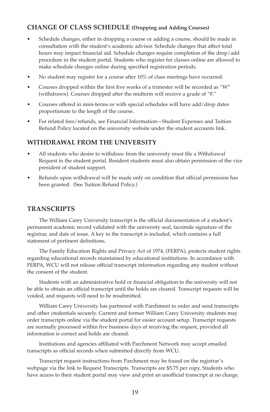#### **CHANGE OF CLASS SCHEDULE (Dropping and Adding Courses)**

- Schedule changes, either in dropping a course or adding a course, should be made in consultation with the student's academic advisor. Schedule changes that affect total hours may impact financial aid. Schedule changes require completion of the drop/add procedure in the student portal. Students who register for classes online are allowed to make schedule changes online during specified registration periods.
- No student may register for a course after 10% of class meetings have occurred.
- Courses dropped within the first five weeks of a trimester will be recorded as "W" (withdrawn). Courses dropped after the midterm will receive a grade of "F."
- Courses offered in mini-terms or with special schedules will have add/drop dates proportionate to the length of the course.
- For related fees/refunds, see Financial Information—Student Expenses and Tuition Refund Policy located on the university website under the student accounts link.

#### **WITHdRAWAL FRoM THE UNIVERSITy**

- All students who desire to withdraw from the university must file a Withdrawal Request in the student portal. Resident students must also obtain permission of the vice president of student support.
- Refunds upon withdrawal will be made only on condition that official permission has been granted. (See Tuition Refund Policy.)

#### **TRANSCRIPTS**

 The William Carey University transcript is the official documentation of a student's permanent academic record validated with the university seal, facsimile signature of the registrar, and date of issue. A key to the transcript is included, which contains a full statement of pertinent definitions.

 The Family Education Rights and Privacy Act of 1974, (FERPA), protects student rights regarding educational records maintained by educational institutions. In accordance with FERPA, WCU will not release official transcript information regarding any student without the consent of the student.

 Students with an administrative hold or financial obligation to the university will not be able to obtain an official transcript until the holds are cleared. Transcript requests will be voided, and requests will need to be resubmitted.

 William Carey University has partnered with Parchment to order and send transcripts and other credentials securely. Current and former William Carey University students may order transcripts online via the student portal for easier account setup. Transcript requests are normally processed within five business days of receiving the request, provided all information is correct and holds are cleared.

 Institutions and agencies affiliated with Parchment Network may accept emailed transcripts as official records when submitted directly from WCU.

 Transcript request instructions from Parchment may be found on the registrar's webpage via the link to Request Transcripts. Transcripts are \$5.75 per copy. Students who have access to their student portal may view and print an unofficial transcript at no charge.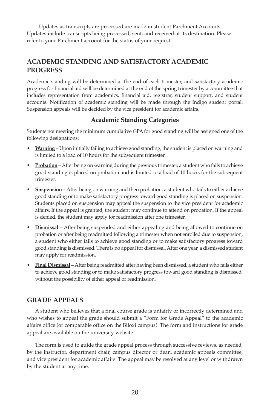Updates as transcripts are processed are made in student Parchment Accounts. Updates include transcripts being processed, sent, and received at its destination. Please refer to your Parchment account for the status of your request.

# **ACAdEMIC STANdING ANd SATISFACToRy ACAdEMIC PRoGRESS**

Academic standing will be determined at the end of each trimester, and satisfactory academic progress for financial aid will be determined at the end of the spring trimester by a committee that includes representation from academics, financial aid, registrar, student support, and student accounts. Notification of academic standing will be made through the Indigo student portal. Suspension appeals will be decided by the vice president for academic affairs.

#### **Academic Standing Categories**

Students not meeting the minimum cumulative GPA for good standing will be assigned one of the following designations:

- **Warning** Upon initially failing to achieve good standing, the student is placed on warning and is limited to a load of 10 hours for the subsequent trimester.
- **Probation** After being on warning during the previous trimester, a student who fails to achieve good standing is placed on probation and is limited to a load of 10 hours for the subsequent trimester.
- **Suspension** After being on warning and then probation, a student who fails to either achieve good standing or to make satisfactory progress toward good standing is placed on suspension. Students placed on suspension may appeal the suspension to the vice president for academic affairs. If the appeal is granted, the student may continue to attend on probation. If the appeal is denied, the student may apply for readmission after one trimester.
- **Dismissal** After being suspended and either appealing and being allowed to continue on probation or after being readmitted following a trimester when not enrolled due to suspension, a student who either fails to achieve good standing or to make satisfactory progress toward good standing is dismissed. There is no appeal for dismissal. After one year, a dismissed student may apply for readmission.
- Final Dismissal After being readmitted after having been dismissed, a student who fails either to achieve good standing or to make satisfactory progress toward good standing is dismissed, without the possibility of either appeal or readmission.

#### **GRAdE APPEALS**

 A student who believes that a final course grade is unfairly or incorrectly determined and who wishes to appeal the grade should submit a "Form for Grade Appeal" to the academic affairs office (or comparable office on the Biloxi campus). The form and instructions for grade appeal are available on the university website.

 The form is used to guide the grade appeal process through successive reviews, as needed, by the instructor, department chair, campus director or dean, academic appeals committee, and vice president for academic affairs. The appeal may be resolved at any level or withdrawn by the student at any time.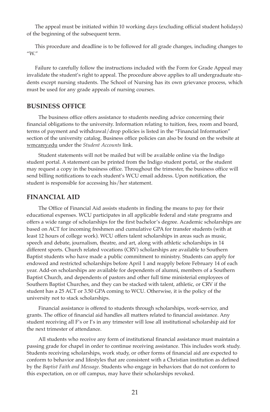The appeal must be initiated within 10 working days (excluding official student holidays) of the beginning of the subsequent term.

 This procedure and deadline is to be followed for all grade changes, including changes to "W."

 Failure to carefully follow the instructions included with the Form for Grade Appeal may invalidate the student's right to appeal. The procedure above applies to all undergraduate students except nursing students. The School of Nursing has its own grievance process, which must be used for any grade appeals of nursing courses.

#### **BUSINESS oFFICE**

 The business office offers assistance to students needing advice concerning their financial obligations to the university. Information relating to tuition, fees, room and board, terms of payment and withdrawal/drop policies is listed in the "Financial Information" section of the university catalog. Business office policies can also be found on the website at wmcarey.edu under the *Student Accounts* link.

 Student statements will not be mailed but will be available online via the Indigo student portal. A statement can be printed from the Indigo student portal, or the student may request a copy in the business office. Throughout the trimester, the business office will send billing notifications to each student's WCU email address. Upon notification, the student is responsible for accessing his/her statement.

#### **FINANCIAL AId**

 The Office of Financial Aid assists students in finding the means to pay for their educational expenses. WCU participates in all applicable federal and state programs and offers a wide range of scholarships for the first bachelor's degree. Academic scholarships are based on ACT for incoming freshmen and cumulative GPA for transfer students (with at least 12 hours of college work). WCU offers talent scholarships in areas such as music, speech and debate, journalism, theatre, and art, along with athletic scholarships in 14 different sports. Church related vocations (CRV) scholarships are available to Southern Baptist students who have made a public commitment to ministry. Students can apply for endowed and restricted scholarships before April 1 and reapply before February 14 of each year. Add-on scholarships are available for dependents of alumni, members of a Southern Baptist Church, and dependents of pastors and other full time ministerial employees of Southern Baptist Churches, and they can be stacked with talent, athletic, or CRV if the student has a 25 ACT or 3.50 GPA coming to WCU. Otherwise, it is the policy of the university not to stack scholarships.

 Financial assistance is offered to students through scholarships, work-service, and grants. The office of financial aid handles all matters related to financial assistance. Any student receiving all F's or I's in any trimester will lose all institutional scholarship aid for the next trimester of attendance.

 All students who receive any form of institutional financial assistance must maintain a passing grade for chapel in order to continue receiving assistance. This includes work study. Students receiving scholarships, work study, or other forms of financial aid are expected to conform to behavior and lifestyles that are consistent with a Christian institution as defined by the *Baptist Faith and Message*. Students who engage in behaviors that do not conform to this expectation, on or off campus, may have their scholarships revoked.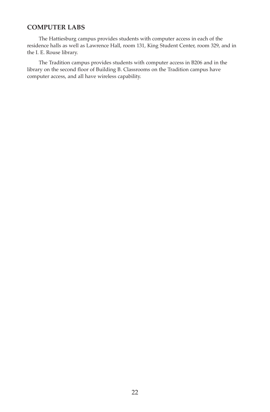#### **CoMPUTER LABS**

 The Hattiesburg campus provides students with computer access in each of the residence halls as well as Lawrence Hall, room 131, King Student Center, room 329, and in the I. E. Rouse library.

 The Tradition campus provides students with computer access in B206 and in the library on the second floor of Building B. Classrooms on the Tradition campus have computer access, and all have wireless capability.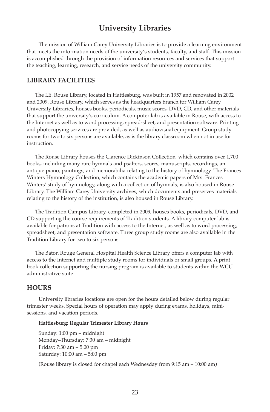# **University Libraries**

 The mission of William Carey University Libraries is to provide a learning environment that meets the information needs of the university's students, faculty, and staff. This mission is accomplished through the provision of information resources and services that support the teaching, learning, research, and service needs of the university community.

#### **LIBRARy FACILITIES**

 The I.E. Rouse Library, located in Hattiesburg, was built in 1957 and renovated in 2002 and 2009. Rouse Library, which serves as the headquarters branch for William Carey University Libraries, houses books, periodicals, music scores, DVD, CD, and other materials that support the university's curriculum. A computer lab is available in Rouse, with access to the Internet as well as to word processing, spread-sheet, and presentation software. Printing and photocopying services are provided, as well as audiovisual equipment. Group study rooms for two to six persons are available, as is the library classroom when not in use for instruction.

 The Rouse Library houses the Clarence Dickinson Collection, which contains over 1,700 books, including many rare hymnals and psalters, scores, manuscripts, recordings, an antique piano, paintings, and memorabilia relating to the history of hymnology. The Frances Winters Hymnology Collection, which contains the academic papers of Mrs. Frances Winters' study of hymnology, along with a collection of hymnals, is also housed in Rouse Library. The William Carey University archives, which documents and preserves materials relating to the history of the institution, is also housed in Rouse Library.

 The Tradition Campus Library, completed in 2009, houses books, periodicals, DVD, and CD supporting the course requirements of Tradition students. A library computer lab is available for patrons at Tradition with access to the Internet, as well as to word processing, spreadsheet, and presentation software. Three group study rooms are also available in the Tradition Library for two to six persons.

 The Baton Rouge General Hospital Health Science Library offers a computer lab with access to the Internet and multiple study rooms for individuals or small groups. A print book collection supporting the nursing program is available to students within the WCU administrative suite.

#### **HoURS**

 University libraries locations are open for the hours detailed below during regular trimester weeks. Special hours of operation may apply during exams, holidays, minisessions, and vacation periods.

#### **Hattiesburg: Regular Trimester Library Hours**

 Sunday: 1:00 pm – midnight Monday–Thursday: 7:30 am – midnight Friday: 7:30 am – 5:00 pm Saturday: 10:00 am – 5:00 pm

(Rouse library is closed for chapel each Wednesday from 9:15 am – 10:00 am)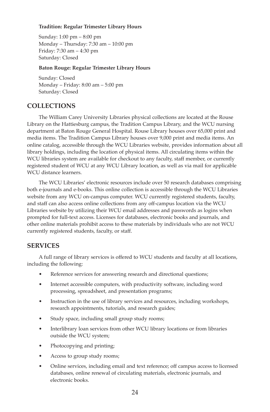#### **Tradition: Regular Trimester Library Hours**

 Sunday: 1:00 pm – 8:00 pm Monday – Thursday: 7:30 am – 10:00 pm Friday: 7:30 am – 4:30 pm Saturday: Closed

#### **Baton Rouge: Regular Trimester Library Hours**

 Sunday: Closed Monday – Friday: 8:00 am – 5:00 pm Saturday: Closed

#### **CoLLECTIoNS**

 The William Carey University Libraries physical collections are located at the Rouse Library on the Hattiesburg campus, the Tradition Campus Library, and the WCU nursing department at Baton Rouge General Hospital. Rouse Library houses over 65,000 print and media items. The Tradition Campus Library houses over 9,000 print and media items. An online catalog, accessible through the WCU Libraries website, provides information about all library holdings, including the location of physical items. All circulating items within the WCU libraries system are available for checkout to any faculty, staff member, or currently registered student of WCU at any WCU Library location, as well as via mail for applicable WCU distance learners.

 The WCU Libraries' electronic resources include over 50 research databases comprising both e-journals and e-books. This online collection is accessible through the WCU Libraries website from any WCU on-campus computer. WCU currently registered students, faculty, and staff can also access online collections from any off-campus location via the WCU Libraries website by utilizing their WCU email addresses and passwords as logins when prompted for full-text access. Licenses for databases, electronic books and journals, and other online materials prohibit access to these materials by individuals who are not WCU currently registered students, faculty, or staff.

#### **SERVICES**

 A full range of library services is offered to WCU students and faculty at all locations, including the following:

- Reference services for answering research and directional questions;
- Internet accessible computers, with productivity software, including word processing, spreadsheet, and presentation programs;
- Instruction in the use of library services and resources, including workshops, research appointments, tutorials, and research guides;
- Study space, including small group study rooms;
- Interlibrary loan services from other WCU library locations or from libraries outside the WCU system;
- Photocopying and printing;
- Access to group study rooms;
- Online services, including email and text reference; off campus access to licensed databases, online renewal of circulating materials, electronic journals, and electronic books.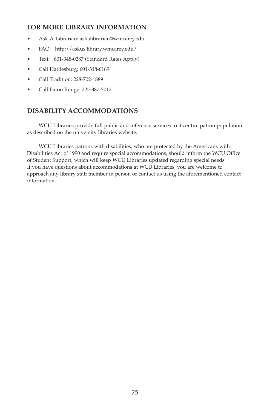#### **FoR MoRE LIBRARy INFoRMATIoN**

- Ask-A-Librarian: askalibrarian@wmcarey.edu
- FAQ: http://askus.library.wmcarey.edu/
- Text: 601-348-0287 (Standard Rates Apply)
- Call Hattiesburg: 601-318-6169
- Call Tradition: 228-702-1889
- Call Baton Rouge: 225-387-7012

# **dISABILITy ACCoMModATIoNS**

 WCU Libraries provide full public and reference services to its entire patron population as described on the university libraries website.

 WCU Libraries patrons with disabilities, who are protected by the Americans with Disabilities Act of 1990 and require special accommodations, should inform the WCU Office of Student Support, which will keep WCU Libraries updated regarding special needs. If you have questions about accommodations at WCU Libraries, you are welcome to approach any library staff member in person or contact us using the aforementioned contact information.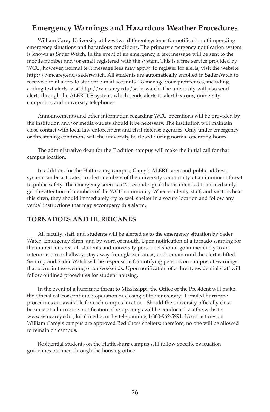# **Emergency Warnings and Hazardous Weather Procedures**

 William Carey University utilizes two different systems for notification of impending emergency situations and hazardous conditions. The primary emergency notification system is known as Sader Watch. In the event of an emergency, a text message will be sent to the mobile number and/or email registered with the system. This is a free service provided by WCU; however, normal text message fees may apply. To register for alerts, visit the website http://wmcarey.edu/saderwatch. All students are automatically enrolled in SaderWatch to receive e-mail alerts to student e-mail accounts. To manage your preferences, including adding text alerts, visit http://wmcarey.edu/saderwatch. The university will also send alerts through the ALERTUS system, which sends alerts to alert beacons, university computers, and university telephones.

 Announcements and other information regarding WCU operations will be provided by the institution and/or media outlets should it be necessary. The institution will maintain close contact with local law enforcement and civil defense agencies. Only under emergency or threatening conditions will the university be closed during normal operating hours.

 The administrative dean for the Tradition campus will make the initial call for that campus location.

 In addition, for the Hattiesburg campus, Carey's ALERT siren and public address system can be activated to alert members of the university community of an imminent threat to public safety. The emergency siren is a 25-second signal that is intended to immediately get the attention of members of the WCU community. When students, staff, and visitors hear this siren, they should immediately try to seek shelter in a secure location and follow any verbal instructions that may accompany this alarm.

#### **ToRNAdoES ANd HURRICANES**

 All faculty, staff, and students will be alerted as to the emergency situation by Sader Watch, Emergency Siren, and by word of mouth. Upon notification of a tornado warning for the immediate area, all students and university personnel should go immediately to an interior room or hallway, stay away from glassed areas, and remain until the alert is lifted. Security and Sader Watch will be responsible for notifying persons on campus of warnings that occur in the evening or on weekends. Upon notification of a threat, residential staff will follow outlined procedures for student housing.

 In the event of a hurricane threat to Mississippi, the Office of the President will make the official call for continued operation or closing of the university. Detailed hurricane procedures are available for each campus location. Should the university officially close because of a hurricane, notification of re-openings will be conducted via the website www.wmcarey.edu , local media, or by telephoning 1-800-962-5991. No structures on William Carey's campus are approved Red Cross shelters; therefore, no one will be allowed to remain on campus.

 Residential students on the Hattiesburg campus will follow specific evacuation guidelines outlined through the housing office.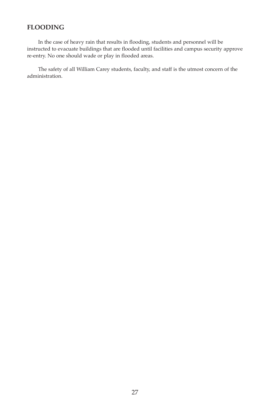# **FLoodING**

 In the case of heavy rain that results in flooding, students and personnel will be instructed to evacuate buildings that are flooded until facilities and campus security approve re-entry. No one should wade or play in flooded areas.

 The safety of all William Carey students, faculty, and staff is the utmost concern of the administration.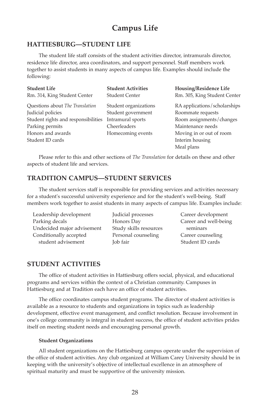# **Campus Life**

#### **HATTIESBURG—STUdENT LIFE**

 The student life staff consists of the student activities director, intramurals director, residence life director, area coordinators, and support personnel. Staff members work together to assist students in many aspects of campus life. Examples should include the following:

| <b>Student Life</b>                 | <b>Student Activities</b> | Housing/Residence Life       |
|-------------------------------------|---------------------------|------------------------------|
| Rm. 314, King Student Center        | <b>Student Center</b>     | Rm. 305, King Student Center |
| Questions about The Translation     | Student organizations     | RA applications/scholarships |
| Judicial policies                   | Student government        | Roommate requests            |
| Student rights and responsibilities | Intramural sports         | Room assignments/changes     |
| Parking permits                     | Cheerleaders              | Maintenance needs            |
| Honors and awards                   | Homecoming events         | Moving in or out of room     |
| Student ID cards                    |                           | Interim housing              |
|                                     |                           | Meal plans                   |

 Please refer to this and other sections of *The Translation* for details on these and other aspects of student life and services.

#### **TRAdITIoN CAMPUS—STUdENT SERVICES**

 The student services staff is responsible for providing services and activities necessary for a student's successful university experience and for the student's well-being. Staff members work together to assist students in many aspects of campus life. Examples include:

Leadership development Parking decals Undecided major advisement Conditionally accepted student advisement

Judicial processes Honors Day Study skills resources Personal counseling Job fair

Career development Career and well-being seminars Career counseling Student ID cards

#### **STUDENT ACTIVITIES**

The office of student activities in Hattiesburg offers social, physical, and educational programs and services within the context of a Christian community. Campuses in Hattiesburg and at Tradition each have an office of student activities.

 The office coordinates campus student programs. The director of student activities is available as a resource to students and organizations in topics such as leadership development, effective event management, and conflict resolution. Because involvement in one's college community is integral in student success, the office of student activities prides itself on meeting student needs and encouraging personal growth.

#### **Student Organizations**

 All student organizations on the Hattiesburg campus operate under the supervision of the office of student activities. Any club organized at William Carey University should be in keeping with the university's objective of intellectual excellence in an atmosphere of spiritual maturity and must be supportive of the university mission.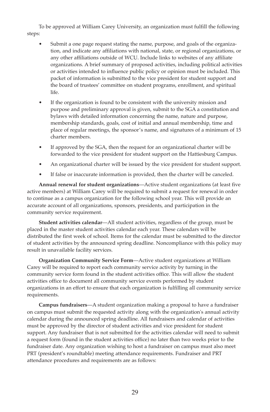To be approved at William Carey University, an organization must fulfill the following steps:

- Submit a one page request stating the name, purpose, and goals of the organization, and indicate any affiliations with national, state, or regional organizations, or any other affiliations outside of WCU. Include links to websites of any affiliate organizations. A brief summary of proposed activities, including political activities or activities intended to influence public policy or opinion must be included. This packet of information is submitted to the vice president for student support and the board of trustees' committee on student programs, enrollment, and spiritual life.
- If the organization is found to be consistent with the university mission and purpose and preliminary approval is given, submit to the SGA a constitution and bylaws with detailed information concerning the name, nature and purpose, membership standards, goals, cost of initial and annual membership, time and place of regular meetings, the sponsor's name, and signatures of a minimum of 15 charter members.
- If approved by the SGA, then the request for an organizational charter will be forwarded to the vice president for student support on the Hattiesburg Campus.
- An organizational charter will be issued by the vice president for student support.
- If false or inaccurate information is provided, then the charter will be canceled.

 **Annual renewal for student organizations**—Active student organizations (at least five active members) at William Carey will be required to submit a request for renewal in order to continue as a campus organization for the following school year. This will provide an accurate account of all organizations, sponsors, presidents, and participation in the community service requirement.

 **Student activities calendar**—All student activities, regardless of the group, must be placed in the master student activities calendar each year. These calendars will be distributed the first week of school. Items for the calendar must be submitted to the director of student activities by the announced spring deadline. Noncompliance with this policy may result in unavailable facility services.

 **organization Community Service Form**—Active student organizations at William Carey will be required to report each community service activity by turning in the community service form found in the student activities office. This will allow the student activities office to document all community service events performed by student organizations in an effort to ensure that each organization is fulfilling all community service requirements.

 **Campus fundraisers**—A student organization making a proposal to have a fundraiser on campus must submit the requested activity along with the organization's annual activity calendar during the announced spring deadline. All fundraisers and calendar of activities must be approved by the director of student activities and vice president for student support. Any fundraiser that is not submitted for the activities calendar will need to submit a request form (found in the student activities office) no later than two weeks prior to the fundraiser date. Any organization wishing to host a fundraiser on campus must also meet PRT (president's roundtable) meeting attendance requirements. Fundraiser and PRT attendance procedures and requirements are as follows: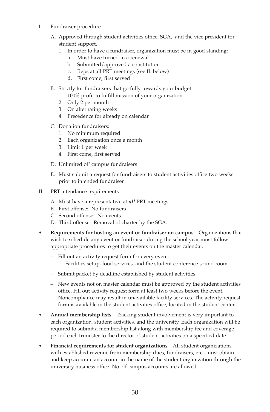- I. Fundraiser procedure
	- A. Approved through student activities office, SGA, and the vice president for student support.
		- 1. In order to have a fundraiser, organization must be in good standing:
			- a. Must have turned in a renewal
			- b. Submitted/approved a constitution
			- c. Reps at all PRT meetings (see II. below)
			- d. First come, first served
	- B. Strictly for fundraisers that go fully towards your budget:
		- 1. 100% profit to fulfill mission of your organization
		- 2. Only 2 per month
		- 3. On alternating weeks
		- 4. Precedence for already on calendar
	- C. Donation fundraisers:
		- 1. No minimum required
		- 2. Each organization once a month
		- 3. Limit 1 per week
		- 4. First come, first served
	- D. Unlimited off campus fundraisers
	- E. Must submit a request for fundraisers to student activities office two weeks prior to intended fundraiser.
- II. PRT attendance requirements
	- A. Must have a representative at *all* PRT meetings.
	- B. First offense: No fundraisers
	- C. Second offense: No events
	- D. Third offense: Removal of charter by the SGA.
- **Requirements for hosting an event or fundraiser on campus**—Organizations that wish to schedule any event or fundraiser during the school year must follow appropriate procedures to get their events on the master calendar.
	- Fill out an activity request form for every event. Facilities setup, food services, and the student conference sound room.
	- Submit packet by deadline established by student activities.
	- New events not on master calendar must be approved by the student activities office. Fill out activity request form at least two weeks before the event. Noncompliance may result in unavailable facility services. The activity request form is available in the student activities office, located in the student center.
- **Annual membership lists**—Tracking student involvement is very important to each organization, student activities, and the university. Each organization will be required to submit a membership list along with membership fee and coverage period each trimester to the director of student activities on a specified date.
- **Financial requirements for student organizations**—All student organizations with established revenue from membership dues, fundraisers, etc., must obtain and keep accurate an account in the name of the student organization through the university business office. No off-campus accounts are allowed.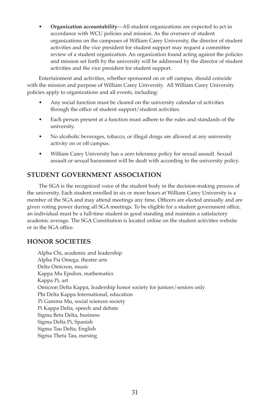• **organization accountability**—All student organizations are expected to act in accordance with WCU policies and mission. As the overseer of student organizations on the campuses of William Carey University, the director of student activities and the vice president for student support may request a committee review of a student organization. An organization found acting against the policies and mission set forth by the university will be addressed by the director of student activities and the vice president for student support.

 Entertainment and activities, whether sponsored on or off campus, should coincide with the mission and purpose of William Carey University. All William Carey University policies apply to organizations and all events, including:

- Any social function must be cleared on the university calendar of activities through the office of student support/student activities.
- Each person present at a function must adhere to the rules and standards of the university.
- No alcoholic beverages, tobacco, or illegal drugs are allowed at any university activity on or off campus.
- William Carey University has a zero tolerance policy for sexual assault. Sexual assault or sexual harassment will be dealt with according to the university policy.

#### **STUdENT GoVERNMENT ASSoCIATIoN**

 The SGA is the recognized voice of the student body in the decision-making process of the university. Each student enrolled in six or more hours at William Carey University is a member of the SGA and may attend meetings any time. Officers are elected annually and are given voting power during all SGA meetings. To be eligible for a student government office, an individual must be a full-time student in good standing and maintain a satisfactory academic average. The SGA Constitution is located online on the student activities website or in the SGA office.

#### **HoNoR SoCIETIES**

Alpha Chi, academic and leadership Alpha Psi Omega, theatre arts Delta Omicron, music Kappa Mu Epsilon, mathematics Kappa Pi, art Omicron Delta Kappa, leadership honor society for juniors/seniors only Phi Delta Kappa International, education Pi Gamma Mu, social sciences society Pi Kappa Delta, speech and debate Sigma Beta Delta, business Sigma Delta Pi, Spanish Sigma Tau Delta, English Sigma Theta Tau, nursing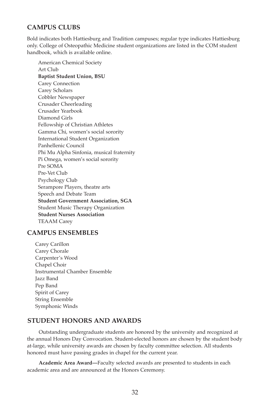#### **CAMPUS CLUBS**

Bold indicates both Hattiesburg and Tradition campuses; regular type indicates Hattiesburg only. College of Osteopathic Medicine student organizations are listed in the COM student handbook, which is available online.

American Chemical Society Art Club **Baptist Student Union, BSU** Carey Connection Carey Scholars Cobbler Newspaper Crusader Cheerleading Crusader Yearbook Diamond Girls Fellowship of Christian Athletes Gamma Chi, women's social sorority International Student Organization Panhellenic Council Phi Mu Alpha Sinfonia, musical fraternity Pi Omega, women's social sorority Pre SOMA Pre-Vet Club Psychology Club Serampore Players, theatre arts Speech and Debate Team **Student Government Association, SGA** Student Music Therapy Organization **Student Nurses Association** TEAAM Carey

#### **CAMPUS ENSEMBLES**

Carey Carillon Carey Chorale Carpenter's Wood Chapel Choir Instrumental Chamber Ensemble Jazz Band Pep Band Spirit of Carey String Ensemble Symphonic Winds

#### **STUdENT HoNoRS ANd AWARdS**

 Outstanding undergraduate students are honored by the university and recognized at the annual Honors Day Convocation. Student-elected honors are chosen by the student body at-large, while university awards are chosen by faculty committee selection. All students honored must have passing grades in chapel for the current year.

 **Academic Area Award—**Faculty selected awards are presented to students in each academic area and are announced at the Honors Ceremony.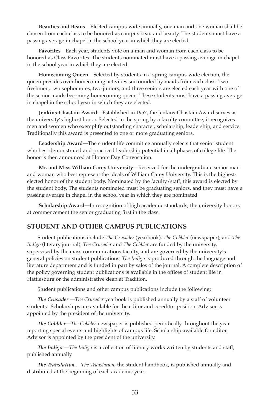**Beauties and Beaus—**Elected campus-wide annually, one man and one woman shall be chosen from each class to be honored as campus beau and beauty. The students must have a passing average in chapel in the school year in which they are elected.

 **Favorites**—Each year, students vote on a man and woman from each class to be honored as Class Favorites. The students nominated must have a passing average in chapel in the school year in which they are elected.

 **Homecoming queen—**Selected by students in a spring campus-wide election, the queen presides over homecoming activities surrounded by maids from each class. Two freshmen, two sophomores, two juniors, and three seniors are elected each year with one of the senior maids becoming homecoming queen. These students must have a passing average in chapel in the school year in which they are elected.

 **Jenkins-Chastain Award—**Established in 1957, the Jenkins-Chastain Award serves as the university's highest honor. Selected in the spring by a faculty committee, it recognizes men and women who exemplify outstanding character, scholarship, leadership, and service. Traditionally this award is presented to one or more graduating seniors.

 **Leadership Award—**The student life committee annually selects that senior student who best demonstrated and practiced leadership potential in all phases of college life. The honor is then announced at Honors Day Convocation.

 **Mr. and Miss William Carey University**—Reserved for the undergraduate senior man and woman who best represent the ideals of William Carey University. This is the highestelected honor of the student body. Nominated by the faculty/staff, this award is elected by the student body. The students nominated must be graduating seniors, and they must have a passing average in chapel in the school year in which they are nominated.

 **Scholarship Award—**In recognition of high academic standards, the university honors at commencement the senior graduating first in the class.

#### **STUdENT ANd oTHER CAMPUS PUBLICATIoNS**

Student publications include *The Crusader* (yearbook), *The Cobbler* (newspaper), and *The Indigo* (literary journal). *The Crusader* and *The Cobbler* are funded by the university, supervised by the mass communications faculty, and are governed by the university's general policies on student publications. *The Indigo* is produced through the language and literature department and is funded in part by sales of the journal. A complete description of the policy governing student publications is available in the offices of student life in Hattiesburg or the administrative dean at Tradition.

Student publications and other campus publications include the following:

 *The Crusader* —*The Crusader* yearbook is published annually by a staff of volunteer students. Scholarships are available for the editor and co-editor position. Advisor is appointed by the president of the university.

 *The Cobbler***—***The Cobbler* newspaper is published periodically throughout the year reporting special events and highlights of campus life. Scholarship available for editor. Advisor is appointed by the president of the university.

 *The Indigo* —*The Indigo* is a collection of literary works written by students and staff, published annually.

 *The Translation* —*The Translation*, the student handbook, is published annually and distributed at the beginning of each academic year.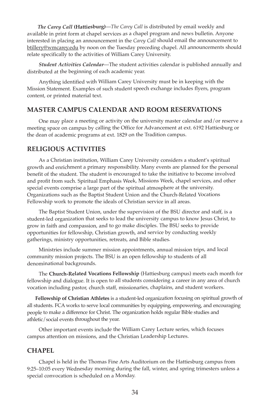*The Carey Call* **(Hattiesburg)**—*The Carey Call* is distributed by email weekly and available in print form at chapel services as a chapel program and news bulletin. Anyone interested in placing an announcement in the *Carey Call* should email the announcement to btillery@wmcarey.edu by noon on the Tuesday preceding chapel. All announcements should relate specifically to the activities of William Carey University.

 *Student Activities Calendar*—The student activities calendar is published annually and distributed at the beginning of each academic year.

 Anything identified with William Carey University must be in keeping with the Mission Statement. Examples of such student speech exchange includes flyers, program content, or printed material text.

#### **MASTER CAMPUS CALENdAR ANd RooM RESERVATIoNS**

 One may place a meeting or activity on the university master calendar and/or reserve a meeting space on campus by calling the Office for Advancement at ext. 6192 Hattiesburg or the dean of academic programs at ext. 1829 on the Tradition campus.

#### **RELIGIoUS ACTIVITIES**

 As a Christian institution, William Carey University considers a student's spiritual growth and enrichment a primary responsibility. Many events are planned for the personal benefit of the student. The student is encouraged to take the initiative to become involved and profit from such. Spiritual Emphasis Week, Missions Week, chapel services, and other special events comprise a large part of the spiritual atmosphere at the university. Organizations such as the Baptist Student Union and the Church-Related Vocations Fellowship work to promote the ideals of Christian service in all areas.

 The Baptist Student Union, under the supervision of the BSU director and staff, is a student-led organization that seeks to lead the university campus to know Jesus Christ, to grow in faith and compassion, and to go make disciples. The BSU seeks to provide opportunities for fellowship, Christian growth, and service by conducting weekly gatherings, ministry opportunities, retreats, and Bible studies.

 Ministries include summer mission appointments, annual mission trips, and local community mission projects. The BSU is an open fellowship to students of all denominational backgrounds.

 The **Church-Related Vocations Fellowship** (Hattiesburg campus) meets each month for fellowship and dialogue. It is open to all students considering a career in any area of church vocation including pastor, church staff, missionaries, chaplains, and student workers.

 **Fellowship of Christian Athletes** is a student-led organization focusing on spiritual growth of all students. FCA works to serve local communities by equipping, empowering, and encouraging people to make a difference for Christ. The organization holds regular Bible studies and athletic/social events throughout the year.

 Other important events include the William Carey Lecture series, which focuses campus attention on missions, and the Christian Leadership Lectures.

#### **CHAPEL**

 Chapel is held in the Thomas Fine Arts Auditorium on the Hattiesburg campus from 9:25–10:05 every Wednesday morning during the fall, winter, and spring trimesters unless a special convocation is scheduled on a Monday.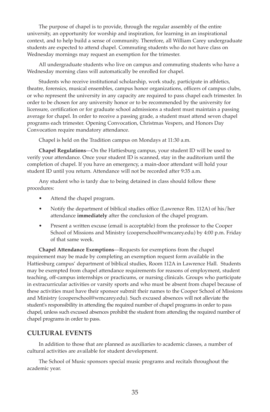The purpose of chapel is to provide, through the regular assembly of the entire university, an opportunity for worship and inspiration, for learning in an inspirational context, and to help build a sense of community. Therefore, all William Carey undergraduate students are expected to attend chapel. Commuting students who do not have class on Wednesday mornings may request an exemption for the trimester.

 All undergraduate students who live on campus and commuting students who have a Wednesday morning class will automatically be enrolled for chapel.

 Students who receive institutional scholarship, work study, participate in athletics, theatre, forensics, musical ensembles, campus honor organizations, officers of campus clubs, or who represent the university in any capacity are required to pass chapel each trimester. In order to be chosen for any university honor or to be recommended by the university for licensure, certification or for graduate school admissions a student must maintain a passing average for chapel. In order to receive a passing grade, a student must attend seven chapel programs each trimester. Opening Convocation, Christmas Vespers, and Honors Day Convocation require mandatory attendance.

Chapel is held on the Tradition campus on Mondays at 11:30 a.m.

 **Chapel Regulations**—On the Hattiesburg campus, your student ID will be used to verify your attendance. Once your student ID is scanned, stay in the auditorium until the completion of chapel. If you have an emergency, a main-door attendant will hold your student ID until you return. Attendance will not be recorded after 9:35 a.m.

 Any student who is tardy due to being detained in class should follow these procedures:

- Attend the chapel program.
- Notify the department of biblical studies office (Lawrence Rm. 112A) of his/her attendance **immediately** after the conclusion of the chapel program.
- Present a written excuse (email is acceptable) from the professor to the Cooper School of Missions and Ministry (cooperschool@wmcarey.edu) by 4:00 p.m. Friday of that same week.

 **Chapel Attendance Exemptions**—Requests for exemptions from the chapel requirement may be made by completing an exemption request form available in the Hattiesburg campus' department of biblical studies, Room 112A in Lawrence Hall. Students may be exempted from chapel attendance requirements for reasons of employment, student teaching, off-campus internships or practicums, or nursing clinicals. Groups who participate in extracurricular activities or varsity sports and who must be absent from chapel because of these activities must have their sponsor submit their names to the Cooper School of Missions and Ministry (cooperschool@wmcarey.edu). Such excused absences will not alleviate the student's responsibility in attending the required number of chapel programs in order to pass chapel, unless such excused absences prohibit the student from attending the required number of chapel programs in order to pass.

#### **CULTURAL EVENTS**

 In addition to those that are planned as auxiliaries to academic classes, a number of cultural activities are available for student development.

 The School of Music sponsors special music programs and recitals throughout the academic year.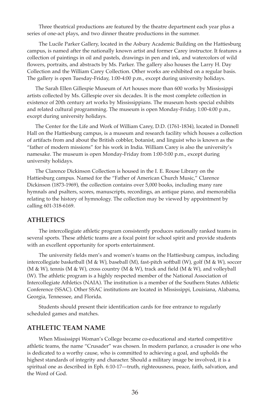Three theatrical productions are featured by the theatre department each year plus a series of one-act plays, and two dinner theatre productions in the summer.

 The Lucile Parker Gallery, located in the Asbury Academic Building on the Hattiesburg campus, is named after the nationally known artist and former Carey instructor. It features a collection of paintings in oil and pastels, drawings in pen and ink, and watercolors of wild flowers, portraits, and abstracts by Ms. Parker. The gallery also houses the Larry H. Day Collection and the William Carey Collection. Other works are exhibited on a regular basis. The gallery is open Tuesday-Friday, 1:00-4:00 p.m., except during university holidays.

 The Sarah Ellen Gillespie Museum of Art houses more than 600 works by Mississippi artists collected by Ms. Gillespie over six decades. It is the most complete collection in existence of 20th century art works by Mississippians. The museum hosts special exhibits and related cultural programming. The museum is open Monday-Friday, 1:00-4:00 p.m., except during university holidays.

 The Center for the Life and Work of William Carey, D.D. (1761-1834), located in Donnell Hall on the Hattiesburg campus, is a museum and research facility which houses a collection of artifacts from and about the British cobbler, botanist, and linguist who is known as the "father of modern missions" for his work in India. William Carey is also the university's namesake. The museum is open Monday-Friday from 1:00-5:00 p.m., except during university holidays.

 The Clarence Dickinson Collection is housed in the I. E. Rouse Library on the Hattiesburg campus. Named for the "Father of American Church Music," Clarence Dickinson (1873-1969), the collection contains over 5,000 books, including many rare hymnals and psalters, scores, manuscripts, recordings, an antique piano, and memorabilia relating to the history of hymnology. The collection may be viewed by appointment by calling 601-318-6169.

#### **ATHLETICS**

 The intercollegiate athletic program consistently produces nationally ranked teams in several sports. These athletic teams are a focal point for school spirit and provide students with an excellent opportunity for sports entertainment.

 The university fields men's and women's teams on the Hattiesburg campus, including intercollegiate basketball (M & W), baseball (M), fast-pitch softball (W), golf (M & W), soccer (M & W), tennis (M & W), cross country (M & W), track and field (M & W), and volleyball (W). The athletic program is a highly respected member of the National Association of Intercollegiate Athletics (NAIA). The institution is a member of the Southern States Athletic Conference (SSAC). Other SSAC institutions are located in Mississippi, Louisiana, Alabama, Georgia, Tennessee, and Florida.

 Students should present their identification cards for free entrance to regularly scheduled games and matches.

#### **ATHLETIC TEAM NAME**

 When Mississippi Woman's College became co-educational and started competitive athletic teams, the name "Crusader" was chosen. In modern parlance, a crusader is one who is dedicated to a worthy cause, who is committed to achieving a goal, and upholds the highest standards of integrity and character. Should a military image be involved, it is a spiritual one as described in Eph. 6:10-17—truth, righteousness, peace, faith, salvation, and the Word of God.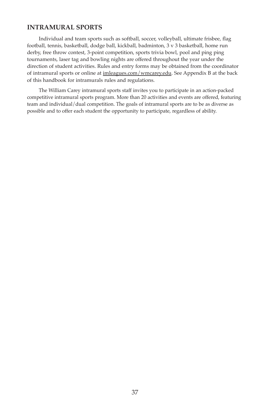# **INTRAMURAL SPoRTS**

Individual and team sports such as softball, soccer, volleyball, ultimate frisbee, flag football, tennis, basketball, dodge ball, kickball, badminton, 3 v 3 basketball, home run derby, free throw contest, 3-point competition, sports trivia bowl, pool and ping ping tournaments, laser tag and bowling nights are offered throughout the year under the direction of student activities. Rules and entry forms may be obtained from the coordinator of intramural sports or online at imleagues.com/wmcarey.edu. See Appendix B at the back of this handbook for intramurals rules and regulations.

 The William Carey intramural sports staff invites you to participate in an action-packed competitive intramural sports program. More than 20 activities and events are offered, featuring team and individual/dual competition. The goals of intramural sports are to be as diverse as possible and to offer each student the opportunity to participate, regardless of ability.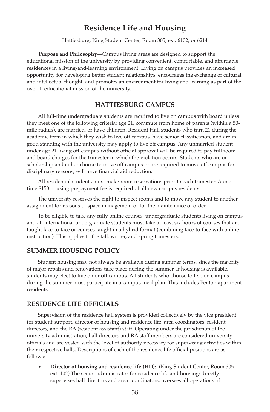# **Residence Life and Housing**

Hattiesburg: King Student Center, Room 305, ext. 6102, or 6214

 **Purpose and Philosophy**—Campus living areas are designed to support the educational mission of the university by providing convenient, comfortable, and affordable residences in a living-and-learning environment. Living on campus provides an increased opportunity for developing better student relationships, encourages the exchange of cultural and intellectual thought, and promotes an environment for living and learning as part of the overall educational mission of the university.

## **HATTIESBURG CAMPUS**

 All full-time undergraduate students are required to live on campus with board unless they meet one of the following criteria: age 21, commute from home of parents (within a 50 mile radius), are married, or have children. Resident Hall students who turn 21 during the academic term in which they wish to live off campus, have senior classification, and are in good standing with the university may apply to live off campus. Any unmarried student under age 21 living off-campus without official approval will be required to pay full room and board charges for the trimester in which the violation occurs. Students who are on scholarship and either choose to move off campus or are required to move off campus for disciplinary reasons, will have financial aid reduction.

 All residential students must make room reservations prior to each trimester. A one time \$150 housing prepayment fee is required of all new campus residents.

 The university reserves the right to inspect rooms and to move any student to another assignment for reasons of space management or for the maintenance of order.

 To be eligible to take any fully online courses, undergraduate students living on campus and all international undergraduate students must take at least six hours of courses that are taught face-to-face or courses taught in a hybrid format (combining face-to-face with online instruction). This applies to the fall, winter, and spring trimesters.

## **SUMMER HoUSING PoLICy**

 Student housing may not always be available during summer terms, since the majority of major repairs and renovations take place during the summer. If housing is available, students may elect to live on or off campus. All students who choose to live on campus during the summer must participate in a campus meal plan. This includes Penton apartment residents.

## **RESIdENCE LIFE oFFICIALS**

 Supervision of the residence hall system is provided collectively by the vice president for student support, director of housing and residence life, area coordinators, resident directors, and the RA (resident assistant) staff. Operating under the jurisdiction of the university administration, hall directors and RA staff members are considered university officials and are vested with the level of authority necessary for supervising activities within their respective halls. Descriptions of each of the residence life official positions are as follows:

Director of housing and residence life (HD): (King Student Center, Room 305, ext. 102) The senior administrator for residence life and housing; directly supervises hall directors and area coordinators; oversees all operations of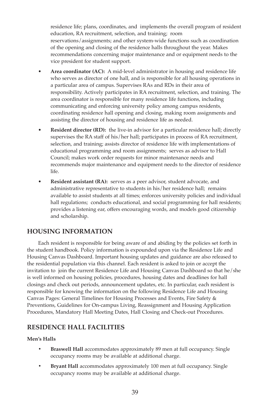residence life; plans, coordinates, and implements the overall program of resident education, RA recruitment, selection, and training; room reservations/assignments; and other system-wide functions such as coordination of the opening and closing of the residence halls throughout the year. Makes recommendations concerning major maintenance and or equipment needs to the vice president for student support.

- **Area coordinator (AC):** A mid-level administrator in housing and residence life who serves as director of one hall, and is responsible for all housing operations in a particular area of campus. Supervises RAs and RDs in their area of responsibility. Actively participates in RA recruitment, selection, and training. The area coordinator is responsible for many residence life functions, including communicating and enforcing university policy among campus residents, coordinating residence hall opening and closing, making room assignments and assisting the director of housing and residence life as needed.
- **Resident director (RD):** the live-in advisor for a particular residence hall; directly supervises the RA staff of his/her hall; participates in process of RA recruitment, selection, and training; assists director of residence life with implementations of educational programming and room assignments; serves as advisor to Hall Council; makes work order requests for minor maintenance needs and recommends major maintenance and equipment needs to the director of residence life.
- **Resident assistant (RA):** serves as a peer advisor, student advocate, and administrative representative to students in his/her residence hall; remains available to assist students at all times; enforces university policies and individual hall regulations; conducts educational, and social programming for hall residents; provides a listening ear, offers encouraging words, and models good citizenship and scholarship.

# **HoUSING INFoRMATIoN**

 Each resident is responsible for being aware of and abiding by the policies set forth in the student handbook. Policy information is expounded upon via the Residence Life and Housing Canvas Dashboard. Important housing updates and guidance are also released to the residential population via this channel. Each resident is asked to join or accept the invitation to join the current Residence Life and Housing Canvas Dashboard so that he/she is well informed on housing policies, procedures, housing dates and deadlines for hall closings and check out periods, announcement updates, etc. In particular, each resident is responsible for knowing the information on the following Residence Life and Housing Canvas Pages: General Timelines for Housing Processes and Events, Fire Safety & Preventions, Guidelines for On-campus Living, Reassignment and Housing Application Procedures, Mandatory Hall Meeting Dates, Hall Closing and Check-out Procedures.

# **RESIdENCE HALL FACILITIES**

## **Men's Halls**

- **• Braswell Hall** accommodates approximately 89 men at full occupancy. Single occupancy rooms may be available at additional charge.
- **• Bryant Hall** accommodates approximately 100 men at full occupancy. Single occupancy rooms may be available at additional charge.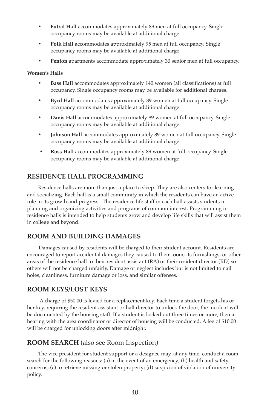- **• Futral Hall** accommodates approximately 89 men at full occupancy. Single occupancy rooms may be available at additional charge.
- **• Polk Hall** accommodates approximately 95 men at full occupancy. Single occupancy rooms may be available at additional charge.
- **• Penton** apartments accommodate approximately 30 senior men at full occupancy.

#### **Women's Halls**

- **• Bass Hall** accommodates approximately 140 women (all classifications) at full occupancy. Single occupancy rooms may be available for additional charges.
- **• Byrd Hall** accommodates approximately 89 women at full occupancy. Single occupancy rooms may be available at additional charge.
- **• davis Hall** accommodates approximately 89 women at full occupancy. Single occupancy rooms may be available at additional charge.
- **• Johnson Hall** accommodates approximately 89 women at full occupancy. Single occupancy rooms may be available at additional charge.
- **• Ross Hall** accommodates approximately 89 women at full occupancy. Single occupancy rooms may be available at additional charge.

# **RESIdENCE HALL PRoGRAMMING**

Residence halls are more than just a place to sleep. They are also centers for learning and socializing. Each hall is a small community in which the residents can have an active role in its growth and progress. The residence life staff in each hall assists students in planning and organizing activities and programs of common interest. Programming in residence halls is intended to help students grow and develop life skills that will assist them in college and beyond.

# **RooM ANd BUILdING dAMAGES**

Damages caused by residents will be charged to their student account. Residents are encouraged to report accidental damages they caused to their room, its furnishings, or other areas of the residence hall to their resident assistant (RA) or their resident director (RD) so others will not be charged unfairly. Damage or neglect includes but is not limited to nail holes, cleanliness, furniture damage or loss, and similar offenses.

# **RooM KEyS/LoST KEyS**

A charge of \$50.00 is levied for a replacement key. Each time a student forgets his or her key, requiring the resident assistant or hall director to unlock the door, the incident will be documented by the housing staff. If a student is locked out three times or more, then a hearing with the area coordinator or director of housing will be conducted. A fee of \$10.00 will be charged for unlocking doors after midnight.

# **RooM SEARCH** (also see Room Inspection)

 The vice president for student support or a designee may, at any time, conduct a room search for the following reasons: (a) in the event of an emergency; (b) health and safety concerns; (c) to retrieve missing or stolen property; (d) suspicion of violation of university policy.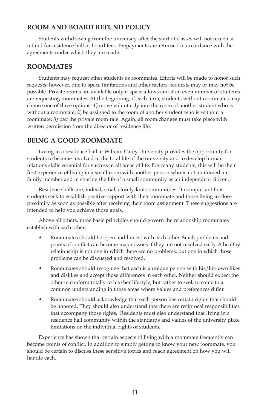# **RooM ANd BoARd REFUNd PoLICy**

Students withdrawing from the university after the start of classes will not receive a refund for residence hall or board fees. Prepayments are returned in accordance with the agreements under which they are made.

# **RooMMATES**

 Students may request other students as roommates. Efforts will be made to honor such requests; however, due to space limitations and other factors, requests may or may not be possible. Private rooms are available only if space allows and if an even number of students are requesting roommates. At the beginning of each term, students without roommates may choose one of three options: 1) move voluntarily into the room of another student who is without a roommate; 2) be assigned to the room of another student who is without a roommate; 3) pay the private room rate. Again, all room changes must take place with written permission from the director of residence life.

# **BEING A Good RooMMATE**

 Living in a residence hall at William Carey University provides the opportunity for students to become involved in the total life of the university and to develop human relations skills essential for success in all areas of life. For many students, this will be their first experience of living in a small room with another person who is not an immediate family member and in sharing the life of a small community as an independent citizen.

 Residence halls are, indeed, small closely-knit communities. It is important that students seek to establish positive rapport with their roommate and those living in close proximity as soon as possible after receiving their room assignment. These suggestions are intended to help you achieve those goals.

 Above all others, three basic principles should govern the relationship roommates establish with each other:

- Roommates should be open and honest with each other. Small problems and points of conflict can become major issues if they are not resolved early. A healthy relationship is not one in which there are no problems, but one in which those problems can be discussed and resolved.
- Roommates should recognize that each is a unique person with his/her own likes and dislikes and accept those differences in each other. Neither should expect the other to conform totally to his/her lifestyle, but rather to seek to come to a common understanding in those areas where values and preferences differ.
- Roommates should acknowledge that each person has certain rights that should be honored. They should also understand that there are reciprocal responsibilities that accompany those rights. Residents must also understand that living in a residence hall community within the standards and values of the university place limitations on the individual rights of students.

 Experience has shown that certain aspects of living with a roommate frequently can become points of conflict. In addition to simply getting to know your new roommate, you should be certain to discuss these sensitive topics and reach agreement on how you will handle each.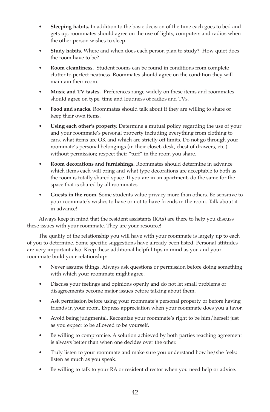- **Sleeping habits.** In addition to the basic decision of the time each goes to bed and gets up, roommates should agree on the use of lights, computers and radios when the other person wishes to sleep.
- **Study habits.** Where and when does each person plan to study? How quiet does the room have to be?
- **Room cleanliness.** Student rooms can be found in conditions from complete clutter to perfect neatness. Roommates should agree on the condition they will maintain their room.
- **Music and TV tastes.** Preferences range widely on these items and roommates should agree on type, time and loudness of radios and TVs.
- **Food and snacks.** Roommates should talk about if they are willing to share or keep their own items.
- **Using each other's property.** Determine a mutual policy regarding the use of your and your roommate's personal property including everything from clothing to cars, what items are OK and which are strictly off limits. Do not go through your roommate's personal belongings (in their closet, desk, chest of drawers, etc.) without permission; respect their "turf" in the room you share.
- **Room decorations and furnishings.** Roommates should determine in advance which items each will bring and what type decorations are acceptable to both as the room is totally shared space. If you are in an apartment, do the same for the space that is shared by all roommates.
- **Guests in the room.** Some students value privacy more than others. Be sensitive to your roommate's wishes to have or not to have friends in the room. Talk about it in advance!

 Always keep in mind that the resident assistants (RAs) are there to help you discuss these issues with your roommate. They are your resource!

 The quality of the relationship you will have with your roommate is largely up to each of you to determine. Some specific suggestions have already been listed. Personal attitudes are very important also. Keep these additional helpful tips in mind as you and your roommate build your relationship:

- Never assume things. Always ask questions or permission before doing something with which your roommate might agree.
- Discuss your feelings and opinions openly and do not let small problems or disagreements become major issues before talking about them.
- Ask permission before using your roommate's personal property or before having friends in your room. Express appreciation when your roommate does you a favor.
- Avoid being judgmental. Recognize your roommate's right to be him/herself just as you expect to be allowed to be yourself.
- Be willing to compromise. A solution achieved by both parties reaching agreement is always better than when one decides over the other.
- Truly listen to your roommate and make sure you understand how he/she feels; listen as much as you speak.
- Be willing to talk to your RA or resident director when you need help or advice.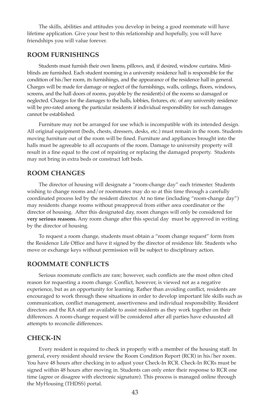The skills, abilities and attitudes you develop in being a good roommate will have lifetime application. Give your best to this relationship and hopefully, you will have friendships you will value forever.

## **RooM FURNISHINGS**

Students must furnish their own linens, pillows, and, if desired, window curtains. Miniblinds are furnished. Each student rooming in a university residence hall is responsible for the condition of his/her room, its furnishings, and the appearance of the residence hall in general. Charges will be made for damage or neglect of the furnishings, walls, ceilings, floors, windows, screens, and the hall doors of rooms, payable by the resident(s) of the rooms so damaged or neglected. Charges for the damages to the halls, lobbies, fixtures, etc. of any university residence will be pro-rated among the particular residents if individual responsibility for such damages cannot be established.

 Furniture may not be arranged for use which is incompatible with its intended design. All original equipment (beds, chests, dressers, desks, etc.) must remain in the room. Students moving furniture out of the room will be fined. Furniture and appliances brought into the halls must be agreeable to all occupants of the room. Damage to university property will result in a fine equal to the cost of repairing or replacing the damaged property. Students may not bring in extra beds or construct loft beds.

#### **RooM CHANGES**

 The director of housing will designate a "room-change day" each trimester. Students wishing to change rooms and/or roommates may do so at this time through a carefully coordinated process led by the resident director. At no time (including "room-change day") may residents change rooms without preapproval from either area coordinator or the director of housing. After this designated day, room changes will only be considered for **very serious reasons.** Any room change after this special day must be approved in writing by the director of housing.

 To request a room change, students must obtain a "room change request" form from the Residence Life Office and have it signed by the director of residence life. Students who move or exchange keys without permission will be subject to disciplinary action.

## **RooMMATE CoNFLICTS**

 Serious roommate conflicts are rare; however, such conflicts are the most often cited reason for requesting a room change. Conflict, however, is viewed not as a negative experience, but as an opportunity for learning. Rather than avoiding conflict, residents are encouraged to work through these situations in order to develop important life skills such as communication, conflict management, assertiveness and individual responsibility. Resident directors and the RA staff are available to assist residents as they work together on their differences. A room-change request will be considered after all parties have exhausted all attempts to reconcile differences.

## **CHECK-IN**

 Every resident is required to check in properly with a member of the housing staff. In general, every resident should review the Room Condition Report (RCR) in his/her room. You have 48 hours after checking in to adjust your Check-In RCR. Check-In RCRs must be signed within 48 hours after moving in. Students can only enter their response to RCR one time (agree or disagree with electronic signature). This process is managed online through the MyHousing (THDSS) portal.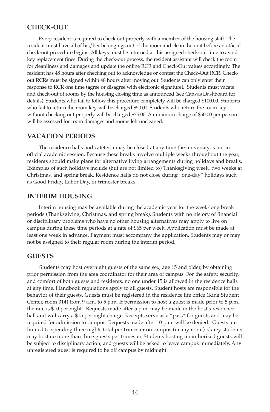#### **CHECK-oUT**

Every resident is required to check out properly with a member of the housing staff. The resident must have all of his/her belongings out of the room and clean the unit before an official check-out procedure begins. All keys must be returned at this assigned check-out time to avoid key replacement fines. During the check-out process, the resident assistant will check the room for cleanliness and damages and update the online RCR and Check-Out values accordingly. The resident has 48 hours after checking out to acknowledge or contest the Check-Out RCR. Checkout RCRs must be signed within 48 hours after moving out. Students can only enter their response to RCR one time (agree or disagree with electronic signature). Students must vacate and check-out of rooms by the housing closing time as announced (see Canvas Dashboard for details). Students who fail to follow this procedure completely will be charged \$100.00. Students who fail to return the room key will be charged \$50.00. Students who return the room key without checking out properly will be charged \$75.00. A minimum charge of \$50.00 per person will be assessed for room damages and rooms left uncleaned.

#### **VACATIoN PERIodS**

 The residence halls and cafeteria may be closed at any time the university is not in official academic session. Because these breaks involve multiple weeks throughout the year, residents should make plans for alternative living arrangements during holidays and breaks. Examples of such holidays include (but are not limited to) Thanksgiving week, two weeks at Christmas, and spring break. Residence halls do not close during "one-day" holidays such as Good Friday, Labor Day, or trimester breaks.

#### **INTERIM HoUSING**

 Interim housing may be available during the academic year for the week-long break periods (Thanksgiving, Christmas, and spring break). Students with no history of financial or disciplinary problems who have no other housing alternatives may apply to live on campus during these time periods at a rate of \$65 per week. Application must be made at least one week in advance. Payment must accompany the application. Students may or may not be assigned to their regular room during the interim period.

## **GUESTS**

 Students may host overnight guests of the same sex, age 15 and older, by obtaining prior permission from the area coordinator for their area of campus. For the safety, security, and comfort of both guests and residents, no one under 15 is allowed in the residence halls at any time. Handbook regulations apply to all guests. Student hosts are responsible for the behavior of their guests. Guests must be registered in the residence life office (King Student Center, room 314) from 9 a.m. to 5 p.m. If permission to host a guest is made prior to 5 p.m., the rate is \$10 per night. Requests made after 5 p.m. may be made in the host's residence hall and will carry a \$15 per night charge. Receipts serve as a "pass" for guests and may be required for admission to campus. Requests made after 10 p.m. will be denied. Guests are limited to spending three nights total per trimester on campus (in any room). Carey students may host no more than three guests per trimester. Students hosting unauthorized guests will be subject to disciplinary action, and guests will be asked to leave campus immediately. Any unregistered guest is required to be off campus by midnight.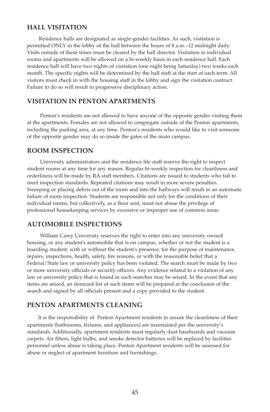## **HALL VISITATIoN**

 Residence halls are designated as single-gender facilities. As such, visitation is permitted ONLY in the lobby of the hall between the hours of 8 a.m.–12 midnight daily. Visits outside of these times must be cleared by the hall director. Visitation in individual rooms and apartments will be allowed on a bi-weekly basis in each residence hall. Each residence hall will have two nights of visitation (one night being Saturday) two weeks each month. The specific nights will be determined by the hall staff at the start of each term. All visitors must check in with the housing staff in the lobby and sign the visitation contract. Failure to do so will result in progressive disciplinary action.

# **VISITATIoN IN PENToN APARTMENTS**

 Penton's residents are not allowed to have anyone of the opposite gender visiting them at the apartments. Females are not allowed to congregate outside of the Penton apartments, including the parking area, at any time. Penton's residents who would like to visit someone of the opposite gender may do so inside the gates of the main campus.

#### **RooM INSPECTIoN**

 University administrators and the residence life staff reserve the right to inspect student rooms at any time for any reason. Regular bi-weekly inspection for cleanliness and orderliness will be made by RA staff members. Citations are issued to students who fail to meet inspection standards. Repeated citations may result in more severe penalties. Sweeping or placing debris out of the room and into the hallways will result in an automatic failure of room inspection. Students are responsible not only for the conditions of their individual rooms, but collectively, as a floor unit, must not abuse the privilege of professional housekeeping services by excessive or improper use of common areas.

# **AUToMoBILE INSPECTIoNS**

 William Carey University reserves the right to enter into any university owned housing, or any student's automobile that is on campus, whether or not the student is a boarding student, with or without the student's presence, for the purpose of maintenance, repairs, inspections, health, safety, fire reasons, or with the reasonable belief that a Federal/State law or university policy has been violated. The search must be made by two or more university officials or security officers. Any evidence related to a violation of any law or university policy that is found in such searches may be seized. In the event that any items are seized, an itemized list of such items will be prepared at the conclusion of the search and signed by all officials present and a copy provided to the student.

#### **PENToN APARTMENTS CLEANING**

It is the responsibility of Penton Apartment residents to assure the cleanliness of their apartments (bathrooms, fixtures, and appliances) are maintained per the university's standards. Additionally, apartment residents must regularly dust baseboards and vacuum carpets. Air filters, light bulbs, and smoke detector batteries will be replaced by facilities personnel unless abuse is taking place. Penton Apartment residents will be assessed for abuse or neglect of apartment furniture and furnishings.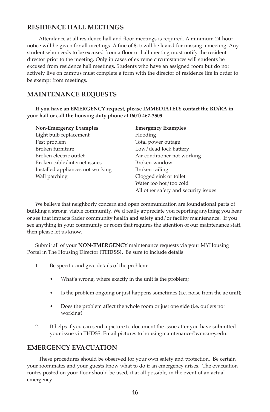# **RESIdENCE HALL MEETINGS**

 Attendance at all residence hall and floor meetings is required. A minimum 24-hour notice will be given for all meetings. A fine of \$15 will be levied for missing a meeting. Any student who needs to be excused from a floor or hall meeting must notify the resident director prior to the meeting. Only in cases of extreme circumstances will students be excused from residence hall meetings. Students who have an assigned room but do not actively live on campus must complete a form with the director of residence life in order to be exempt from meetings.

# **MAINTENANCE REqUESTS**

If you have an EMERGENCY request, please IMMEDIATELY contact the RD/RA in **your hall or call the housing duty phone at (601) 467-3509.** 

| Non-Emergency Examples           | <b>Emergency Examples</b>            |
|----------------------------------|--------------------------------------|
| Light bulb replacement           | Flooding                             |
| Pest problem                     | Total power outage                   |
| Broken furniture                 | Low/dead lock battery                |
| Broken electric outlet           | Air conditioner not working          |
| Broken cable/internet issues     | Broken window                        |
| Installed appliances not working | Broken railing                       |
| Wall patching                    | Clogged sink or toilet               |
|                                  | Water too hot/too cold               |
|                                  | All other safety and security issues |

 We believe that neighborly concern and open communication are foundational parts of building a strong, viable community. We'd really appreciate you reporting anything you hear or see that impacts Sader community health and safety and/or facility maintenance. If you see anything in your community or room that requires the attention of our maintenance staff, then please let us know.

 Submit all of your **NoN-EMERGENCy** maintenance requests via your MYHousing Portal in The Housing Director (THDSS). Be sure to include details:

- 1. Be specific and give details of the problem:
	- What's wrong, where exactly in the unit is the problem;
	- Is the problem ongoing or just happens sometimes (i.e. noise from the ac unit);
	- Does the problem affect the whole room or just one side (i.e. outlets not working)
- 2. It helps if you can send a picture to document the issue after you have submitted your issue via THDSS. Email pictures to **housingmaintenance@wmcarey.edu**.

# **EMERGENCy EVACUATIoN**

These procedures should be observed for your own safety and protection. Be certain your roommates and your guests know what to do if an emergency arises. The evacuation routes posted on your floor should be used, if at all possible, in the event of an actual emergency.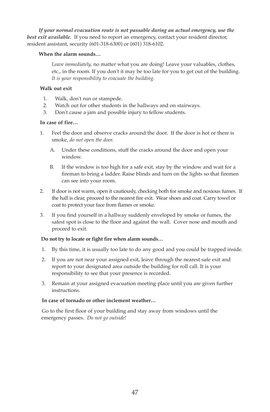*If your normal evacuation route is not passable during an actual emergency, use the best exit available.* If you need to report an emergency, contact your resident director, resident assistant, security (601-318-6300) or (601) 318-6102.

#### **When the alarm sounds…**

*Leave immediately,* no matter what you are doing! Leave your valuables, clothes, etc., in the room. If you don't it may be too late for you to get out of the building. *It is your responsibility to evacuate the building.*

#### **Walk out exit**

- 1. Walk, don't run or stampede.
- 2. Watch out for other students in the hallways and on stairways.
- 3. Don't cause a jam and possible injury to fellow students.

#### **In case of fire…**

- 1. Feel the door and observe cracks around the door. If the door is hot or there is smoke, *do not open the door.*
	- A. Under these conditions, stuff the cracks around the door and open your window.
	- B. If the window is too high for a safe exit, stay by the window and wait for a fireman to bring a ladder. Raise blinds and turn on the lights so that firemen can see into your room.
- 2. If door is not warm, open it cautiously, checking both for smoke and noxious fumes. If the hall is clear, proceed to the nearest fire exit. Wear shoes and coat. Carry towel or coat to protect your face from flames or smoke.
- 3. If you find yourself in a hallway suddenly enveloped by smoke or fumes, the safest spot is close to the floor and against the wall. Cover nose and mouth and proceed to exit.

#### Do not try to locate or fight fire when alarm sounds...

- 1. By this time, it is usually too late to do any good and you could be trapped inside.
- 2. If you are not near your assigned exit, leave through the nearest safe exit and report to your designated area outside the building for roll call. It is your responsibility to see that your presence is recorded.
- 3. Remain at your assigned evacuation meeting place until you are given further instructions.

#### **In case of tornado or other inclement weather…**

Go to the first floor of your building and stay away from windows until the emergency passes. *Do not go outside!*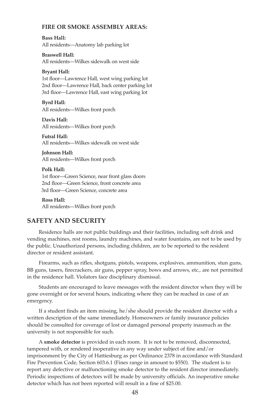#### **FIRE oR SMoKE ASSEMBLy AREAS:**

**Bass Hall:** All residents—Anatomy lab parking lot

**Braswell Hall:**  All residents—Wilkes sidewalk on west side

#### **Bryant Hall:**

1st floor—Lawrence Hall, west wing parking lot 2nd floor—Lawrence Hall, back center parking lot 3rd floor—Lawrence Hall, east wing parking lot

#### **Byrd Hall:**

All residents—Wilkes front porch

Davis Hall: All residents—Wilkes front porch

**Futral Hall:** All residents—Wilkes sidewalk on west side

**Johnson Hall:** All residents—Wilkes front porch

#### **Polk Hall:**

1st floor—Green Science, near front glass doors 2nd floor—Green Science, front concrete area 3rd floor—Green Science, concrete area

**Ross Hall:** All residents—Wilkes front porch

## **SAFETy ANd SECURITy**

 Residence halls are not public buildings and their facilities, including soft drink and vending machines, rest rooms, laundry machines, and water fountains, are not to be used by the public. Unauthorized persons, including children, are to be reported to the resident director or resident assistant.

 Firearms, such as rifles, shotguns, pistols, weapons, explosives, ammunition, stun guns, BB guns, tasers, firecrackers, air guns, pepper spray, bows and arrows, etc., are not permitted in the residence hall. Violators face disciplinary dismissal.

 Students are encouraged to leave messages with the resident director when they will be gone overnight or for several hours, indicating where they can be reached in case of an emergency.

 If a student finds an item missing, he/she should provide the resident director with a written description of the same immediately. Homeowners or family insurance policies should be consulted for coverage of lost or damaged personal property inasmuch as the university is not responsible for such.

 A **smoke detector** is provided in each room. It is not to be removed, disconnected, tampered with, or rendered inoperative in any way under subject of fine and/or imprisonment by the City of Hattiesburg as per Ordinance 2378 in accordance with Standard Fire Prevention Code, Section 603.6.1 (Fines range in amount to \$550). The student is to report any defective or malfunctioning smoke detector to the resident director immediately. Periodic inspections of detectors will be made by university officials. An inoperative smoke detector which has not been reported will result in a fine of \$25.00.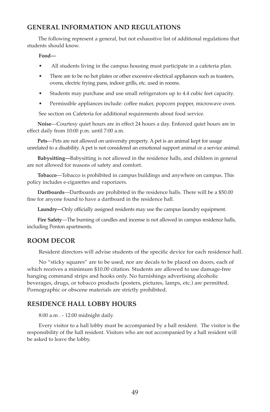# **GENERAL INFoRMATIoN ANd REGULATIoNS**

 The following represent a general, but not exhaustive list of additional regulations that students should know.

#### **Food—**

- All students living in the campus housing must participate in a cafeteria plan.
- There are to be no hot plates or other excessive electrical appliances such as toasters, ovens, electric frying pans, indoor grills, etc. used in rooms.
- Students may purchase and use small refrigerators up to 4.4 cubic feet capacity.
- Permissible appliances include: coffee maker, popcorn popper, microwave oven.

See section on Cafeteria for additional requirements about food service.

 **Noise**—Courtesy quiet hours are in effect 24 hours a day. Enforced quiet hours are in effect daily from 10:00 p.m. until 7:00 a.m.

 **Pets**—Pets are not allowed on university property. A pet is an animal kept for usage unrelated to a disability. A pet is not considered an emotional support animal or a service animal.

 **Babysitting—**Babysitting is not allowed in the residence halls, and children in general are not allowed for reasons of safety and comfort.

 **Tobacco**—Tobacco is prohibited in campus buildings and anywhere on campus. This policy includes e-cigarettes and vaporizers.

Dartboards—Dartboards are prohibited in the residence halls. There will be a \$50.00 fine for anyone found to have a dartboard in the residence hall.

**Laundry—**Only officially assigned residents may use the campus laundry equipment.

 **Fire Safety**—The burning of candles and incense is not allowed in campus residence halls, including Penton apartments.

# **RooM dECoR**

Resident directors will advise students of the specific device for each residence hall.

 No "sticky squares" are to be used, nor are decals to be placed on doors, each of which receives a minimum \$10.00 citation. Students are allowed to use damage-free hanging command strips and hooks only. No furnishings advertising alcoholic beverages, drugs, or tobacco products (posters, pictures, lamps, etc.) are permitted. Pornographic or obscene materials are strictly prohibited.

# **RESIdENCE HALL LoBBy HoURS**

8:00 a.m . - 12:00 midnight daily.

 Every visitor to a hall lobby must be accompanied by a hall resident. The visitor is the responsibility of the hall resident. Visitors who are not accompanied by a hall resident will be asked to leave the lobby.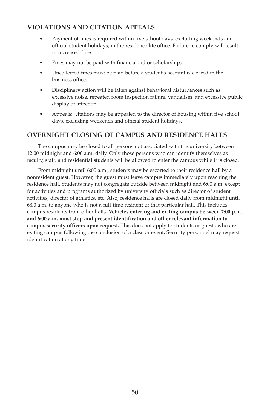# **VIoLATIoNS ANd CITATIoN APPEALS**

- Payment of fines is required within five school days, excluding weekends and official student holidays, in the residence life office. Failure to comply will result in increased fines.
- Fines may not be paid with financial aid or scholarships.
- Uncollected fines must be paid before a student's account is cleared in the business office.
- Disciplinary action will be taken against behavioral disturbances such as excessive noise, repeated room inspection failure, vandalism, and excessive public display of affection.
- Appeals: citations may be appealed to the director of housing within five school days, excluding weekends and official student holidays.

# **oVERNIGHT CLoSING oF CAMPUS ANd RESIdENCE HALLS**

 The campus may be closed to all persons not associated with the university between 12:00 midnight and 6:00 a.m. daily. Only those persons who can identify themselves as faculty, staff, and residential students will be allowed to enter the campus while it is closed.

 From midnight until 6:00 a.m., students may be escorted to their residence hall by a nonresident guest. However, the guest must leave campus immediately upon reaching the residence hall. Students may not congregate outside between midnight and 6:00 a.m. except for activities and programs authorized by university officials such as director of student activities, director of athletics, etc. Also, residence halls are closed daily from midnight until 6:00 a.m. to anyone who is not a full-time resident of that particular hall. This includes campus residents from other halls. **Vehicles entering and exiting campus between 7:00 p.m. and 6:00 a.m. must stop and present identification and other relevant information to campus security officers upon request.** This does not apply to students or guests who are exiting campus following the conclusion of a class or event. Security personnel may request identification at any time.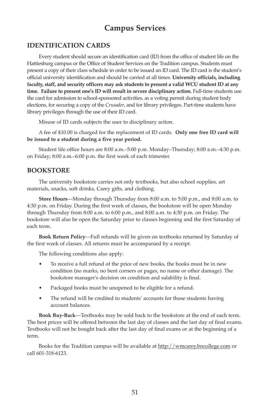# **Campus Services**

# **IdENTIFICATIoN CARdS**

 Every student should secure an identification card (ID) from the office of student life on the Hattiesburg campus or the Office of Student Services on the Tradition campus. Students must present a copy of their class schedule in order to be issued an ID card. The ID card is the student's official university identification and should be carried at all times. **University officials, including** faculty, staff, and security officers may ask students to present a valid WCU student ID at any time. Failure to present one's ID will result in severe disciplinary action. Full-time students use the card for admission to school-sponsored activities, as a voting permit during student body elections, for securing a copy of the *Crusader*, and for library privileges. Part-time students have library privileges through the use of their ID card.

Misuse of ID cards subjects the user to disciplinary action.

A fee of \$10.00 is charged for the replacement of ID cards. Only one free ID card will **be issued to a student during a five year period.**

Student life office hours are 8:00 a.m.–5:00 p.m. Monday–Thursday; 8:00 a.m.–4:30 p.m. on Friday; 8:00 a.m.–6:00 p.m. the first week of each trimester.

# **BooKSToRE**

 The university bookstore carries not only textbooks, but also school supplies, art materials, snacks, soft drinks, Carey gifts, and clothing.

 **Store Hours**—Monday through Thursday from 8:00 a.m. to 5:00 p.m., and 8:00 a.m. to 4:30 p.m. on Friday. During the first week of classes, the bookstore will be open Monday through Thursday from 8:00 a.m. to 6:00 p.m., and 8:00 a.m. to 4:30 p.m. on Friday. The bookstore will also be open the Saturday prior to classes beginning and the first Saturday of each term.

 **Book Return Policy**—Full refunds will be given on textbooks returned by Saturday of the first week of classes. All returns must be accompanied by a receipt.

The following conditions also apply:

- To receive a full refund of the price of new books, the books must be in new condition (no marks, no bent corners or pages, no name or other damage). The bookstore manager's decision on condition and salability is final.
- Packaged books must be unopened to be eligible for a refund.
- The refund will be credited to students' accounts for those students having account balances.

 **Book Buy-Back**—Textbooks may be sold back to the bookstore at the end of each term. The best prices will be offered between the last day of classes and the last day of final exams. Textbooks will not be bought back after the last day of final exams or at the beginning of a term.

 Books for the Tradition campus will be available at http://wmcarey.bncollege.com or call 601-318-6123.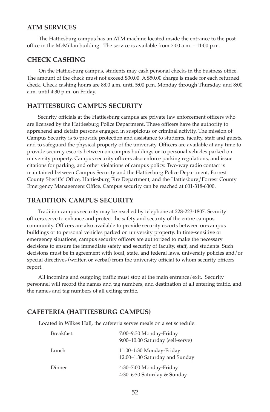#### **ATM SERVICES**

 The Hattiesburg campus has an ATM machine located inside the entrance to the post office in the McMillan building. The service is available from 7:00 a.m. – 11:00 p.m.

## **CHECK CASHING**

 On the Hattiesburg campus, students may cash personal checks in the business office. The amount of the check must not exceed \$30.00. A \$50.00 charge is made for each returned check. Check cashing hours are 8:00 a.m. until 5:00 p.m. Monday through Thursday, and 8:00 a.m. until 4:30 p.m. on Friday.

## **HATTIESBURG CAMPUS SECURITy**

 Security officials at the Hattiesburg campus are private law enforcement officers who are licensed by the Hattiesburg Police Department. These officers have the authority to apprehend and detain persons engaged in suspicious or criminal activity. The mission of Campus Security is to provide protection and assistance to students, faculty, staff and guests, and to safeguard the physical property of the university. Officers are available at any time to provide security escorts between on-campus buildings or to personal vehicles parked on university property. Campus security officers also enforce parking regulations, and issue citations for parking, and other violations of campus policy. Two-way radio contact is maintained between Campus Security and the Hattiesburg Police Department, Forrest County Sheriffs' Office, Hattiesburg Fire Department, and the Hattiesburg/Forrest County Emergency Management Office. Campus security can be reached at 601-318-6300.

## **TRAdITIoN CAMPUS SECURITy**

 Tradition campus security may be reached by telephone at 228-223-1807. Security officers serve to enhance and protect the safety and security of the entire campus community. Officers are also available to provide security escorts between on-campus buildings or to personal vehicles parked on university property. In time-sensitive or emergency situations, campus security officers are authorized to make the necessary decisions to ensure the immediate safety and security of faculty, staff, and students. Such decisions must be in agreement with local, state, and federal laws, university policies and/or special directives (written or verbal) from the university official to whom security officers report.

 All incoming and outgoing traffic must stop at the main entrance/exit. Security personnel will record the names and tag numbers, and destination of all entering traffic, and the names and tag numbers of all exiting traffic.

## **CAFETERIA (HATTIESBURG CAMPUS)**

Located in Wilkes Hall, the cafeteria serves meals on a set schedule:

| Breakfast: | 7:00–9:30 Monday-Friday<br>9:00-10:00 Saturday (self-serve) |
|------------|-------------------------------------------------------------|
| Lunch      | 11:00-1:30 Monday-Friday<br>12:00-1:30 Saturday and Sunday  |
| Dinner     | 4:30–7:00 Monday-Friday<br>4:30–6:30 Saturday & Sunday      |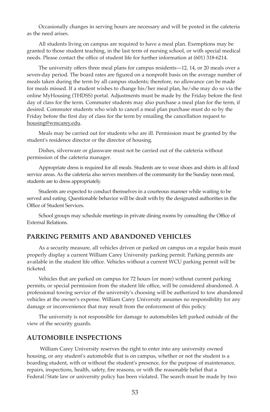Occasionally changes in serving hours are necessary and will be posted in the cafeteria as the need arises.

 All students living on campus are required to have a meal plan. Exemptions may be granted to those student teaching, in the last term of nursing school, or with special medical needs. Please contact the office of student life for further information at (601) 318-6214.

 The university offers three meal plans for campus residents—12, 14, or 20 meals over a seven-day period. The board rates are figured on a nonprofit basis on the average number of meals taken during the term by all campus students; therefore, no allowance can be made for meals missed. If a student wishes to change his/her meal plan, he/she may do so via the online MyHousing (THDSS) portal. Adjustments must be made by the Friday before the first day of class for the term. Commuter students may also purchase a meal plan for the term, if desired. Commuter students who wish to cancel a meal plan purchase must do so by the Friday before the first day of class for the term by emailing the cancellation request to housing@wmcarey.edu.

 Meals may be carried out for students who are ill. Permission must be granted by the student's residence director or the director of housing.

 Dishes, silverware or glassware must not be carried out of the cafeteria without permission of the cafeteria manager.

 Appropriate dress is required for all meals. Students are to wear shoes and shirts in all food service areas. As the cafeteria also serves members of the community for the Sunday noon meal, students are to dress appropriately.

 Students are expected to conduct themselves in a courteous manner while waiting to be served and eating. Questionable behavior will be dealt with by the designated authorities in the Office of Student Services.

 School groups may schedule meetings in private dining rooms by consulting the Office of External Relations.

#### **PARKING PERMITS ANd ABANdoNEd VEHICLES**

 As a security measure, all vehicles driven or parked on campus on a regular basis must properly display a current William Carey University parking permit. Parking permits are available in the student life office. Vehicles without a current WCU parking permit will be ticketed.

 Vehicles that are parked on campus for 72 hours (or more) without current parking permits, or special permission from the student life office, will be considered abandoned. A professional towing service of the university's choosing will be authorized to tow abandoned vehicles at the owner's expense. William Carey University assumes no responsibility for any damage or inconvenience that may result from the enforcement of this policy.

 The university is not responsible for damage to automobiles left parked outside of the view of the security guards.

## **AUToMoBILE INSPECTIoNS**

 William Carey University reserves the right to enter into any university owned housing, or any student's automobile that is on campus, whether or not the student is a boarding student, with or without the student's presence, for the purpose of maintenance, repairs, inspections, health, safety, fire reasons, or with the reasonable belief that a Federal/State law or university policy has been violated. The search must be made by two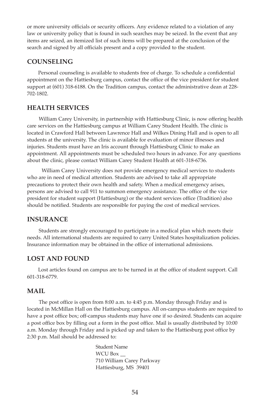or more university officials or security officers. Any evidence related to a violation of any law or university policy that is found in such searches may be seized. In the event that any items are seized, an itemized list of such items will be prepared at the conclusion of the search and signed by all officials present and a copy provided to the student.

## **CoUNSELING**

 Personal counseling is available to students free of charge. To schedule a confidential appointment on the Hattiesburg campus, contact the office of the vice president for student support at (601) 318-6188. On the Tradition campus, contact the administrative dean at 228- 702-1802.

## **HEALTH SERVICES**

 William Carey University, in partnership with Hattiesburg Clinic, is now offering health care services on the Hattiesburg campus at William Carey Student Health. The clinic is located in Crawford Hall between Lawrence Hall and Wilkes Dining Hall and is open to all students at the university. The clinic is available for evaluation of minor illnesses and injuries. Students must have an Iris account through Hattiesburg Clinic to make an appointment. All appointments must be scheduled two hours in advance. For any questions about the clinic, please contact William Carey Student Health at 601-318-6736.

 William Carey University does not provide emergency medical services to students who are in need of medical attention. Students are advised to take all appropriate precautions to protect their own health and safety. When a medical emergency arises, persons are advised to call 911 to summon emergency assistance. The office of the vice president for student support (Hattiesburg) or the student services office (Tradition) also should be notified. Students are responsible for paying the cost of medical services.

## **INSURANCE**

 Students are strongly encouraged to participate in a medical plan which meets their needs. All international students are required to carry United States hospitalization policies. Insurance information may be obtained in the office of international admissions.

## **LOST AND FOUND**

 Lost articles found on campus are to be turned in at the office of student support. Call 601-318-6779.

## **MAIL**

 The post office is open from 8:00 a.m. to 4:45 p.m. Monday through Friday and is located in McMillan Hall on the Hattiesburg campus. All on-campus students are required to have a post office box; off-campus students may have one if so desired. Students can acquire a post office box by filling out a form in the post office. Mail is usually distributed by 10:00 a.m. Monday through Friday and is picked up and taken to the Hattiesburg post office by 2:30 p.m. Mail should be addressed to:

> Student Name WCU Box 710 William Carey Parkway Hattiesburg, MS 39401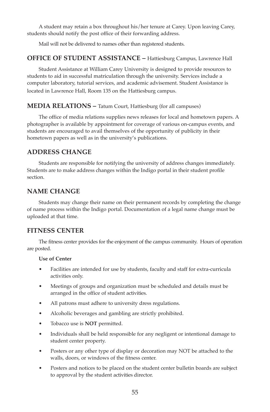A student may retain a box throughout his/her tenure at Carey. Upon leaving Carey, students should notify the post office of their forwarding address.

Mail will not be delivered to names other than registered students.

## **OFFICE OF STUDENT ASSISTANCE – Hattiesburg Campus, Lawrence Hall**

 Student Assistance at William Carey University is designed to provide resources to students to aid in successful matriculation through the university. Services include a computer laboratory, tutorial services, and academic advisement. Student Assistance is located in Lawrence Hall, Room 135 on the Hattiesburg campus.

## **MEDIA RELATIONS – Tatum Court, Hattiesburg (for all campuses)**

 The office of media relations supplies news releases for local and hometown papers. A photographer is available by appointment for coverage of various on-campus events, and students are encouraged to avail themselves of the opportunity of publicity in their hometown papers as well as in the university's publications.

# **AddRESS CHANGE**

 Students are responsible for notifying the university of address changes immediately. Students are to make address changes within the Indigo portal in their student profile section.

# **NAME CHANGE**

 Students may change their name on their permanent records by completing the change of name process within the Indigo portal. Documentation of a legal name change must be uploaded at that time.

# **FITNESS CENTER**

 The fitness center provides for the enjoyment of the campus community. Hours of operation are posted.

#### **Use of Center**

- Facilities are intended for use by students, faculty and staff for extra-curricula activities only.
- Meetings of groups and organization must be scheduled and details must be arranged in the office of student activities.
- All patrons must adhere to university dress regulations.
- Alcoholic beverages and gambling are strictly prohibited.
- Tobacco use is **NoT** permitted.
- Individuals shall be held responsible for any negligent or intentional damage to student center property.
- Posters or any other type of display or decoration may NOT be attached to the walls, doors, or windows of the fitness center.
- Posters and notices to be placed on the student center bulletin boards are subject to approval by the student activities director.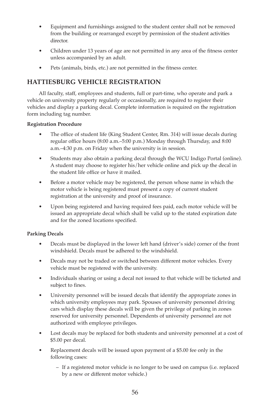- Equipment and furnishings assigned to the student center shall not be removed from the building or rearranged except by permission of the student activities director.
- Children under 13 years of age are not permitted in any area of the fitness center unless accompanied by an adult.
- Pets (animals, birds, etc.) are not permitted in the fitness center.

# **HATTIESBURG VEHICLE REGISTRATIoN**

 All faculty, staff, employees and students, full or part-time, who operate and park a vehicle on university property regularly or occasionally, are required to register their vehicles and display a parking decal. Complete information is required on the registration form including tag number.

## **Registration Procedure**

- The office of student life (King Student Center, Rm. 314) will issue decals during regular office hours (8:00 a.m.–5:00 p.m.) Monday through Thursday, and 8:00 a.m.–4:30 p.m. on Friday when the university is in session.
- Students may also obtain a parking decal through the WCU Indigo Portal (online). A student may choose to register his/her vehicle online and pick up the decal in the student life office or have it mailed.
- Before a motor vehicle may be registered, the person whose name in which the motor vehicle is being registered must present a copy of current student registration at the university and proof of insurance.
- Upon being registered and having required fees paid, each motor vehicle will be issued an appropriate decal which shall be valid up to the stated expiration date and for the zoned locations specified.

# **Parking Decals**

- Decals must be displayed in the lower left hand (driver's side) corner of the front windshield. Decals must be adhered to the windshield.
- Decals may not be traded or switched between different motor vehicles. Every vehicle must be registered with the university.
- Individuals sharing or using a decal not issued to that vehicle will be ticketed and subject to fines.
- University personnel will be issued decals that identify the appropriate zones in which university employees may park. Spouses of university personnel driving cars which display these decals will be given the privilege of parking in zones reserved for university personnel. Dependents of university personnel are not authorized with employee privileges.
- Lost decals may be replaced for both students and university personnel at a cost of \$5.00 per decal.
- Replacement decals will be issued upon payment of a \$5.00 fee only in the following cases:
	- If a registered motor vehicle is no longer to be used on campus (i.e. replaced by a new or different motor vehicle.)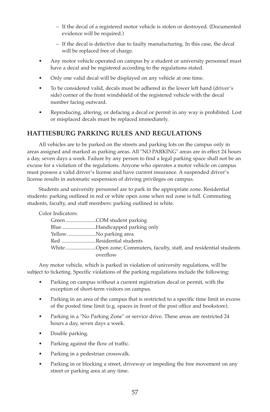- If the decal of a registered motor vehicle is stolen or destroyed. (Documented evidence will be required.)
- If the decal is defective due to faulty manufacturing. In this case, the decal will be replaced free of charge.
- Any motor vehicle operated on campus by a student or university personnel must have a decal and be registered according to the regulations stated.
- Only one valid decal will be displayed on any vehicle at one time.
- To be considered valid, decals must be adhered in the lower left hand (driver's side) corner of the front windshield of the registered vehicle with the decal number facing outward.
- Reproducing, altering, or defacing a decal or permit in any way is prohibited. Lost or misplaced decals must be replaced immediately.

# **HATTIESBURG PARKING RULES ANd REGULATIoNS**

 All vehicles are to be parked on the streets and parking lots on the campus only in areas assigned and marked as parking areas. All "NO PARKING" areas are in effect 24 hours a day, seven days a week. Failure by any person to find a legal parking space shall not be an excuse for a violation of the regulations. Anyone who operates a motor vehicle on campus must possess a valid driver's license and have current insurance. A suspended driver's license results in automatic suspension of driving privileges on campus.

 Students and university personnel are to park in the appropriate zone. Residential students: parking outlined in red or white open zone when red zone is full. Commuting students, faculty, and staff members: parking outlined in white.

Color Indicators:

|                       | BlueHandicapped parking only                                         |
|-----------------------|----------------------------------------------------------------------|
| YellowNo parking area |                                                                      |
|                       | Red Residential students                                             |
|                       | White Open zone; Commuters, faculty, staff, and residential students |
|                       | overflow                                                             |

 Any motor vehicle, which is parked in violation of university regulations, will be subject to ticketing. Specific violations of the parking regulations include the following:

- Parking on campus without a current registration decal or permit, with the exception of short-term visitors on campus.
- Parking in an area of the campus that is restricted to a specific time limit in excess of the posted time limit (e.g. spaces in front of the post office and bookstore).
- Parking in a "No Parking Zone" or service drive. These areas are restricted 24 hours a day, seven days a week.
- Double parking.
- Parking against the flow of traffic.
- Parking in a pedestrian crosswalk.
- Parking in or blocking a street, driveway or impeding the free movement on any street or parking area at any time.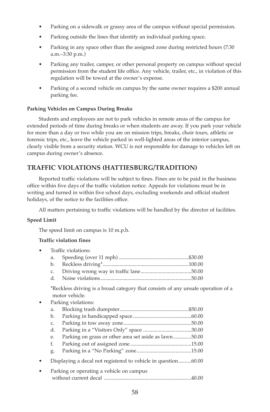- Parking on a sidewalk or grassy area of the campus without special permission.
- Parking outside the lines that identify an individual parking space.
- Parking in any space other than the assigned zone during restricted hours (7:30) a.m.–3:30 p.m.)
- Parking any trailer, camper, or other personal property on campus without special permission from the student life office. Any vehicle, trailer, etc., in violation of this regulation will be towed at the owner's expense.
- Parking of a second vehicle on campus by the same owner requires a \$200 annual parking fee.

#### **Parking Vehicles on Campus During Breaks**

 Students and employees are not to park vehicles in remote areas of the campus for extended periods of time during breaks or when students are away. If you park your vehicle for more than a day or two while you are on mission trips, breaks, choir tours, athletic or forensic trips, etc., leave the vehicle parked in well-lighted areas of the interior campus, clearly visible from a security station. WCU is not responsible for damage to vehicles left on campus during owner's absence.

# **TRAFFIC VIoLATIoNS (HATTIESBURG/TRAdITIoN)**

 Reported traffic violations will be subject to fines. Fines are to be paid in the business office within five days of the traffic violation notice. Appeals for violations must be in writing and turned in within five school days, excluding weekends and official student holidays, of the notice to the facilities office.

All matters pertaining to traffic violations will be handled by the director of facilities.

#### **Speed Limit**

The speed limit on campus is 10 m.p.h.

#### **Traffic violation fines**

| Traffic violations: |  |
|---------------------|--|
|                     |  |
|                     |  |
|                     |  |
|                     |  |
|                     |  |

 \*Reckless driving is a broad category that consists of any unsafe operation of a motor vehicle.

|           | Parking violations:                                           |                                                       |
|-----------|---------------------------------------------------------------|-------------------------------------------------------|
|           | a.                                                            |                                                       |
|           | b.                                                            |                                                       |
|           | C.                                                            |                                                       |
|           | d.                                                            |                                                       |
|           | е.                                                            | Parking on grass or other area set aside as lawn50.00 |
|           | f.                                                            |                                                       |
|           | g.                                                            |                                                       |
| $\bullet$ | Displaying a decal not registered to vehicle in question60.00 |                                                       |
| $\bullet$ |                                                               | Parking or operating a vehicle on campus              |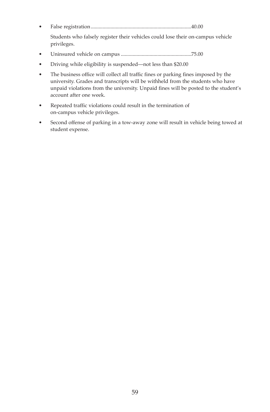• False registration.............................................................................40.00

 Students who falsely register their vehicles could lose their on-campus vehicle privileges.

- Uninsured vehicle on campus ......................................................75.00
- Driving while eligibility is suspended—not less than \$20.00
- The business office will collect all traffic fines or parking fines imposed by the university. Grades and transcripts will be withheld from the students who have unpaid violations from the university. Unpaid fines will be posted to the student's account after one week.
- Repeated traffic violations could result in the termination of on-campus vehicle privileges.
- Second offense of parking in a tow-away zone will result in vehicle being towed at student expense.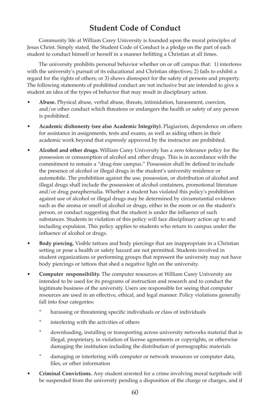# **Student Code of Conduct**

 Community life at William Carey University is founded upon the moral principles of Jesus Christ. Simply stated, the Student Code of Conduct is a pledge on the part of each student to conduct himself or herself in a manner befitting a Christian at all times.

 The university prohibits personal behavior whether on or off campus that: 1) interferes with the university's pursuit of its educational and Christian objectives; 2) fails to exhibit a regard for the rights of others; or 3) shows disrespect for the safety of persons and property. The following statements of prohibited conduct are not inclusive but are intended to give a student an idea of the types of behavior that may result in disciplinary action.

- **Abuse.** Physical abuse, verbal abuse, threats, intimidation, harassment, coercion, and/or other conduct which threatens or endangers the health or safety of any person is prohibited.
- **Academic dishonesty (see also Academic Integrity).** Plagiarism, dependence on others for assistance in assignments, tests and exams, as well as aiding others in their academic work beyond that expressly approved by the instructor are prohibited.
- **Alcohol and other drugs.** William Carey University has a zero tolerance policy for the possession or consumption of alcohol and other drugs. This is in accordance with the commitment to remain a "drug-free campus." Possession shall be defined to include the presence of alcohol or illegal drugs in the student's university residence or automobile. The prohibition against the use, possession, or distribution of alcohol and illegal drugs shall include the possession of alcohol containers, promotional literature and/or drug paraphernalia. Whether a student has violated this policy's prohibition against use of alcohol or illegal drugs may be determined by circumstantial evidence such as the aroma or smell of alcohol or drugs, either in the room or on the student's person, or conduct suggesting that the student is under the influence of such substances. Students in violation of this policy will face disciplinary action up to and including expulsion. This policy applies to students who return to campus under the influence of alcohol or drugs.
- **Body p**i**ercing.** Visible tattoos and body piercings that are inappropriate in a Christian setting or pose a health or safety hazard are not permitted. Students involved in student organizations or performing groups that represent the university may not have body piercings or tattoos that shed a negative light on the university.
- **Computer responsibility.** The computer resources at William Carey University are intended to be used for its programs of instruction and research and to conduct the legitimate business of the university. Users are responsible for seeing that computer resources are used in an effective, ethical, and legal manner. Policy violations generally fall into four categories:
	- harassing or threatening specific individuals or class of individuals
	- interfering with the activities of others
	- downloading, installing or transporting across university networks material that is illegal, proprietary, in violation of license agreements or copyrights, or otherwise damaging the institution including the distribution of pornographic materials
	- \* damaging or interfering with computer or network resources or computer data, files, or other information
- **Criminal Convictions.** Any student arrested for a crime involving moral turpitude will be suspended from the university pending a disposition of the charge or charges, and if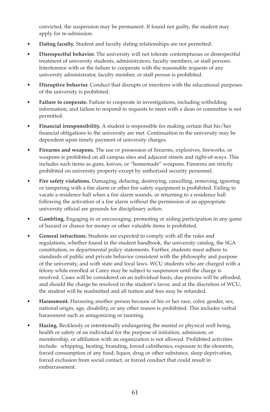convicted, the suspension may be permanent. If found not guilty, the student may apply for re-admission.

- **dating faculty.** Student and faculty dating relationships are not permitted.
- **disrespectful behavior.** The university will not tolerate contemptuous or disrespectful treatment of university students, administrators, faculty members, or staff persons. Interference with or the failure to cooperate with the reasonable requests of any university administrator, faculty member, or staff person is prohibited.
- **disruptive behavior.** Conduct that disrupts or interferes with the educational purposes of the university is prohibited.
- **Failure to cooperate.** Failure to cooperate in investigations, including witholding information, and failure to respond to requests to meet with a dean or committee is not permitted.
- **Financial irresponsibility.** A student is responsible for making certain that his/her financial obligations to the university are met. Continuation in the university may be dependent upon timely payment of university charges.
- **Firearms and weapons.** The use or possession of firearms, explosives, fireworks, or weapons is prohibited on all campus sites and adjacent streets and right-of-ways. This includes such items as guns, knives, or "homemade" weapons. Firearms are strictly prohibited on university property except by authorized security personnel.
- **Fire safety violations.** Damaging, defacing, destroying, cancelling, removing, ignoring or tampering with a fire alarm or other fire safety equipment is prohibited. Failing to vacate a residence hall when a fire alarm sounds, or returning to a residence hall following the activation of a fire alarm without the permission of an appropriate university official are grounds for disciplinary action.
- **Gambling.** Engaging in or encouraging, promoting or aiding participation in any game of hazard or chance for money or other valuable items is prohibited.
- **General infractions.** Students are expected to comply with all the rules and regulations, whether found in the student handbook, the university catalog, the SGA constitution, or departmental policy statements. Further, students must adhere to standards of public and private behavior consistent with the philosophy and purpose of the university, and with state and local laws. WCU students who are charged with a felony while enrolled at Carey may be subject to suspension until the charge is resolved. Cases will be considered on an individual basis, due process will be afforded, and should the charge be resolved in the student's favor, and at the discretion of WCU, the student will be readmitted and all tuition and fees may be refunded.
- **Harassment.** Harassing another person because of his or her race, color, gender, sex, national origin, age, disability, or any other reason is prohibited. This includes verbal harassment such as antagonizing or taunting.
- **Hazing.** Recklessly or intentionally endangering the mental or physical well being, health or safety of an individual for the purpose of initiation, admission, or membership, or affiliation with an organization is not allowed. Prohibited activities include: whipping, beating, branding, forced calisthenics, exposure to the elements, forced consumption of any food, liquor, drug or other substance, sleep deprivation, forced exclusion from social contact, or forced conduct that could result in embarrassment.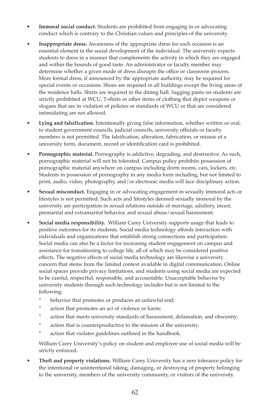- Immoral social conduct. Students are prohibited from engaging in or advocating conduct which is contrary to the Christian values and principles of the university.
- **Inappropriate dress.** Awareness of the appropriate dress for each occasion is an essential element in the social development of the individual. The university expects students to dress in a manner that complements the activity in which they are engaged and within the bounds of good taste. An administrator or faculty member may determine whether a given mode of dress disrupts the office or classroom process. More formal dress, if announced by the appropriate authority, may be required for special events or occasions. Shoes are required in all buildings except the living areas of the residence halls. Shirts are required in the dining hall. Sagging pants on students are strictly prohibited at WCU. T-shirts or other items of clothing that depict weapons or slogans that are in violation of policies or standards of WCU or that are considered intimidating are not allowed.
- **Lying and falsification.** Intentionally giving false information, whether written or oral, to student government councils, judicial councils, university officials or faculty members is not permitted. The falsification, alteration, fabrication, or misuse of a university form, document, record or identification card is prohibited.
- **Pornographic material.** Pornography is addictive, degrading, and destructive. As such, pornographic material will not be tolerated. Campus policy prohibits possession of pornographic material anywhere on campus including dorm rooms, cars, lockers, etc. Students in possession of pornography in any media form including, but not limited to print, audio, video, photography, and/or electronic media will face disciplinary action.
- **Sexual misconduct.** Engaging in or advocating engagement in sexually immoral acts or lifestyles is not permitted. Such acts and lifestyles deemed sexually immoral by the university are participation in sexual relations outside of marriage, adultery, incest, premarital and extramarital behavior, and sexual abuse/sexual harassment.
- **Social media responsibility.** William Carey University supports usage that leads to positive outcomes for its students. Social media technology affords interaction with individuals and organizations that establish strong connections and participation. Social media can also be a factor for increasing student engagement on campus and assistance for transitioning to college life, all of which may be considered positive effects. The negative effects of social media technology are likewise a university concern that stems from the limited context available in digital communication. Online social spaces provide privacy limitations, and students using social media are expected to be careful, respectful, responsible, and accountable. Unacceptable behavior by university students through such technology includes but is not limited to the following:
	- behavior that promotes or produces an unlawful end;
	- action that promotes an act of violence or harm;
	- action that meets university standards of harassment, defamation, and obscenity;
	- action that is counterproductive to the mission of the university;
	- action that violates guidelines outlined in the handbook.

William Carey University's policy on student and employee use of social media will be strictly enforced.

• **Theft and property violations.** William Carey University has a zero tolerance policy for the intentional or unintentional taking, damaging, or destroying of property belonging to the university, members of the university community, or visitors of the university.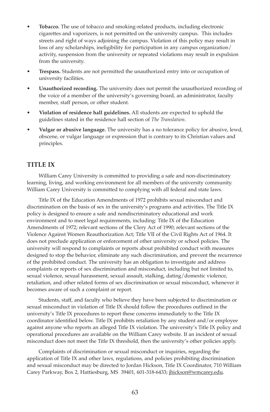- **Tobacco.** The use of tobacco and smoking-related products, including electronic cigarettes and vaporizers, is not permitted on the university campus. This includes streets and right of ways adjoining the campus. Violation of this policy may result in loss of any scholarships, ineligibility for participation in any campus organization/ activity, suspension from the university or repeated violations may result in expulsion from the university.
- **Trespass.** Students are not permitted the unauthorized entry into or occupation of university facilities.
- **Unauthorized recording.** The university does not permit the unauthorized recording of the voice of a member of the university's governing board, an administrator, faculty member, staff person, or other student.
- **Violation of residence hall guidelines.** All students are expected to uphold the guidelines stated in the residence hall section of *The Translation*.
- **Vulgar or abusive language.** The university has a no tolerance policy for abusive, lewd, obscene, or vulgar language or expression that is contrary to its Christian values and principles.

## **TITLE IX**

 William Carey University is committed to providing a safe and non-discriminatory learning, living, and working environment for all members of the university community. William Carey University is committed to complying with all federal and state laws.

 Title IX of the Education Amendments of 1972 prohibits sexual misconduct and discrimination on the basis of sex in the university's programs and activities. The Title IX policy is designed to ensure a safe and nondiscriminatory educational and work environment and to meet legal requirements, including: Title IX of the Education Amendments of 1972; relevant sections of the Clery Act of 1990; relevant sections of the Violence Against Women Reauthorization Act; Title VII of the Civil Rights Act of 1964. It does not preclude application or enforcement of other university or school policies. The university will respond to complaints or reports about prohibited conduct with measures designed to stop the behavior, eliminate any such discrimination, and prevent the recurrence of the prohibited conduct. The university has an obligation to investigate and address complaints or reports of sex discrimination and misconduct, including but not limited to, sexual violence, sexual harassment, sexual assault, stalking, dating/domestic violence, retaliation, and other related forms of sex discrimination or sexual misconduct, whenever it becomes aware of such a complaint or report.

 Students, staff, and faculty who believe they have been subjected to discrimination or sexual misconduct in violation of Title IX should follow the procedures outlined in the university's Title IX procedures to report these concerns immediately to the Title IX coordinator identified below. Title IX prohibits retaliation by any student and/or employee against anyone who reports an alleged Title IX violation. The university's Title IX policy and operational procedures are available on the William Carey website. If an incident of sexual misconduct does not meet the Title IX threshold, then the university's other policies apply.

 Complaints of discrimination or sexual misconduct or inquiries, regarding the application of Title IX and other laws, regulations, and policies prohibiting discrimination and sexual misconduct may be directed to Jordan Hickson, Title IX Coordinator, 710 William Carey Parkway, Box 2, Hattiesburg, MS 39401, 601-318-6433; jhickson@wmcarey.edu.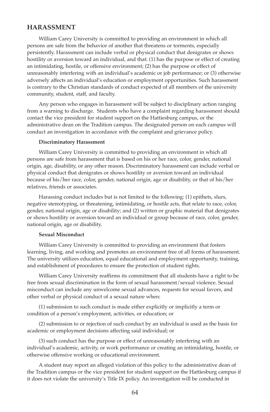## **HARASSMENT**

 William Carey University is committed to providing an environment in which all persons are safe from the behavior of another that threatens or torments, especially persistently. Harassment can include verbal or physical conduct that denigrates or shows hostility or aversion toward an individual, and that: (1) has the purpose or effect of creating an intimidating, hostile, or offensive environment; (2) has the purpose or effect of unreasonably interfering with an individual's academic or job performance; or (3) otherwise adversely affects an individual's education or employment opportunities. Such harassment is contrary to the Christian standards of conduct expected of all members of the university community, student, staff, and faculty.

 Any person who engages in harassment will be subject to disciplinary action ranging from a warning to discharge. Students who have a complaint regarding harassment should contact the vice president for student support on the Hattiesburg campus, or the administrative dean on the Tradition campus. The designated person on each campus will conduct an investigation in accordance with the complaint and grievance policy.

#### **discriminatory Harassment**

 William Carey University is committed to providing an environment in which all persons are safe from harassment that is based on his or her race, color, gender, national origin, age, disability, or any other reason. Discriminatory harassment can include verbal or physical conduct that denigrates or shows hostility or aversion toward an individual because of his/her race, color, gender, national origin, age or disability, or that of his/her relatives, friends or associates.

 Harassing conduct includes but is not limited to the following: (1) epithets, slurs, negative stereotyping, or threatening, intimidating, or hostile acts, that relate to race, color, gender, national origin, age or disability; and (2) written or graphic material that denigrates or shows hostility or aversion toward an individual or group because of race, color, gender, national origin, age or disability.

#### **Sexual Misconduct**

 William Carey University is committed to providing an environment that fosters learning, living, and working and promotes an environment free of all forms of harassment. The university utilizes education, equal educational and employment opportunity, training, and establishment of procedures to ensure the protection of student rights.

 William Carey University reaffirms its commitment that all students have a right to be free from sexual discrimination in the form of sexual harassment/sexual violence. Sexual misconduct can include any unwelcome sexual advances, requests for sexual favors, and other verbal or physical conduct of a sexual nature when:

 (1) submission to such conduct is made either explicitly or implicitly a term or condition of a person's employment, activities, or education; or

 (2) submission to or rejection of such conduct by an individual is used as the basis for academic or employment decisions affecting said individual; or

 (3) such conduct has the purpose or effect of unreasonably interfering with an individual's academic, activity, or work performance or creating an intimidating, hostile, or otherwise offensive working or educational environment.

 A student may report an alleged violation of this policy to the administrative dean of the Tradition campus or the vice president for student support on the Hattiesburg campus if it does not violate the university's Title IX policy. An investigation will be conducted in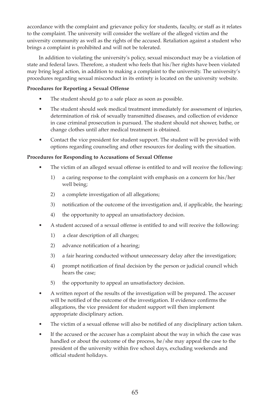accordance with the complaint and grievance policy for students, faculty, or staff as it relates to the complaint. The university will consider the welfare of the alleged victim and the university community as well as the rights of the accused. Retaliation against a student who brings a complaint is prohibited and will not be tolerated.

 In addition to violating the university's policy, sexual misconduct may be a violation of state and federal laws. Therefore, a student who feels that his/her rights have been violated may bring legal action, in addition to making a complaint to the university. The university's procedures regarding sexual misconduct in its entirety is located on the university website.

#### **Procedures for Reporting a Sexual offense**

- The student should go to a safe place as soon as possible.
- The student should seek medical treatment immediately for assessment of injuries, determination of risk of sexually transmitted diseases, and collection of evidence in case criminal prosecution is pursued. The student should not shower, bathe, or change clothes until after medical treatment is obtained.
- Contact the vice president for student support. The student will be provided with options regarding counseling and other resources for dealing with the situation.

#### **Procedures for Responding to Accusations of Sexual offense**

- The victim of an alleged sexual offense is entitled to and will receive the following:
	- 1) a caring response to the complaint with emphasis on a concern for his/her well being;
	- 2) a complete investigation of all allegations;
	- 3) notification of the outcome of the investigation and, if applicable, the hearing;
	- 4) the opportunity to appeal an unsatisfactory decision.
- A student accused of a sexual offense is entitled to and will receive the following:
	- 1) a clear description of all charges;
	- 2) advance notification of a hearing;
	- 3) a fair hearing conducted without unnecessary delay after the investigation;
	- 4) prompt notification of final decision by the person or judicial council which hears the case;
	- 5) the opportunity to appeal an unsatisfactory decision.
- A written report of the results of the investigation will be prepared. The accuser will be notified of the outcome of the investigation. If evidence confirms the allegations, the vice president for student support will then implement appropriate disciplinary action.
- The victim of a sexual offense will also be notified of any disciplinary action taken.
- If the accused or the accuser has a complaint about the way in which the case was handled or about the outcome of the process, he/she may appeal the case to the president of the university within five school days, excluding weekends and official student holidays.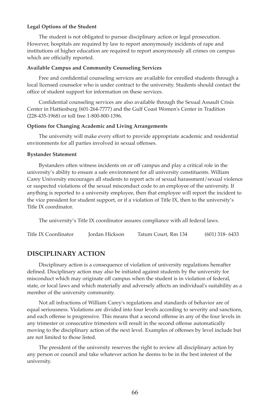#### **Legal options of the Student**

 The student is not obligated to pursue disciplinary action or legal prosecution. However, hospitals are required by law to report anonymously incidents of rape and institutions of higher education are required to report anonymously all crimes on campus which are officially reported.

#### **Available Campus and Community Counseling Services**

 Free and confidential counseling services are available for enrolled students through a local licensed counselor who is under contract to the university. Students should contact the office of student support for information on these services.

 Confidential counseling services are also available through the Sexual Assault Crisis Center in Hattiesburg (601-264-7777) and the Gulf Coast Women's Center in Tradition (228-435-1968) or toll free 1-800-800-1396.

#### **options for Changing Academic and Living Arrangements**

 The university will make every effort to provide appropriate academic and residential environments for all parties involved in sexual offenses.

#### **Bystander Statement**

 Bystanders often witness incidents on or off campus and play a critical role in the university's ability to ensure a safe environment for all university constituents. William Carey University encourages all students to report acts of sexual harassment/sexual violence or suspected violations of the sexual misconduct code to an employee of the university. If anything is reported to a university employee, then that employee will report the incident to the vice president for student support, or if a violation of Title IX, then to the university's Title IX coordinator.

The university's Title IX coordinator assures compliance with all federal laws.

Title IX Coordinator Jordan Hickson Tatum Court, Rm 134 (601) 318- 6433

## **dISCIPLINARy ACTIoN**

 Disciplinary action is a consequence of violation of university regulations hereafter defined. Disciplinary action may also be initiated against students by the university for misconduct which may originate off campus when the student is in violation of federal, state, or local laws and which materially and adversely affects an individual's suitability as a member of the university community.

 Not all infractions of William Carey's regulations and standards of behavior are of equal seriousness. Violations are divided into four levels according to severity and sanctions, and each offense is progressive. This means that a second offense in any of the four levels in any trimester or consecutive trimesters will result in the second offense automatically moving to the disciplinary action of the next level. Examples of offenses by level include but are not limited to those listed.

 The president of the university reserves the right to review all disciplinary action by any person or council and take whatever action he deems to be in the best interest of the university.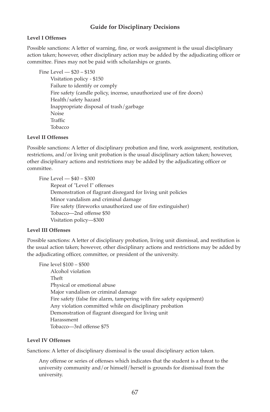## **Guide for Disciplinary Decisions**

#### **Level I offenses**

Possible sanctions: A letter of warning, fine, or work assignment is the usual disciplinary action taken; however, other disciplinary action may be added by the adjudicating officer or committee. Fines may not be paid with scholarships or grants.

Fine Level — \$20 – \$150

Visitation policy - \$150 Failure to identify or comply Fire safety (candle policy, incense, unauthorized use of fire doors) Health/safety hazard Inappropriate disposal of trash/garbage Noise Traffic Tobacco

#### **Level II offenses**

Possible sanctions: A letter of disciplinary probation and fine, work assignment, restitution, restrictions, and/or living unit probation is the usual disciplinary action taken; however, other disciplinary actions and restrictions may be added by the adjudicating officer or committee.

Fine Level — \$40 – \$300 Repeat of "Level I" offenses Demonstration of flagrant disregard for living unit policies Minor vandalism and criminal damage Fire safety (fireworks unauthorized use of fire extinguisher) Tobacco—2nd offense \$50 Visitation policy—\$300

## **Level III offenses**

Possible sanctions: A letter of disciplinary probation, living unit dismissal, and restitution is the usual action taken; however, other disciplinary actions and restrictions may be added by the adjudicating officer, committee, or president of the university.

Fine level \$100 – \$500 Alcohol violation Theft Physical or emotional abuse Major vandalism or criminal damage Fire safety (false fire alarm, tampering with fire safety equipment) Any violation committed while on disciplinary probation Demonstration of flagrant disregard for living unit Harassment Tobacco—3rd offense \$75

#### **Level IV offenses**

Sanctions: A letter of disciplinary dismissal is the usual disciplinary action taken.

 Any offense or series of offenses which indicates that the student is a threat to the university community and/or himself/herself is grounds for dismissal from the university.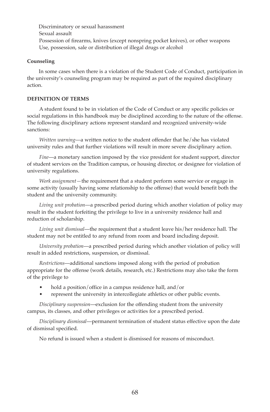Discriminatory or sexual harassment Sexual assault Possession of firearms, knives (except nonspring pocket knives), or other weapons Use, possession, sale or distribution of illegal drugs or alcohol

#### **Counseling**

In some cases when there is a violation of the Student Code of Conduct, participation in the university's counseling program may be required as part of the required disciplinary action.

## **dEFINITIoN oF TERMS**

 A student found to be in violation of the Code of Conduct or any specific policies or social regulations in this handbook may be disciplined according to the nature of the offense. The following disciplinary actions represent standard and recognized university-wide sanctions:

 *Written warning*—a written notice to the student offender that he/she has violated university rules and that further violations will result in more severe disciplinary action.

 *Fine*—a monetary sanction imposed by the vice president for student support, director of student services on the Tradition campus, or housing director, or designee for violation of university regulations.

 *Work assignment—*the requirement that a student perform some service or engage in some activity (usually having some relationship to the offense) that would benefit both the student and the university community.

 *Living unit probation*—a prescribed period during which another violation of policy may result in the student forfeiting the privilege to live in a university residence hall and reduction of scholarship.

 *Living unit dismissal*—the requirement that a student leave his/her residence hall. The student may not be entitled to any refund from room and board including deposit.

 *University probation*—a prescribed period during which another violation of policy will result in added restrictions, suspension, or dismissal.

 *Restrictions*—additional sanctions imposed along with the period of probation appropriate for the offense (work details, research, etc.) Restrictions may also take the form of the privilege to

- hold a position/office in a campus residence hall, and/or
- represent the university in intercollegiate athletics or other public events.

 *Disciplinary suspension*—exclusion for the offending student from the university campus, its classes, and other privileges or activities for a prescribed period.

 *Disciplinary dismissal*—permanent termination of student status effective upon the date of dismissal specified.

No refund is issued when a student is dismissed for reasons of misconduct.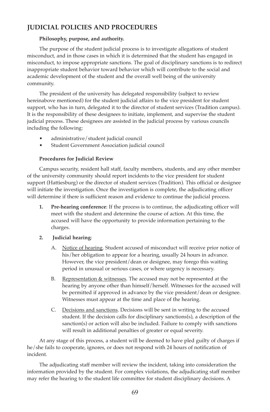# **JUdICIAL PoLICIES ANd PRoCEdURES**

#### **Philosophy, purpose, and authority.**

 The purpose of the student judicial process is to investigate allegations of student misconduct, and in those cases in which it is determined that the student has engaged in misconduct, to impose appropriate sanctions. The goal of disciplinary sanctions is to redirect inappropriate student behavior toward behavior which will contribute to the social and academic development of the student and the overall well being of the university community.

 The president of the university has delegated responsibility (subject to review hereinabove mentioned) for the student judicial affairs to the vice president for student support, who has in turn, delegated it to the director of student services (Tradition campus). It is the responsibility of these designees to initiate, implement, and supervise the student judicial process. These designees are assisted in the judicial process by various councils including the following:

- administrative/student judicial council
- Student Government Association judicial council

## **Procedures for Judicial Review**

 Campus security, resident hall staff, faculty members, students, and any other member of the university community should report incidents to the vice president for student support (Hattiesburg) or the director of student services (Tradition). This official or designee will initiate the investigation. Once the investigation is complete, the adjudicating officer will determine if there is sufficient reason and evidence to continue the judicial process.

 **1. Pre-hearing conference**: If the process is to continue, the adjudicating officer will meet with the student and determine the course of action. At this time, the accused will have the opportunity to provide information pertaining to the charges.

## **2. Judicial hearing**:

- A. Notice of hearing. Student accused of misconduct will receive prior notice of his/her obligation to appear for a hearing, usually 24 hours in advance. However, the vice president/dean or designee, may forego this waiting period in unusual or serious cases, or where urgency is necessary.
- B. Representation & witnesses. The accused may not be represented at the hearing by anyone other than himself/herself. Witnesses for the accused will be permitted if approved in advance by the vice president/dean or designee. Witnesses must appear at the time and place of the hearing.
- C. Decisions and sanctions. Decisions will be sent in writing to the accused student. If the decision calls for disciplinary sanctions(s), a description of the sanction(s) or action will also be included. Failure to comply with sanctions will result in additional penalties of greater or equal severity.

 At any stage of this process, a student will be deemed to have pled guilty of charges if he/she fails to cooperate, ignores, or does not respond with 24 hours of notification of incident.

 The adjudicating staff member will review the incident, taking into consideration the information provided by the student. For complex violations, the adjudicating staff member may refer the hearing to the student life committee for student disciplinary decisions. A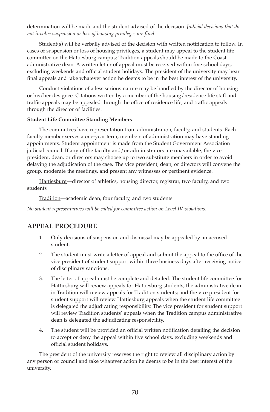determination will be made and the student advised of the decision. *Judicial decisions that do not involve suspension or loss of housing privileges are final.*

 Student(s) will be verbally advised of the decision with written notification to follow. In cases of suspension or loss of housing privileges, a student may appeal to the student life committee on the Hattiesburg campus; Tradition appeals should be made to the Coast administrative dean. A written letter of appeal must be received within five school days, excluding weekends and official student holidays. The president of the university may hear final appeals and take whatever action he deems to be in the best interest of the university.

 Conduct violations of a less serious nature may be handled by the director of housing or his/her designee. Citations written by a member of the housing/residence life staff and traffic appeals may be appealed through the office of residence life, and traffic appeals through the director of facilities.

#### **Student Life Committee Standing Members**

 The committees have representation from administration, faculty, and students. Each faculty member serves a one-year term; members of administration may have standing appointments. Student appointment is made from the Student Government Association judicial council. If any of the faculty and/or administrators are unavailable, the vice president, dean, or directors may choose up to two substitute members in order to avoid delaying the adjudication of the case. The vice president, dean, or directors will convene the group, moderate the meetings, and present any witnesses or pertinent evidence.

 Hattiesburg—director of athletics, housing director, registrar, two faculty, and two students

Tradition—academic dean, four faculty, and two students

*No student representatives will be called for committee action on Level IV violations.*

# **APPEAL PRoCEdURE**

- 1. Only decisions of suspension and dismissal may be appealed by an accused student.
- 2. The student must write a letter of appeal and submit the appeal to the office of the vice president of student support within three business days after receiving notice of disciplinary sanctions.
- 3. The letter of appeal must be complete and detailed. The student life committee for Hattiesburg will review appeals for Hattiesburg students; the administrative dean in Tradition will review appeals for Tradition students; and the vice president for student support will review Hattiesburg appeals when the student life committee is delegated the adjudicating responsibility. The vice president for student support will review Tradition students' appeals when the Tradition campus administrative dean is delegated the adjudicating responsibility.
- 4. The student will be provided an official written notification detailing the decision to accept or deny the appeal within five school days, excluding weekends and official student holidays.

 The president of the university reserves the right to review all disciplinary action by any person or council and take whatever action he deems to be in the best interest of the university.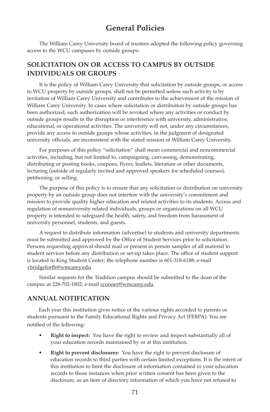# **General Policies**

 The William Carey University board of trustees adopted the following policy governing access to the WCU campuses by outside groups:

# **SoLICITATIoN oN oR ACCESS To CAMPUS By oUTSIdE INdIVIdUALS oR GRoUPS**

 It is the policy of William Carey University that solicitation by outside groups, or access to WCU property by outside groups, shall not be permitted unless such activity is by invitation of William Carey University and contributes to the achievement of the mission of William Carey University. In cases where solicitation or distribution by outside groups has been authorized, such authorization will be revoked where any activities or conduct by outside groups results in the disruption or interference with university, administrative, educational, or operational activities. The university will not, under any circumstances, provide any access to outside groups whose activities, in the judgment of designated university officials, are inconsistent with the stated mission of William Carey University.

 For purposes of this policy "solicitation" shall mean commercial and noncommercial activities, including, but not limited to, campaigning, canvassing, demonstrating, distributing or posting books, coupons, flyers, leaflets, literature or other documents, lecturing (outside of regularly invited and approved speakers for scheduled courses), petitioning, or selling.

 The purpose of this policy is to ensure that any solicitation or distribution on university property by an outside group does not interfere with the university's commitment and mission to provide quality higher education and related activities to its students. Access and regulation of nonuniversity related individuals, groups or organizations on all WCU property is intended to safeguard the health, safety, and freedom from harassment of university personnel, students, and guests.

 A request to distribute information (advertise) to students and university departments must be submitted and approved by the Office of Student Services prior to solicitation. Persons requesting approval should mail or present in person samples of all material to student services before any distribution or set-up takes place. The office of student support is located in King Student Center; the telephone number is 601-318-6188; e-mail vbridgeforth@wmcarey.edu.

 Similar requests for the Tradition campus should be submitted to the dean of the campus at 228-702-1802; e-mail cconner@wmcarey.edu.

# **ANNUAL NoTIFICATIoN**

 Each year this institution gives notice of the various rights accorded to parents or students pursuant to the Family Educational Rights and Privacy Act (FERPA). You are notified of the following:

- **Right to inspect:** You have the right to review and inspect substantially all of your education records maintained by or at this institution.
- **Right to prevent disclosures:** You have the right to prevent disclosure of education records to third parties with certain limited exceptions. It is the intent of this institution to limit the disclosure of information contained in your education records to those instances when prior written consent has been given to the disclosure, as an item of directory information of which you have not refused to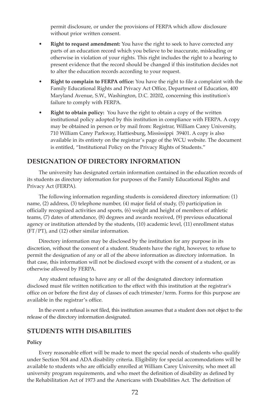permit disclosure, or under the provisions of FERPA which allow disclosure without prior written consent.

- **Right to request amendment:** You have the right to seek to have corrected any parts of an education record which you believe to be inaccurate, misleading or otherwise in violation of your rights. This right includes the right to a hearing to present evidence that the record should be changed if this institution decides not to alter the education records according to your request.
- **Right to complain to FERPA office:** You have the right to file a complaint with the Family Educational Rights and Privacy Act Office, Department of Education, 400 Maryland Avenue, S.W., Washington, D.C. 20202, concerning this institution's failure to comply with FERPA.
- **Right to obtain policy:** You have the right to obtain a copy of the written institutional policy adopted by this institution in compliance with FERPA. A copy may be obtained in person or by mail from: Registrar, William Carey University, 710 William Carey Parkway, Hattiesburg, Mississippi 39401. A copy is also available in its entirety on the registrar's page of the WCU website. The document is entitled, "Institutional Policy on the Privacy Rights of Students."

## **dESIGNATIoN oF dIRECToRy INFoRMATIoN**

 The university has designated certain information contained in the education records of its students as directory information for purposes of the Family Educational Rights and Privacy Act (FERPA).

 The following information regarding students is considered directory information: (1) name, (2) address, (3) telephone number, (4) major field of study, (5) participation in officially recognized activities and sports, (6) weight and height of members of athletic teams, (7) dates of attendance, (8) degrees and awards received, (9) previous educational agency or institution attended by the students, (10) academic level, (11) enrollment status (FT/PT), and (12) other similar information.

 Directory information may be disclosed by the institution for any purpose in its discretion, without the consent of a student. Students have the right, however, to refuse to permit the designation of any or all of the above information as directory information. In that case, this information will not be disclosed except with the consent of a student, or as otherwise allowed by FERPA.

 Any student refusing to have any or all of the designated directory information disclosed must file written notification to the effect with this institution at the registrar's office on or before the first day of classes of each trimester/term. Forms for this purpose are available in the registrar's office.

 In the event a refusal is not filed, this institution assumes that a student does not object to the release of the directory information designated.

## **STUdENTS WITH dISABILITIES**

#### **Policy**

Every reasonable effort will be made to meet the special needs of students who qualify under Section 504 and ADA disability criteria. Eligibility for special accommodations will be available to students who are officially enrolled at William Carey University, who meet all university program requirements, and who meet the definition of disability as defined by the Rehabilitation Act of 1973 and the Americans with Disabilities Act. The definition of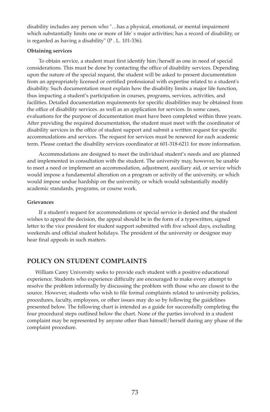disability includes any person who "…has a physical, emotional, or mental impairment which substantially limits one or more of life' s major activities; has a record of disability, or is regarded as having a disability" (P . L. 101-336).

#### **obtaining services**

 To obtain service, a student must first identify him/herself as one in need of special considerations. This must be done by contacting the office of disability services. Depending upon the nature of the special request, the student will be asked to present documentation from an appropriately licensed or certified professional with expertise related to a student's disability. Such documentation must explain how the disability limits a major life function, thus impacting a student's participation in courses, programs, services, activities, and facilities. Detailed documentation requirements for specific disabilities may be obtained from the office of disability services. as well as an application for services. In some cases, evaluations for the purpose of documentation must have been completed within three years. After providing the required documentation, the student must meet with the coordinator of disability services in the office of student support and submit a written request for specific accommodations and services. The request for services must be renewed for each academic term. Please contact the disability services coordinator at 601-318-6211 for more information.

 Accommodations are designed to meet the individual student's needs and are planned and implemented in consultation with the student. The university may, however, be unable to meet a need or implement an accommodation, adjustment, auxiliary aid, or service which would impose a fundamental alteration on a program or activity of the university, or which would impose undue hardship on the university, or which would substantially modify academic standards, programs, or course work.

#### **Grievances**

If a student's request for accommodations or special service is denied and the student wishes to appeal the decision, the appeal should be in the form of a typewritten, signed letter to the vice president for student support submitted with five school days, excluding weekends and official student holidays. The president of the university or designee may hear final appeals in such matters.

#### **PoLICy oN STUdENT CoMPLAINTS**

 William Carey University seeks to provide each student with a positive educational experience. Students who experience difficulty are encouraged to make every attempt to resolve the problem informally by discussing the problem with those who are closest to the source. However, students who wish to file formal complaints related to university policies, procedures, faculty, employees, or other issues may do so by following the guidelines presented below. The following chart is intended as a guide for successfully completing the four procedural steps outlined below the chart. None of the parties involved in a student complaint may be represented by anyone other than himself/herself during any phase of the complaint procedure.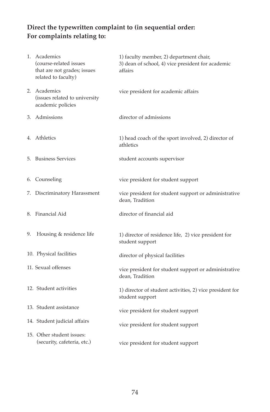### Direct the typewritten complaint to (in sequential order: **For complaints relating to:**

|    | 1. Academics<br>(course-related issues<br>that are not grades; issues<br>related to faculty) | 1) faculty member, 2) department chair,<br>3) dean of school, 4) vice president for academic<br>affairs |
|----|----------------------------------------------------------------------------------------------|---------------------------------------------------------------------------------------------------------|
|    | 2. Academics<br>(issues related to university<br>academic policies                           | vice president for academic affairs                                                                     |
|    | 3. Admissions                                                                                | director of admissions                                                                                  |
|    | 4. Athletics                                                                                 | 1) head coach of the sport involved, 2) director of<br>athletics                                        |
|    | 5. Business Services                                                                         | student accounts supervisor                                                                             |
|    | 6. Counseling                                                                                | vice president for student support                                                                      |
|    | 7. Discriminatory Harassment                                                                 | vice president for student support or administrative<br>dean, Tradition                                 |
|    | 8. Financial Aid                                                                             | director of financial aid                                                                               |
| 9. | Housing & residence life                                                                     | 1) director of residence life, 2) vice president for<br>student support                                 |
|    | 10. Physical facilities                                                                      | director of physical facilities                                                                         |
|    | 11. Sexual offenses                                                                          | vice president for student support or administrative<br>dean, Tradition                                 |
|    | 12. Student activities                                                                       | 1) director of student activities, 2) vice president for<br>student support                             |
|    | 13. Student assistance                                                                       | vice president for student support                                                                      |
|    | 14. Student judicial affairs                                                                 | vice president for student support                                                                      |
|    | 15. Other student issues:<br>(security, cafeteria, etc.)                                     | vice president for student support                                                                      |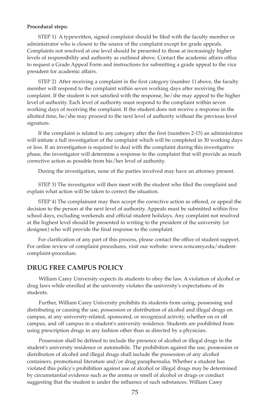#### **Procedural steps:**

 STEP 1) A typewritten, signed complaint should be filed with the faculty member or administrator who is closest to the source of the complaint except for grade appeals. Complaints not resolved at one level should be presented to those at increasingly higher levels of responsibility and authority as outlined above. Contact the academic affairs office to request a Grade Appeal Form and instructions for submitting a grade appeal to the vice president for academic affairs.

 STEP 2) After receiving a complaint in the first category (number 1) above, the faculty member will respond to the complaint within seven working days after receiving the complaint. If the student is not satisfied with the response, he/she may appeal to the higher level of authority. Each level of authority must respond to the complaint within seven working days of receiving the complaint. If the student does not receive a response in the allotted time, he/she may proceed to the next level of authority without the previous level signature.

 If the complaint is related to any category after the first (numbers 2-15) an administrator will initiate a full investigation of the complaint which will be completed in 30 working days or less. If an investigation is required to deal with the complaint during this investigative phase, the investigator will determine a response to the complaint that will provide as much corrective action as possible from his/her level of authority.

During the investigation, none of the parties involved may have an attorney present.

 STEP 3) The investigator will then meet with the student who filed the complaint and explain what action will be taken to correct the situation.

 STEP 4) The complainant may then accept the corrective action as offered, or appeal the decision to the person at the next level of authority. Appeals must be submitted within five school days, excluding weekends and official student holidays. Any complaint not resolved at the highest level should be presented in writing to the president of the university (or designee) who will provide the final response to the complaint.

 For clarification of any part of this process, please contact the office of student support. For online review of complaint procedures, visit our website: www.wmcarey.edu/studentcomplaint-procedure.

#### **dRUG FREE CAMPUS PoLICy**

 William Carey University expects its students to obey the law. A violation of alcohol or drug laws while enrolled at the university violates the university's expectations of its students.

 Further, William Carey University prohibits its students from using, possessing and distributing or causing the use, possession or distribution of alcohol and illegal drugs on campus, at any university-related, sponsored, or recognized activity, whether on or off campus, and off campus in a student's university residence. Students are prohibited from using prescription drugs in any fashion other than as directed by a physician.

 Possession shall be defined to include the presence of alcohol or illegal drugs in the student's university residence or automobile. The prohibition against the use, possession or distribution of alcohol and illegal drugs shall include the possession of any alcohol containers, promotional literature and/or drug paraphernalia. Whether a student has violated this policy's prohibition against use of alcohol or illegal drugs may be determined by circumstantial evidence such as the aroma or smell of alcohol or drugs or conduct suggesting that the student is under the influence of such substances. William Carey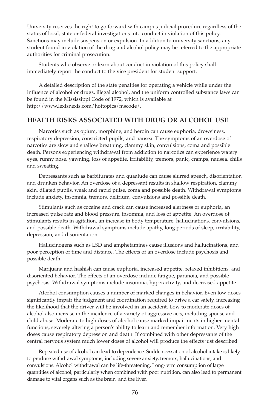University reserves the right to go forward with campus judicial procedure regardless of the status of local, state or federal investigations into conduct in violation of this policy. Sanctions may include suspension or expulsion. In addition to university sanctions, any student found in violation of the drug and alcohol policy may be referred to the appropriate authorities for criminal prosecution.

 Students who observe or learn about conduct in violation of this policy shall immediately report the conduct to the vice president for student support.

 A detailed description of the state penalties for operating a vehicle while under the influence of alcohol or drugs, illegal alcohol, and the uniform controlled substance laws can be found in the Mississippi Code of 1972, which is available at http://www.lexisnexis.com/hottopics/mscode/.

#### **HEALTH RISKS ASSoCIATEd WITH dRUG oR ALCoHoL USE**

 Narcotics such as opium, morphine, and heroin can cause euphoria, drowsiness, respiratory depression, constricted pupils, and nausea. The symptoms of an overdose of narcotics are slow and shallow breathing, clammy skin, convulsions, coma and possible death. Persons experiencing withdrawal from addiction to narcotics can experience watery eyes, runny nose, yawning, loss of appetite, irritability, tremors, panic, cramps, nausea, chills and sweating.

 Depressants such as barbiturates and quaalude can cause slurred speech, disorientation and drunken behavior. An overdose of a depressant results in shallow respiration, clammy skin, dilated pupils, weak and rapid pulse, coma and possible death. Withdrawal symptoms include anxiety, insomnia, tremors, delirium, convulsions and possible death.

 Stimulants such as cocaine and crack can cause increased alertness or euphoria, an increased pulse rate and blood pressure, insomnia, and loss of appetite. An overdose of stimulants results in agitation, an increase in body temperature, hallucinations, convulsions, and possible death. Withdrawal symptoms include apathy, long periods of sleep, irritability, depression, and disorientation.

 Hallucinogens such as LSD and amphetamines cause illusions and hallucinations, and poor perception of time and distance. The effects of an overdose include psychosis and possible death.

 Marijuana and hashish can cause euphoria, increased appetite, relaxed inhibitions, and disoriented behavior. The effects of an overdose include fatigue, paranoia, and possible psychosis. Withdrawal symptoms include insomnia, hyperactivity, and decreased appetite.

 Alcohol consumption causes a number of marked changes in behavior. Even low doses significantly impair the judgment and coordination required to drive a car safely, increasing the likelihood that the driver will be involved in an accident. Low to moderate doses of alcohol also increase in the incidence of a variety of aggressive acts, including spouse and child abuse. Moderate to high doses of alcohol cause marked impairments in higher mental functions, severely altering a person's ability to learn and remember information. Very high doses cause respiratory depression and death. If combined with other depressants of the central nervous system much lower doses of alcohol will produce the effects just described.

 Repeated use of alcohol can lead to dependence. Sudden cessation of alcohol intake is likely to produce withdrawal symptoms, including severe anxiety, tremors, hallucinations, and convulsions. Alcohol withdrawal can be life-threatening. Long-term consumption of large quantities of alcohol, particularly when combined with poor nutrition, can also lead to permanent damage to vital organs such as the brain and the liver.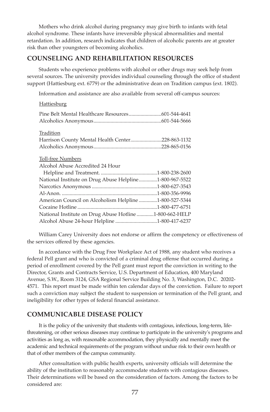Mothers who drink alcohol during pregnancy may give birth to infants with fetal alcohol syndrome. These infants have irreversible physical abnormalities and mental retardation. In addition, research indicates that children of alcoholic parents are at greater risk than other youngsters of becoming alcoholics.

#### **CoUNSELING ANd REHABILITATIoN RESoURCES**

 Students who experience problems with alcohol or other drugs may seek help from several sources. The university provides individual counseling through the office of student support (Hattiesburg ext. 6779) or the administrative dean on Tradition campus (ext. 1802).

Information and assistance are also available from several off-campus sources:

#### **Hattiesburg**

| Tradition                                               |  |
|---------------------------------------------------------|--|
| Harrison County Mental Health Center228-863-1132        |  |
|                                                         |  |
|                                                         |  |
| Toll-free Numbers                                       |  |
| Alcohol Abuse Accredited 24 Hour                        |  |
|                                                         |  |
| National Institute on Drug Abuse Helpline1-800-967-5522 |  |
|                                                         |  |
|                                                         |  |
| American Council on Alcoholism Helpline 1-800-527-5344  |  |
|                                                         |  |
| National Institute on Drug Abuse Hotline 1-800-662-HELP |  |
| Alcohol Abuse 24-hour Helpline 1-800-417-6237           |  |

 William Carey University does not endorse or affirm the competency or effectiveness of the services offered by these agencies.

 In accordance with the Drug Free Workplace Act of 1988, any student who receives a federal Pell grant and who is convicted of a criminal drug offense that occurred during a period of enrollment covered by the Pell grant must report the conviction in writing to the Director, Grants and Contracts Service, U.S. Department of Education, 400 Maryland Avenue, S.W., Room 3124, GSA Regional Service Building No. 3, Washington, D.C. 20202- 4571. This report must be made within ten calendar days of the conviction. Failure to report such a conviction may subject the student to suspension or termination of the Pell grant, and ineligibility for other types of federal financial assistance.

#### **CoMMUNICABLE dISEASE PoLICy**

 It is the policy of the university that students with contagious, infectious, long-term, lifethreatening, or other serious diseases may continue to participate in the university's programs and activities as long as, with reasonable accommodation, they physically and mentally meet the academic and technical requirements of the program without undue risk to their own health or that of other members of the campus community.

 After consultation with public health experts, university officials will determine the ability of the institution to reasonably accommodate students with contagious diseases. Their determinations will be based on the consideration of factors. Among the factors to be considered are: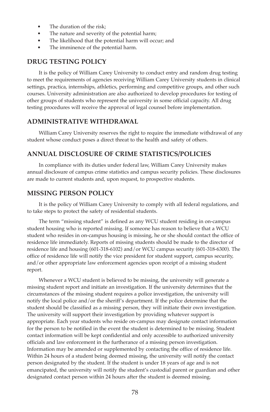- The duration of the risk:
- The nature and severity of the potential harm;
- The likelihood that the potential harm will occur; and
- The imminence of the potential harm.

#### **dRUG TESTING PoLICy**

 It is the policy of William Carey University to conduct entry and random drug testing to meet the requirements of agencies receiving William Carey University students in clinical settings, practica, internships, athletics, performing and competitive groups, and other such courses. University administration are also authorized to develop procedures for testing of other groups of students who represent the university in some official capacity. All drug testing procedures will receive the approval of legal counsel before implementation.

#### **AdMINISTRATIVE WITHdRAWAL**

 William Carey University reserves the right to require the immediate withdrawal of any student whose conduct poses a direct threat to the health and safety of others.

#### **ANNUAL dISCLoSURE oF CRIME STATISTICS/PoLICIES**

 In compliance with its duties under federal law, William Carey University makes annual disclosure of campus crime statistics and campus security policies. These disclosures are made to current students and, upon request, to prospective students.

#### **MISSING PERSoN PoLICy**

 It is the policy of William Carey University to comply with all federal regulations, and to take steps to protect the safety of residential students.

 The term "missing student" is defined as any WCU student residing in on-campus student housing who is reported missing. If someone has reason to believe that a WCU student who resides in on-campus housing is missing, he or she should contact the office of residence life immediately. Reports of missing students should be made to the director of residence life and housing (601-318-6102) and/or WCU campus security (601-318-6300). The office of residence life will notify the vice president for student support, campus security, and/or other appropriate law enforcement agencies upon receipt of a missing student report.

 Whenever a WCU student is believed to be missing, the university will generate a missing student report and initiate an investigation. If the university determines that the circumstances of the missing student requires a police investigation, the university will notify the local police and/or the sheriff's department. If the police determine that the student should be classified as a missing person, they will initiate their own investigation. The university will support their investigation by providing whatever support is appropriate. Each year students who reside on-campus may designate contact information for the person to be notified in the event the student is determined to be missing. Student contact information will be kept confidential and only accessible to authorized university officials and law enforcement in the furtherance of a missing person investigation. Information may be amended or supplemented by contacting the office of residence life. Within 24 hours of a student being deemed missing, the university will notify the contact person designated by the student. If the student is under 18 years of age and is not emancipated, the university will notify the student's custodial parent or guardian and other designated contact person within 24 hours after the student is deemed missing.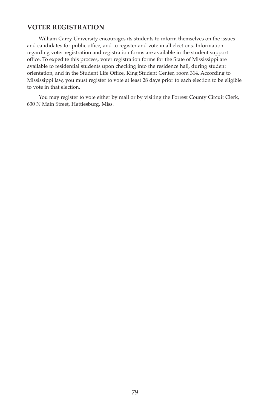#### **VoTER REGISTRATIoN**

 William Carey University encourages its students to inform themselves on the issues and candidates for public office, and to register and vote in all elections. Information regarding voter registration and registration forms are available in the student support office. To expedite this process, voter registration forms for the State of Mississippi are available to residential students upon checking into the residence hall, during student orientation, and in the Student Life Office, King Student Center, room 314. According to Mississippi law, you must register to vote at least 28 days prior to each election to be eligible to vote in that election.

 You may register to vote either by mail or by visiting the Forrest County Circuit Clerk, 630 N Main Street, Hattiesburg, Miss.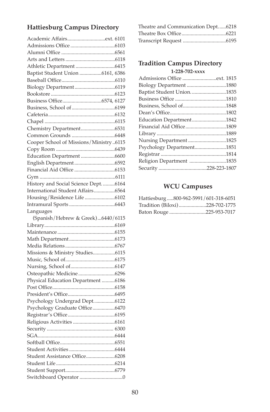### **Hattiesburg Campus Directory**

| Baptist Student Union 6161, 6386       |  |
|----------------------------------------|--|
|                                        |  |
|                                        |  |
|                                        |  |
|                                        |  |
|                                        |  |
|                                        |  |
|                                        |  |
|                                        |  |
|                                        |  |
| Cooper School of Missions/Ministry6115 |  |
|                                        |  |
| Education Department 6600              |  |
|                                        |  |
|                                        |  |
|                                        |  |
| History and Social Science Dept. 6164  |  |
| International Student Affairs6564      |  |
|                                        |  |
|                                        |  |
|                                        |  |
|                                        |  |
| Languages                              |  |
| (Spanish/Hebrew & Greek)6440/6115      |  |
|                                        |  |
|                                        |  |
|                                        |  |
|                                        |  |
| Missions & Ministry Studies6115        |  |
|                                        |  |
|                                        |  |
| Osteopathic Medicine6296               |  |
| Physical Education Department 6186     |  |
|                                        |  |
|                                        |  |
| Psychology Undergrad Dept. 6122        |  |
| Psychology Graduate Office6470         |  |
|                                        |  |
|                                        |  |
| Security                               |  |
|                                        |  |
|                                        |  |
|                                        |  |
| Student Assistance Office6208          |  |
|                                        |  |
|                                        |  |

| Theatre and Communication Dept6218 |  |
|------------------------------------|--|
|                                    |  |
|                                    |  |

#### **Tradition Campus Directory 1-228-702-xxxx**

| Baptist Student Union1835 |  |
|---------------------------|--|
|                           |  |
|                           |  |
|                           |  |
| Education Department1842  |  |
| Financial Aid Office1809  |  |
|                           |  |
| Nursing Department 1825   |  |
| Psychology Department1851 |  |
|                           |  |
| Religion Department 1835  |  |
|                           |  |
|                           |  |

#### **WCU Campuses**

| Hattiesburg800-962-5991/601-318-6051 |  |
|--------------------------------------|--|
| Tradition (Biloxi)228-702-1775       |  |
| Baton Rouge 225-953-7017             |  |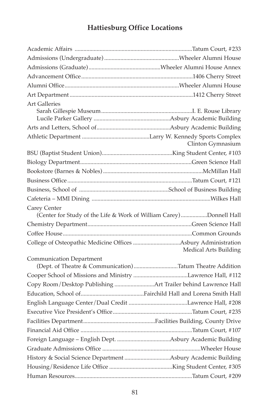## **Hattiesburg office Locations**

| <b>Art Galleries</b>                                          |                                                                    |
|---------------------------------------------------------------|--------------------------------------------------------------------|
|                                                               |                                                                    |
|                                                               |                                                                    |
|                                                               |                                                                    |
|                                                               | Clinton Gymnasium                                                  |
|                                                               |                                                                    |
|                                                               |                                                                    |
|                                                               |                                                                    |
|                                                               |                                                                    |
|                                                               |                                                                    |
|                                                               |                                                                    |
| Carey Center                                                  | (Center for Study of the Life & Work of William Carey)Donnell Hall |
|                                                               |                                                                    |
|                                                               |                                                                    |
|                                                               | Medical Arts Building                                              |
| <b>Communication Department</b>                               | (Dept. of Theatre & Communication)Tatum Theatre Addition           |
|                                                               |                                                                    |
| Copy Room/Desktop Publishing Art Trailer behind Lawrence Hall |                                                                    |
|                                                               |                                                                    |
|                                                               |                                                                    |
|                                                               |                                                                    |
|                                                               |                                                                    |
|                                                               |                                                                    |
|                                                               |                                                                    |
|                                                               |                                                                    |
| History & Social Science Department Asbury Academic Building  |                                                                    |
|                                                               |                                                                    |
|                                                               |                                                                    |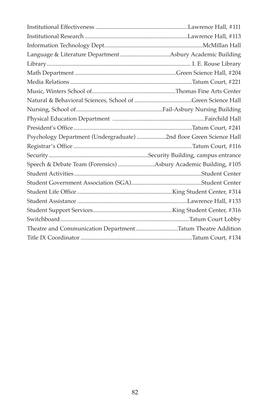| Psychology Department (Undergraduate) 2nd floor Green Science Hall |  |
|--------------------------------------------------------------------|--|
|                                                                    |  |
|                                                                    |  |
| Speech & Debate Team (Forensics) Asbury Academic Building, #105    |  |
|                                                                    |  |
|                                                                    |  |
|                                                                    |  |
|                                                                    |  |
|                                                                    |  |
|                                                                    |  |
| Theatre and Communication DepartmentTatum Theatre Addition         |  |
|                                                                    |  |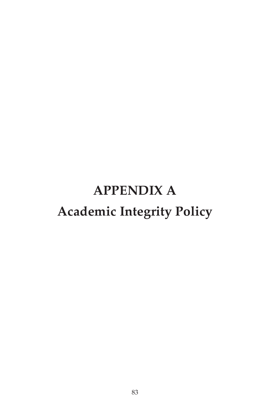# **APPENdIX A Academic Integrity Policy**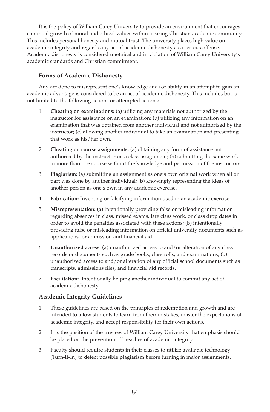It is the policy of William Carey University to provide an environment that encourages continual growth of moral and ethical values within a caring Christian academic community. This includes personal honesty and mutual trust. The university places high value on academic integrity and regards any act of academic dishonesty as a serious offense. Academic dishonesty is considered unethical and in violation of William Carey University's academic standards and Christian commitment.

#### **Forms of Academic Dishonesty**

 Any act done to misrepresent one's knowledge and/or ability in an attempt to gain an academic advantage is considered to be an act of academic dishonesty. This includes but is not limited to the following actions or attempted actions:

- 1. **Cheating on examinations:** (a) utilizing any materials not authorized by the instructor for assistance on an examination; (b) utilizing any information on an examination that was obtained from another individual and not authorized by the instructor; (c) allowing another individual to take an examination and presenting that work as his/her own.
- 2. **Cheating on course assignments:** (a) obtaining any form of assistance not authorized by the instructor on a class assignment; (b) submitting the same work in more than one course without the knowledge and permission of the instructors.
- 3. **Plagiarism:** (a) submitting an assignment as one's own original work when all or part was done by another individual; (b) knowingly representing the ideas of another person as one's own in any academic exercise.
- 4. **Fabrication:** Inventing or falsifying information used in an academic exercise.
- 5. **Misrepresentation:** (a) intentionally providing false or misleading information regarding absences in class, missed exams, late class work, or class drop dates in order to avoid the penalties associated with these actions; (b) intentionally providing false or misleading information on official university documents such as applications for admission and financial aid.
- 6. **Unauthorized access:** (a) unauthorized access to and/or alteration of any class records or documents such as grade books, class rolls, and examinations; (b) unauthorized access to and/or alteration of any official school documents such as transcripts, admissions files, and financial aid records.
- 7. **Facilitation:** Intentionally helping another individual to commit any act of academic dishonesty.

#### **Academic Integrity Guidelines**

- 1. These guidelines are based on the principles of redemption and growth and are intended to allow students to learn from their mistakes, master the expectations of academic integrity, and accept responsibility for their own actions.
- 2. It is the position of the trustees of William Carey University that emphasis should be placed on the prevention of breaches of academic integrity.
- 3. Faculty should require students in their classes to utilize available technology (Turn-It-In) to detect possible plagiarism before turning in major assignments.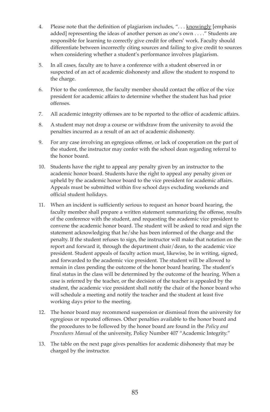- 4. Please note that the definition of plagiarism includes, ". . . knowingly [emphasis added] representing the ideas of another person as one's own . . . ." Students are responsible for learning to correctly give credit for others' work. Faculty should differentiate between incorrectly citing sources and failing to give credit to sources when considering whether a student's performance involves plagiarism.
- 5. In all cases, faculty are to have a conference with a student observed in or suspected of an act of academic dishonesty and allow the student to respond to the charge.
- 6. Prior to the conference, the faculty member should contact the office of the vice president for academic affairs to determine whether the student has had prior offenses.
- 7. All academic integrity offenses are to be reported to the office of academic affairs.
- 8. A student may not drop a course or withdraw from the university to avoid the penalties incurred as a result of an act of academic dishonesty.
- 9. For any case involving an egregious offense, or lack of cooperation on the part of the student, the instructor may confer with the school dean regarding referral to the honor board.
- 10. Students have the right to appeal any penalty given by an instructor to the academic honor board. Students have the right to appeal any penalty given or upheld by the academic honor board to the vice president for academic affairs. Appeals must be submitted within five school days excluding weekends and official student holidays.
- 11. When an incident is sufficiently serious to request an honor board hearing, the faculty member shall prepare a written statement summarizing the offense, results of the conference with the student, and requesting the academic vice president to convene the academic honor board. The student will be asked to read and sign the statement acknowledging that he/she has been informed of the charge and the penalty. If the student refuses to sign, the instructor will make that notation on the report and forward it, through the department chair/dean, to the academic vice president. Student appeals of faculty action must, likewise, be in writing, signed, and forwarded to the academic vice president. The student will be allowed to remain in class pending the outcome of the honor board hearing. The student's final status in the class will be determined by the outcome of the hearing. When a case is referred by the teacher, or the decision of the teacher is appealed by the student, the academic vice president shall notify the chair of the honor board who will schedule a meeting and notify the teacher and the student at least five working days prior to the meeting.
- 12. The honor board may recommend suspension or dismissal from the university for egregious or repeated offenses. Other penalties available to the honor board and the procedures to be followed by the honor board are found in the *Policy and Procedures Manual* of the university, Policy Number 407 "Academic Integrity."
- 13. The table on the next page gives penalties for academic dishonesty that may be charged by the instructor.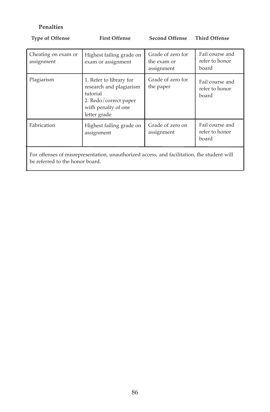#### **Penalties**

| <b>Type of Offense</b>                                                                                                        | <b>First Offense</b>                                                                                                           | <b>Second Offense</b>                          | <b>Third Offense</b>                       |
|-------------------------------------------------------------------------------------------------------------------------------|--------------------------------------------------------------------------------------------------------------------------------|------------------------------------------------|--------------------------------------------|
| Cheating on exam or<br>assignment                                                                                             | Highest failing grade on<br>exam or assignment                                                                                 | Grade of zero for<br>the exam or<br>assignment | Fail course and<br>refer to honor<br>board |
| Plagiarism                                                                                                                    | 1. Refer to library for<br>research and plagiarism<br>tutorial<br>2. Redo/correct paper<br>with penalty of one<br>letter grade | Grade of zero for<br>the paper                 | Fail course and<br>refer to honor<br>board |
| Fabrication                                                                                                                   | Highest failing grade on<br>assignment                                                                                         | Grade of zero on<br>assignment                 | Fail course and<br>refer to honor<br>board |
| For offenses of misrepresentation, unauthorized access, and facilitation, the student will<br>be referred to the honor board. |                                                                                                                                |                                                |                                            |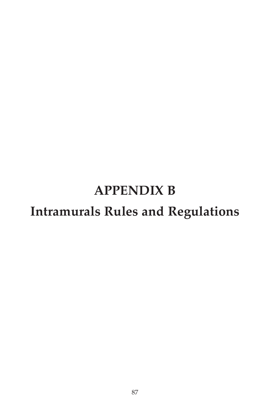# **APPENdIX B Intramurals Rules and Regulations**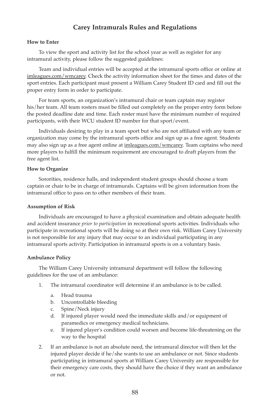#### **Carey Intramurals Rules and Regulations**

#### **How to Enter**

 To view the sport and activity list for the school year as well as register for any intramural activity, please follow the suggested guidelines:

 Team and individual entries will be accepted at the intramural sports office or online at imleagues.com/wmcarey. Check the activity information sheet for the times and dates of the sport entries. Each participant must present a William Carey Student ID card and fill out the proper entry form in order to participate.

 For team sports, an organization's intramural chair or team captain may register his/her team. All team rosters must be filled out completely on the proper entry form before the posted deadline date and time. Each roster must have the minimum number of required participants, with their WCU student ID number for that sport/event.

 Individuals desiring to play in a team sport but who are not affiliated with any team or organization may come by the intramural sports office and sign up as a free agent. Students may also sign up as a free agent online at imleagues.com/wmcarey. Team captains who need more players to fulfill the minimum requirement are encouraged to draft players from the free agent list.

#### **How to Organize**

 Sororities, residence halls, and independent student groups should choose a team captain or chair to be in charge of intramurals. Captains will be given information from the intramural office to pass on to other members of their team.

#### **Assumption of Risk**

 Individuals are encouraged to have a physical examination and obtain adequate health and accident insurance *prior to participation* in recreational sports activities. Individuals who participate in recreational sports will be doing so at their own risk. William Carey University is not responsible for any injury that may occur to an individual participating in any intramural sports activity. Participation in intramural sports is on a voluntary basis.

#### **Ambulance Policy**

 The William Carey University intramural department will follow the following guidelines for the use of an ambulance:

- 1. The intramural coordinator will determine if an ambulance is to be called.
	- a. Head trauma
	- b. Uncontrollable bleeding
	- c. Spine/Neck injury
	- d. If injured player would need the immediate skills and/or equipment of paramedics or emergency medical technicians.
	- e. If injured player's condition could worsen and become life-threatening on the way to the hospital
- 2. If an ambulance is not an absolute need, the intramural director will then let the injured player decide if he/she wants to use an ambulance or not. Since students participating in intramural sports at William Carey University are responsible for their emergency care costs, they should have the choice if they want an ambulance or not.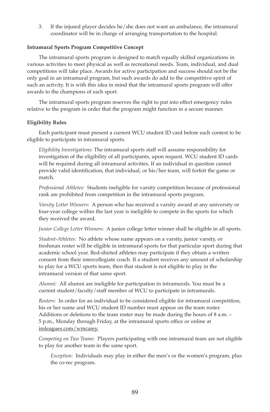3. If the injured player decides he/she does not want an ambulance, the intramural coordinator will be in charge of arranging transportation to the hospital.

#### **Intramural Sports Program Competitive Concept**

 The intramural sports program is designed to match equally skilled organizations in various activities to meet physical as well as recreational needs. Team, individual, and dual competitions will take place. Awards for active participation and success should not be the only goal in an intramural program, but such awards do add to the competitive spirit of such an activity. It is with this idea in mind that the intramural sports program will offer awards to the champions of each sport.

 The intramural sports program reserves the right to put into effect emergency rules relative to the program in order that the program might function in a secure manner.

#### **Eligibility Rules**

 Each participant must present a current WCU student ID card before each contest to be eligible to participate in intramural sports.

 *Eligibility Investigations*: The intramural sports staff will assume responsibility for investigation of the eligibility of all participants, upon request. WCU student ID cards will be required during all intramural activities. If an individual in question cannot provide valid identification, that individual, or his/her team, will forfeit the game or match.

 *Professional Athletes:* Students ineligible for varsity competition because of professional rank are prohibited from competition in the intramural sports program.

 *Varsity Letter Winners*: A person who has received a varsity award at any university or four-year college within the last year is ineligible to compete in the sports for which they received the award.

*Junior College Letter Winners*: A junior college letter winner shall be eligible in all sports.

 *Student-Athletes:* No athlete whose name appears on a varsity, junior varsity, or freshman roster will be eligible in intramural sports for that particular sport during that academic school year. Red-shirted athletes may participate if they obtain a written consent from their intercollegiate coach. If a student receives any amount of scholarship to play for a WCU sports team, then that student is not eligible to play in the intramural version of that same sport.

 *Alumni:* All alumni are ineligible for participation in intramurals. You must be a current student/faculty/staff member of WCU to participate in intramurals.

 *Rosters:* In order for an individual to be considered eligible for intramural competition, his or her name and WCU student ID number must appear on the team roster. Additions or deletions to the team roster may be made during the hours of 8 a.m. – 5 p.m., Monday through Friday, at the intramural sports office or online at imleagues.com/wmcarey.

 *Competing on Two Teams*: Players participating with one intramural team are not eligible to play for another team in the same sport.

 *Exception*: Individuals may play in either the men's or the women's program, plus the co-rec program.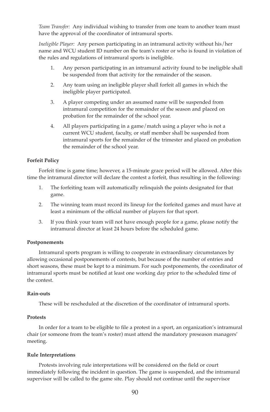*Team Transfer:* Any individual wishing to transfer from one team to another team must have the approval of the coordinator of intramural sports.

 *Ineligible Player:* Any person participating in an intramural activity without his/her name and WCU student ID number on the team's roster or who is found in violation of the rules and regulations of intramural sports is ineligible.

- 1. Any person participating in an intramural activity found to be ineligible shall be suspended from that activity for the remainder of the season.
- 2. Any team using an ineligible player shall forfeit all games in which the ineligible player participated.
- 3. A player competing under an assumed name will be suspended from intramural competition for the remainder of the season and placed on probation for the remainder of the school year.
- 4. All players participating in a game/match using a player who is not a current WCU student, faculty, or staff member shall be suspended from intramural sports for the remainder of the trimester and placed on probation the remainder of the school year.

#### **Forfeit Policy**

 Forfeit time is game time; however, a 15-minute grace period will be allowed. After this time the intramural director will declare the contest a forfeit, thus resulting in the following:

- 1. The forfeiting team will automatically relinquish the points designated for that game.
- 2. The winning team must record its lineup for the forfeited games and must have at least a minimum of the official number of players for that sport.
- 3. If you think your team will not have enough people for a game, please notify the intramural director at least 24 hours before the scheduled game.

#### **Postponements**

 Intramural sports program is willing to cooperate in extraordinary circumstances by allowing occasional postponements of contests, but because of the number of entries and short seasons, these must be kept to a minimum. For such postponements, the coordinator of intramural sports must be notified at least one working day prior to the scheduled time of the contest.

#### **Rain-outs**

These will be rescheduled at the discretion of the coordinator of intramural sports.

#### **Protests**

 In order for a team to be eligible to file a protest in a sport, an organization's intramural chair (or someone from the team's roster) must attend the mandatory preseason managers' meeting.

#### **Rule Interpretations**

 Protests involving rule interpretations will be considered on the field or court immediately following the incident in question. The game is suspended, and the intramural supervisor will be called to the game site. Play should not continue until the supervisor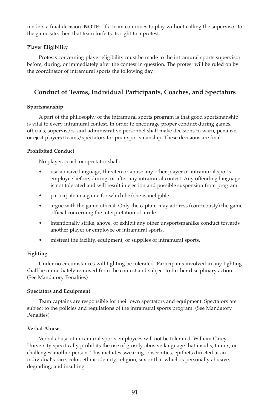renders a final decision. **NoTE**: If a team continues to play without calling the supervisor to the game site, then that team forfeits its right to a protest.

#### **Player Eligibility**

 Protests concerning player eligibility must be made to the intramural sports supervisor before, during, or immediately after the contest in question. The protest will be ruled on by the coordinator of intramural sports the following day.

#### **Conduct of Teams, Individual Participants, Coaches, and Spectators**

#### **Sportsmanship**

 A part of the philosophy of the intramural sports program is that good sportsmanship is vital to every intramural contest. In order to encourage proper conduct during games, officials, supervisors, and administrative personnel shall make decisions to warn, penalize, or eject players/teams/spectators for poor sportsmanship. These decisions are final.

#### **Prohibited Conduct**

No player, coach or spectator shall:

- use abusive language, threaten or abuse any other player or intramural sports employee before, during, or after any intramural contest. Any offending language is not tolerated and will result in ejection and possible suspension from program.
- participate in a game for which he/she is ineligible.
- argue with the game official. Only the captain may address (courteously) the game official concerning the interpretation of a rule.
- intentionally strike, shove, or exhibit any other unsportsmanlike conduct towards another player or employee of intramural sports.
- mistreat the facility, equipment, or supplies of intramural sports.

#### **Fighting**

 Under no circumstances will fighting be tolerated. Participants involved in any fighting shall be immediately removed from the contest and subject to further disciplinary action. (See Mandatory Penalties)

#### **Spectators and Equipment**

 Team captains are responsible for their own spectators and equipment. Spectators are subject to the policies and regulations of the intramural sports program. (See Mandatory Penalties)

#### **Verbal Abuse**

 Verbal abuse of intramural sports employees will not be tolerated. William Carey University specifically prohibits the use of grossly abusive language that insults, taunts, or challenges another person. This includes swearing, obscenities, epithets directed at an individual's race, color, ethnic identity, religion, sex or that which is personally abusive, degrading, and insulting.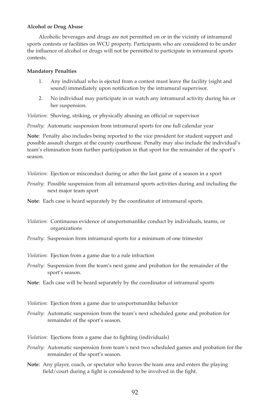#### **Alcohol or Drug Abuse**

 Alcoholic beverages and drugs are not permitted on or in the vicinity of intramural sports contests or facilities on WCU property. Participants who are considered to be under the influence of alcohol or drugs will not be permitted to participate in intramural sports contests.

#### **Mandatory Penalties**

- 1. Any individual who is ejected from a contest must leave the facility (sight and sound) immediately upon notification by the intramural supervisor.
- 2. No individual may participate in or watch any intramural activity during his or her suspension.

*Violation*: Shoving, striking, or physically abusing an official or supervisor

*Penalty*: Automatic suspension from intramural sports for one full calendar year

**Note**: Penalty also includes being reported to the vice president for student support and possible assault charges at the county courthouse. Penalty may also include the individual's team's elimination from further participation in that sport for the remainder of the sport's season.

*Violation*: Ejection or misconduct during or after the last game of a season in a sport

*Penalty*: Possible suspension from all intramural sports activities during and including the next major team sport

**Note**: Each case is heard separately by the coordinator of intramural sports.

- *Violation*: Continuous evidence of unsportsmanlike conduct by individuals, teams, or organizations
- *Penalty*: Suspension from intramural sports for a minimum of one trimester

*Violation*: Ejection from a game due to a rule infraction

*Penalty*: Suspension from the team's next game and probation for the remainder of the sport's season.

**Note**: Each case will be heard separately by the coordinator of intramural sports

*Violation*: Ejection from a game due to unsportsmanlike behavior

*Penalty*: Automatic suspension from the team's next scheduled game and probation for remainder of the sport's season.

*Violation*: Ejections from a game due to fighting (individuals)

- *Penalty*: Automatic suspension from team's next two scheduled games and probation for the remainder of the sport's season.
- **Note**: Any player, coach, or spectator who leaves the team area and enters the playing field/court during a fight is considered to be involved in the fight.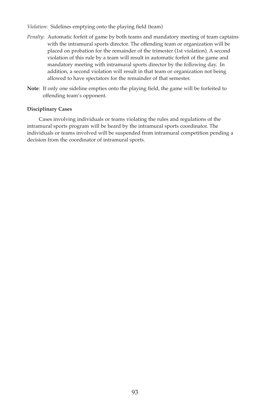*Violation*: Sidelines emptying onto the playing field (team)

- *Penalty*: Automatic forfeit of game by both teams and mandatory meeting of team captains with the intramural sports director. The offending team or organization will be placed on probation for the remainder of the trimester (1st violation). A second violation of this rule by a team will result in automatic forfeit of the game and mandatory meeting with intramural sports director by the following day. In addition, a second violation will result in that team or organization not being allowed to have spectators for the remainder of that semester.
- **Note**: If only one sideline empties onto the playing field, the game will be forfeited to offending team's opponent.

#### **disciplinary Cases**

 Cases involving individuals or teams violating the rules and regulations of the intramural sports program will be heard by the intramural sports coordinator. The individuals or teams involved will be suspended from intramural competition pending a decision from the coordinator of intramural sports.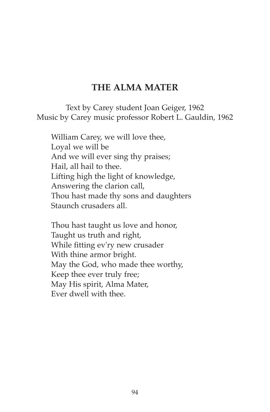## **THE ALMA MATER**

Text by Carey student Joan Geiger, 1962 Music by Carey music professor Robert L. Gauldin, 1962

William Carey, we will love thee, Loyal we will be And we will ever sing thy praises; Hail, all hail to thee. Lifting high the light of knowledge, Answering the clarion call, Thou hast made thy sons and daughters Staunch crusaders all.

Thou hast taught us love and honor, Taught us truth and right, While fitting ev'ry new crusader With thine armor bright. May the God, who made thee worthy, Keep thee ever truly free; May His spirit, Alma Mater, Ever dwell with thee.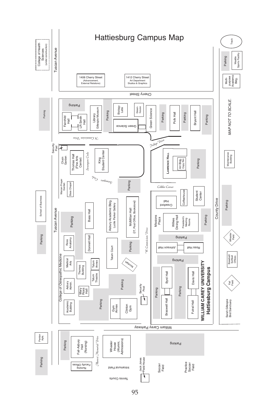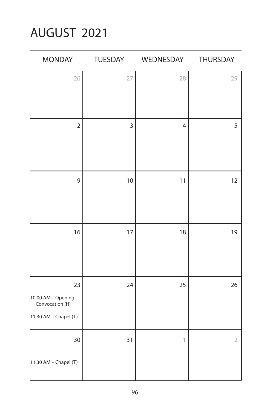## AUGUST 2021

| <b>MONDAY</b>                                                        | TUESDAY | WEDNESDAY                 | THURSDAY       |
|----------------------------------------------------------------------|---------|---------------------------|----------------|
| 26                                                                   | 27      | 28                        | 29             |
| $\overline{2}$                                                       | 3       | $\overline{4}$            | 5              |
| 9                                                                    | 10      | 11                        | 12             |
| 16                                                                   | 17      | 18                        | 19             |
| 23<br>10:00 AM - Opening<br>Convocation (H)<br>11:30 AM - Chapel (T) | 24      | 25                        | 26             |
| 30<br>11:30 AM - Chapel (T)                                          | 31      | $\ensuremath{\mathbb{I}}$ | $\overline{2}$ |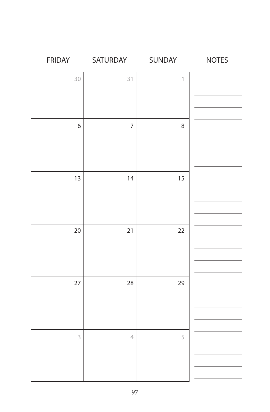| <b>FRIDAY</b> | SATURDAY       | SUNDAY       | <b>NOTES</b> |
|---------------|----------------|--------------|--------------|
| $30^{\circ}$  | 31             | $\mathbf{1}$ |              |
| 6             | $\overline{7}$ | 8            |              |
| 13            | 14             | 15           |              |
| 20            | 21             | 22           |              |
| 27            | 28             | 29           |              |
| 3             | $\overline{4}$ | 5            |              |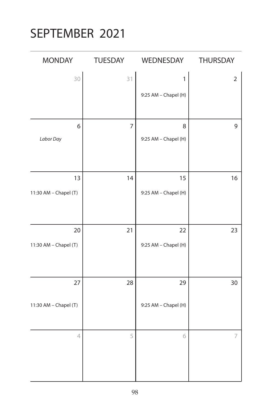## SEPTEMBER 2021

| <b>MONDAY</b>            | TUESDAY        | WEDNESDAY            | <b>THURSDAY</b> |
|--------------------------|----------------|----------------------|-----------------|
| 30                       | 31             | $\mathbf{1}$         | $\overline{2}$  |
|                          |                | 9:25 AM - Chapel (H) |                 |
|                          |                |                      |                 |
| 6                        | $\overline{7}$ | 8                    | 9               |
| Labor Day                |                | 9:25 AM - Chapel (H) |                 |
|                          |                |                      |                 |
| 13                       | 14             | 15                   | 16              |
| 11:30 AM - Chapel (T)    |                | 9:25 AM - Chapel (H) |                 |
|                          |                |                      |                 |
| 20                       | 21             | 22                   | 23              |
| 11:30 AM - Chapel (T)    |                | 9:25 AM - Chapel (H) |                 |
|                          |                |                      |                 |
| 27                       | 28             | 29                   | 30              |
| 11:30 AM - Chapel (T)    |                | 9:25 AM - Chapel (H) |                 |
| $\overline{\mathcal{A}}$ | 5              | 6                    | $\overline{ }$  |
|                          |                |                      |                 |
|                          |                |                      |                 |
|                          |                |                      |                 |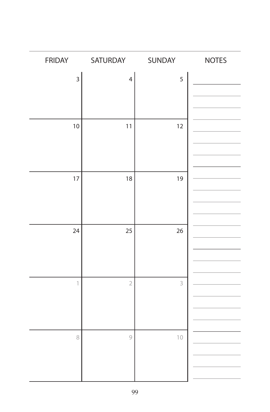| <b>FRIDAY</b>           | SATURDAY       | SUNDAY | <b>NOTES</b> |
|-------------------------|----------------|--------|--------------|
| $\overline{3}$          | $\overline{4}$ | 5      |              |
|                         |                |        |              |
|                         |                |        |              |
| 10                      | 11             | 12     |              |
|                         |                |        |              |
|                         |                |        |              |
| 17                      | 18             | 19     |              |
|                         |                |        |              |
|                         |                |        |              |
|                         |                |        |              |
| 24                      | 25             | 26     |              |
|                         |                |        |              |
|                         |                |        |              |
| $\overline{\mathbb{I}}$ | $\overline{2}$ | 3      |              |
|                         |                |        |              |
|                         |                |        |              |
| 8                       | $\mathcal{G}$  | $10$   |              |
|                         |                |        |              |
|                         |                |        |              |
|                         |                |        |              |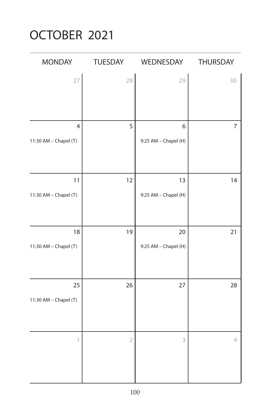## OCTOBER 2021

| <b>MONDAY</b>         | <b>TUESDAY</b> | WEDNESDAY            | THURSDAY       |
|-----------------------|----------------|----------------------|----------------|
| 27                    | 28             | 29                   | 30             |
|                       |                |                      |                |
| $\overline{4}$        | 5              | 6                    | $\overline{7}$ |
| 11:30 AM - Chapel (T) |                | 9:25 AM - Chapel (H) |                |
| 11                    | 12             | 13                   | 14             |
| 11:30 AM - Chapel (T) |                | 9:25 AM - Chapel (H) |                |
| 18                    | 19             | 20                   | 21             |
| 11:30 AM - Chapel (T) |                | 9:25 AM - Chapel (H) |                |
| 25                    | 26             | 27                   | 28             |
| 11:30 AM - Chapel (T) |                |                      |                |
| 1                     | $\overline{2}$ | 3                    | 4              |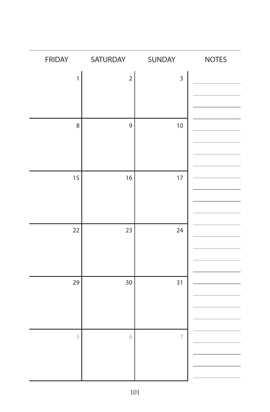| <b>FRIDAY</b> | SATURDAY    | SUNDAY                  | <b>NOTES</b> |
|---------------|-------------|-------------------------|--------------|
| $\mathbf{1}$  | $\mathbf 2$ | $\overline{\mathbf{3}}$ |              |
|               |             |                         |              |
|               |             |                         |              |
| 8             | 9           | 10                      |              |
|               |             |                         |              |
|               |             |                         |              |
| 15            | 16          | 17                      |              |
|               |             |                         |              |
|               |             |                         |              |
|               |             |                         |              |
| 22            | 23          | 24                      |              |
|               |             |                         |              |
|               |             |                         |              |
| 29            | 30          | 31                      |              |
|               |             |                         |              |
|               |             |                         |              |
|               |             |                         |              |
| 5             | 6           | $\overline{7}$          |              |
|               |             |                         |              |
|               |             |                         |              |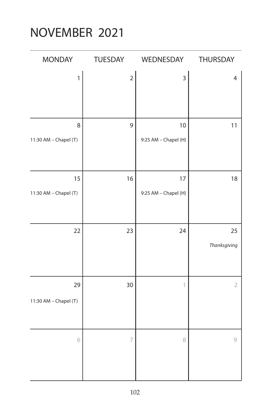# NOVEMBER 2021

| <b>MONDAY</b>               | TUESDAY        | WEDNESDAY                  | THURSDAY           |
|-----------------------------|----------------|----------------------------|--------------------|
| $\mathbf{1}$                | $\mathbf 2$    | 3                          | $\overline{4}$     |
| 8<br>11:30 AM - Chapel (T)  | 9              | 10<br>9:25 AM - Chapel (H) | 11                 |
| 15<br>11:30 AM - Chapel (T) | 16             | 17<br>9:25 AM - Chapel (H) | 18                 |
| 22                          | 23             | 24                         | 25<br>Thanksgiving |
| 29<br>11:30 AM - Chapel (T) | 30             | $\ensuremath{\mathbb{I}}$  | $\sqrt{2}$         |
| 6                           | $\overline{ }$ | 8                          | 9                  |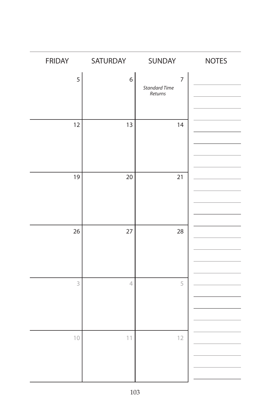| <b>FRIDAY</b> | SATURDAY       | SUNDAY                                            | <b>NOTES</b> |
|---------------|----------------|---------------------------------------------------|--------------|
| 5             | 6              | $\overline{7}$<br><b>Standard Time</b><br>Returns |              |
| 12            | 13             | 14                                                |              |
| 19            | 20             | 21                                                |              |
| 26            | 27             | 28                                                |              |
| 3             | $\overline{4}$ | 5                                                 |              |
| 10            | 11             | 12                                                |              |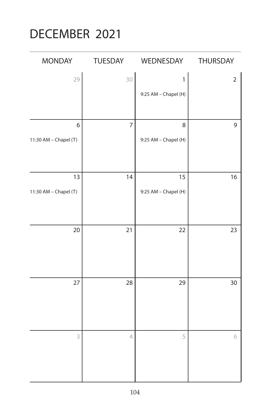## DECEMBER 2021

| <b>MONDAY</b>         | TUESDAY        | WEDNESDAY            | THURSDAY       |
|-----------------------|----------------|----------------------|----------------|
| 29                    | $30^{\circ}$   | $\mathbf{1}$         | $\overline{2}$ |
|                       |                | 9:25 AM - Chapel (H) |                |
|                       |                |                      |                |
| 6                     | $\overline{7}$ | 8                    | $\mathsf 9$    |
| 11:30 AM - Chapel (T) |                | 9:25 AM - Chapel (H) |                |
|                       |                |                      |                |
| 13                    | 14             | 15                   | 16             |
| 11:30 AM - Chapel (T) |                | 9:25 AM - Chapel (H) |                |
|                       |                |                      |                |
|                       |                |                      |                |
| 20                    | 21             | 22                   | 23             |
|                       |                |                      |                |
|                       |                |                      |                |
|                       |                |                      |                |
| 27                    | 28             | 29                   | 30             |
|                       |                |                      |                |
|                       |                |                      |                |
|                       |                |                      |                |
| 3                     | $\overline{4}$ | 5                    | 6              |
|                       |                |                      |                |
|                       |                |                      |                |
|                       |                |                      |                |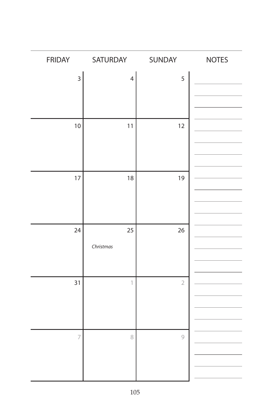| FRIDAY                  | SATURDAY       | SUNDAY         | <b>NOTES</b> |
|-------------------------|----------------|----------------|--------------|
| $\overline{\mathbf{3}}$ | $\overline{4}$ | 5              |              |
|                         |                |                |              |
|                         |                |                |              |
| 10                      | 11             | 12             |              |
|                         |                |                |              |
|                         |                |                |              |
| 17                      | 18             | 19             |              |
|                         |                |                |              |
|                         |                |                |              |
|                         |                |                |              |
| 24                      | 25             | 26             |              |
|                         | Christmas      |                |              |
|                         |                |                |              |
| 31                      | 1              | $\overline{2}$ |              |
|                         |                |                |              |
|                         |                |                |              |
| $\overline{7}$          | 8              | 9              |              |
|                         |                |                |              |
|                         |                |                |              |
|                         |                |                |              |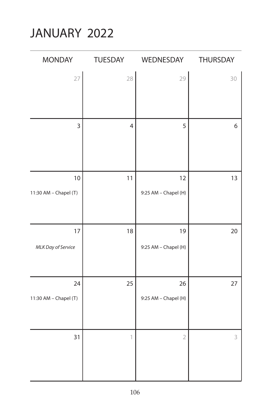# JANUARY 2022

| <b>MONDAY</b>               | TUESDAY        | WEDNESDAY                  | THURSDAY         |
|-----------------------------|----------------|----------------------------|------------------|
| 27                          | 28             | 29                         | 30               |
| $\overline{3}$              | $\overline{4}$ | 5                          | $\boldsymbol{6}$ |
| 10<br>11:30 AM - Chapel (T) | 11             | 12<br>9:25 AM - Chapel (H) | 13               |
| 17<br>MLK Day of Service    | 18             | 19<br>9:25 AM - Chapel (H) | 20               |
| 24<br>11:30 AM - Chapel (T) | 25             | 26<br>9:25 AM - Chapel (H) | 27               |
| 31                          | 1              | $\overline{2}$             | 3                |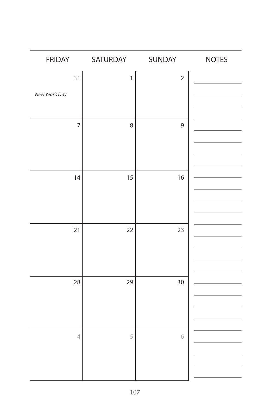| <b>FRIDAY</b>        | SATURDAY | SUNDAY         | <b>NOTES</b> |
|----------------------|----------|----------------|--------------|
| 31<br>New Year's Day | 1        | $\overline{2}$ |              |
| $\overline{7}$       | 8        | 9              |              |
| 14                   | 15       | 16             |              |
| 21                   | 22       | 23             |              |
| 28                   | 29       | 30             |              |
| $\sqrt{\phantom{a}}$ | 5        | 6              |              |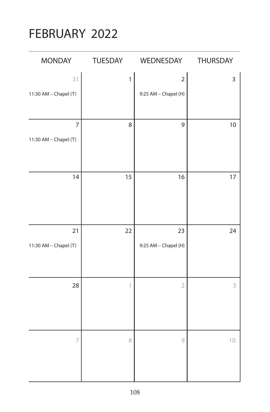## FEBRUARY 2022

| MONDAY                                  | TUESDAY      | WEDNESDAY                              | THURSDAY |
|-----------------------------------------|--------------|----------------------------------------|----------|
| 31<br>11:30 AM - Chapel (T)             | $\mathbf{1}$ | $\overline{2}$<br>9:25 AM - Chapel (H) | 3        |
| $\overline{7}$<br>11:30 AM - Chapel (T) | 8            | 9                                      | $10$     |
| 14                                      | 15           | 16                                     | $17$     |
| 21<br>11:30 AM - Chapel (T)             | 22           | 23<br>9:25 AM - Chapel (H)             | 24       |
| 28                                      | 1            | $\overline{2}$                         | 3        |
| $\overline{7}$                          | 8            | $\mathcal{G}$                          | $10$     |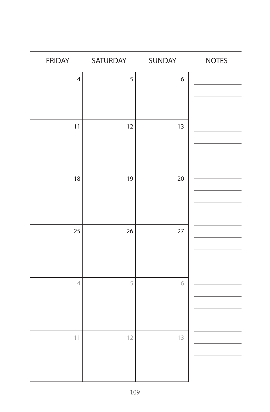| <b>FRIDAY</b>  | SATURDAY | SUNDAY | <b>NOTES</b> |
|----------------|----------|--------|--------------|
| $\overline{4}$ | 5        | 6      |              |
|                |          |        |              |
|                |          |        |              |
| 11             | 12       | 13     |              |
|                |          |        |              |
|                |          |        |              |
|                |          |        |              |
| 18             | 19       | 20     |              |
|                |          |        |              |
|                |          |        |              |
| 25             | 26       | 27     |              |
|                |          |        |              |
|                |          |        |              |
| $\overline{4}$ | 5        | 6      |              |
|                |          |        |              |
|                |          |        |              |
|                |          |        |              |
| 11             | 12       | 13     |              |
|                |          |        |              |
|                |          |        |              |
|                |          |        |              |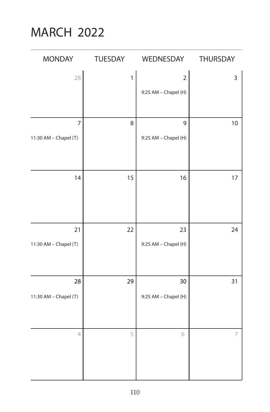## MARCH 2022

| <b>MONDAY</b>               | TUESDAY      | WEDNESDAY                              | THURSDAY |
|-----------------------------|--------------|----------------------------------------|----------|
| 28                          | $\mathbf{1}$ | $\overline{2}$<br>9:25 AM - Chapel (H) | 3        |
| 7<br>11:30 AM - Chapel (T)  | 8            | 9<br>9:25 AM - Chapel (H)              | 10       |
| 14                          | 15           | 16                                     | $17$     |
| 21<br>11:30 AM - Chapel (T) | 22           | 23<br>9:25 AM - Chapel (H)             | 24       |
| 28<br>11:30 AM - Chapel (T) | 29           | 30<br>9:25 AM - Chapel (H)             | 31       |
| $\overline{4}$              | 5            | 6                                      | 7        |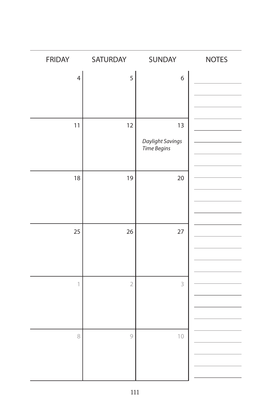| <b>FRIDAY</b>            | SATURDAY       | SUNDAY           | <b>NOTES</b> |
|--------------------------|----------------|------------------|--------------|
| $\overline{\mathcal{L}}$ | 5              | $\boldsymbol{6}$ |              |
|                          |                |                  |              |
|                          |                |                  |              |
| 11                       | 12             | 13               |              |
|                          |                | Daylight Savings |              |
|                          |                | Time Begins      |              |
|                          |                |                  |              |
| 18                       | 19             | 20               |              |
|                          |                |                  |              |
|                          |                |                  |              |
|                          |                |                  |              |
| 25                       | 26             | 27               |              |
|                          |                |                  |              |
|                          |                |                  |              |
| $\mathbb{1}$             |                | 3                |              |
|                          | $\overline{2}$ |                  |              |
|                          |                |                  |              |
|                          |                |                  |              |
| 8                        | $\circ$        | $10$             |              |
|                          |                |                  |              |
|                          |                |                  |              |
|                          |                |                  |              |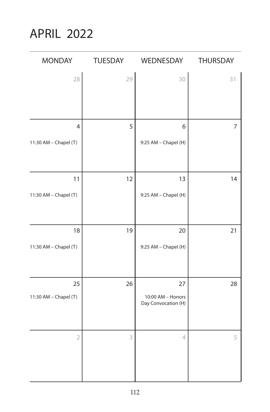APRIL 2022

| MONDAY                | TUESDAY | WEDNESDAY                                | <b>THURSDAY</b> |
|-----------------------|---------|------------------------------------------|-----------------|
| 28                    | 29      | 30                                       | 31              |
|                       |         |                                          |                 |
|                       |         |                                          |                 |
| 4                     | 5       | 6                                        | $\overline{7}$  |
| 11:30 AM - Chapel (T) |         | 9:25 AM - Chapel (H)                     |                 |
|                       |         |                                          |                 |
| 11                    | 12      | 13                                       | 14              |
| 11:30 AM - Chapel (T) |         | 9:25 AM - Chapel (H)                     |                 |
|                       |         |                                          |                 |
|                       |         |                                          |                 |
| 18                    | 19      | 20                                       | 21              |
| 11:30 AM - Chapel (T) |         | 9:25 AM - Chapel (H)                     |                 |
|                       |         |                                          |                 |
| 25                    | 26      | 27                                       | 28              |
| 11:30 AM - Chapel (T) |         | 10:00 AM - Honors<br>Day Convocation (H) |                 |
|                       |         |                                          |                 |
|                       |         |                                          |                 |
| $\overline{2}$        | 3       | 4                                        | 5               |
|                       |         |                                          |                 |
|                       |         |                                          |                 |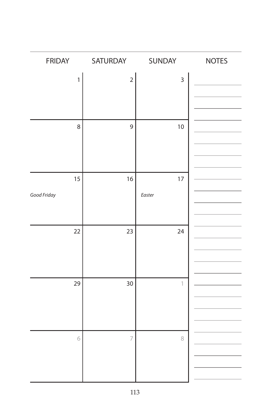| FRIDAY       | SATURDAY       | SUNDAY                    | <b>NOTES</b> |
|--------------|----------------|---------------------------|--------------|
| $\mathbf{1}$ | $\overline{c}$ | $\overline{\mathbf{3}}$   |              |
|              |                |                           |              |
|              |                |                           |              |
| 8            | 9              | $10$                      |              |
|              |                |                           |              |
|              |                |                           |              |
| 15           | 16             | 17                        |              |
| Good Friday  |                | Easter                    |              |
|              |                |                           |              |
|              |                |                           |              |
| 22           | 23             | 24                        |              |
|              |                |                           |              |
|              |                |                           |              |
| 29           | 30             | $\ensuremath{\mathbb{I}}$ |              |
|              |                |                           |              |
|              |                |                           |              |
| 6            | $\overline{7}$ | 8                         |              |
|              |                |                           |              |
|              |                |                           |              |
|              |                |                           |              |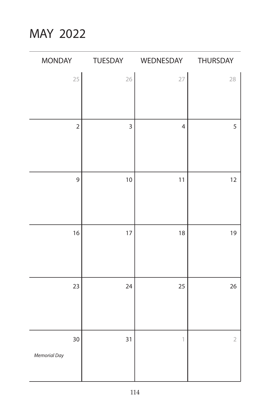MAY 2022

| <b>MONDAY</b>  | TUESDAY        | WEDNESDAY                 | THURSDAY       |
|----------------|----------------|---------------------------|----------------|
| 25             | 26             | 27                        | 28             |
|                |                |                           |                |
|                |                |                           |                |
| $\overline{2}$ | $\overline{3}$ | $\overline{4}$            | 5              |
|                |                |                           |                |
|                |                |                           |                |
| $\overline{9}$ | 10             | 11                        | 12             |
|                |                |                           |                |
|                |                |                           |                |
| 16             | 17             | 18                        | 19             |
|                |                |                           |                |
|                |                |                           |                |
|                |                |                           |                |
| 23             | 24             | 25                        | 26             |
|                |                |                           |                |
|                |                |                           |                |
| 30             | 31             | $\ensuremath{\mathbb{1}}$ | $\overline{2}$ |
| Memorial Day   |                |                           |                |
|                |                |                           |                |
|                |                |                           |                |